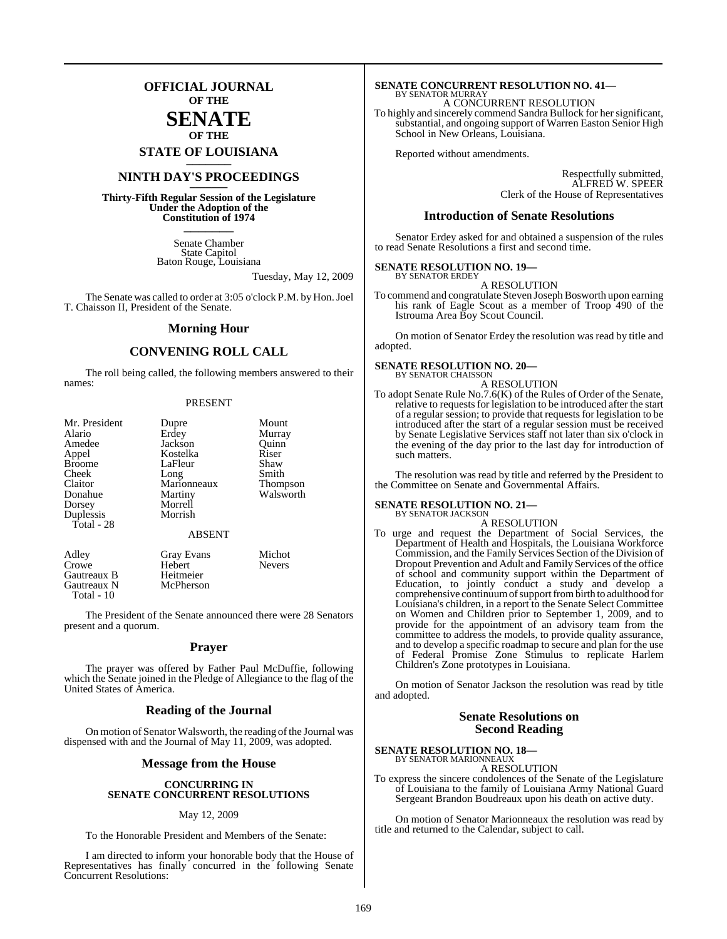## **OFFICIAL JOURNAL OF THE**

## **SENATE OF THE**

**STATE OF LOUISIANA \_\_\_\_\_\_\_**

## **NINTH DAY'S PROCEEDINGS \_\_\_\_\_\_\_**

**Thirty-Fifth Regular Session of the Legislature Under the Adoption of the Constitution of 1974 \_\_\_\_\_\_\_**

> Senate Chamber State Capitol Baton Rouge, Louisiana

> > Tuesday, May 12, 2009

The Senate was called to order at 3:05 o'clock P.M. by Hon. Joel T. Chaisson II, President of the Senate.

#### **Morning Hour**

### **CONVENING ROLL CALL**

The roll being called, the following members answered to their names:

#### PRESENT

| Mr. President<br>Alario<br>Amedee<br>Appel<br><b>Broome</b><br>Cheek<br>Claitor<br>Donahue<br>Dorsey<br>Duplessis<br>Total - 28 | Dupre<br>Erdey<br>Jackson<br>Kostelka<br>LaFleur<br>Long<br>Marionneaux<br>Martiny<br>Morrell<br>Morrish | Mount<br>Murray<br>Quinn<br>Riser<br>Shaw<br>Smith<br><b>Thompson</b><br>Walsworth |
|---------------------------------------------------------------------------------------------------------------------------------|----------------------------------------------------------------------------------------------------------|------------------------------------------------------------------------------------|
|                                                                                                                                 | <b>ABSENT</b>                                                                                            |                                                                                    |
| Adley<br>Crowe<br>Gautreaux B<br>Gautreaux N                                                                                    | <b>Gray Evans</b><br>Hebert<br>Heitmeier<br>McPherson                                                    | Michot<br><b>Nevers</b>                                                            |

The President of the Senate announced there were 28 Senators present and a quorum.

Total - 10

#### **Prayer**

The prayer was offered by Father Paul McDuffie, following which the Senate joined in the Pledge of Allegiance to the flag of the United States of America.

#### **Reading of the Journal**

On motion of Senator Walsworth, the reading of the Journal was dispensed with and the Journal of May 11, 2009, was adopted.

#### **Message from the House**

#### **CONCURRING IN SENATE CONCURRENT RESOLUTIONS**

#### May 12, 2009

To the Honorable President and Members of the Senate:

I am directed to inform your honorable body that the House of Representatives has finally concurred in the following Senate Concurrent Resolutions:

#### **SENATE CONCURRENT RESOLUTION NO. 41—** BY SENATOR MURRAY

A CONCURRENT RESOLUTION

To highly and sincerely commend Sandra Bullock for hersignificant, substantial, and ongoing support of Warren Easton Senior High School in New Orleans, Louisiana.

Reported without amendments.

Respectfully submitted, ALFRED W. SPEER Clerk of the House of Representatives

#### **Introduction of Senate Resolutions**

Senator Erdey asked for and obtained a suspension of the rules to read Senate Resolutions a first and second time.

#### **SENATE RESOLUTION NO. 19—** BY SENATOR ERDEY

A RESOLUTION

To commend and congratulate Steven Joseph Bosworth upon earning his rank of Eagle Scout as a member of Troop 490 of the Istrouma Area Boy Scout Council.

On motion of Senator Erdey the resolution was read by title and adopted.

#### **SENATE RESOLUTION NO. 20—**

BY SENATOR CHAISSON A RESOLUTION

To adopt Senate Rule No.7.6(K) of the Rules of Order of the Senate, relative to requests for legislation to be introduced after the start of a regular session; to provide that requestsfor legislation to be introduced after the start of a regular session must be received by Senate Legislative Services staff not later than six o'clock in the evening of the day prior to the last day for introduction of such matters.

The resolution was read by title and referred by the President to the Committee on Senate and Governmental Affairs.

#### **SENATE RESOLUTION NO. 21—** BY SENATOR JACKSON

A RESOLUTION

To urge and request the Department of Social Services, the Department of Health and Hospitals, the Louisiana Workforce Commission, and the Family Services Section of the Division of Dropout Prevention and Adult and Family Services of the office of school and community support within the Department of Education, to jointly conduct a study and develop a comprehensive continuumofsupport from birth to adulthood for Louisiana's children, in a report to the Senate Select Committee on Women and Children prior to September 1, 2009, and to provide for the appointment of an advisory team from the committee to address the models, to provide quality assurance, and to develop a specific roadmap to secure and plan for the use of Federal Promise Zone Stimulus to replicate Harlem Children's Zone prototypes in Louisiana.

On motion of Senator Jackson the resolution was read by title and adopted.

#### **Senate Resolutions on Second Reading**

**SENATE RESOLUTION NO. 18—**

BY SENATOR MARIONNEAUX A RESOLUTION

To express the sincere condolences of the Senate of the Legislature of Louisiana to the family of Louisiana Army National Guard Sergeant Brandon Boudreaux upon his death on active duty.

On motion of Senator Marionneaux the resolution was read by title and returned to the Calendar, subject to call.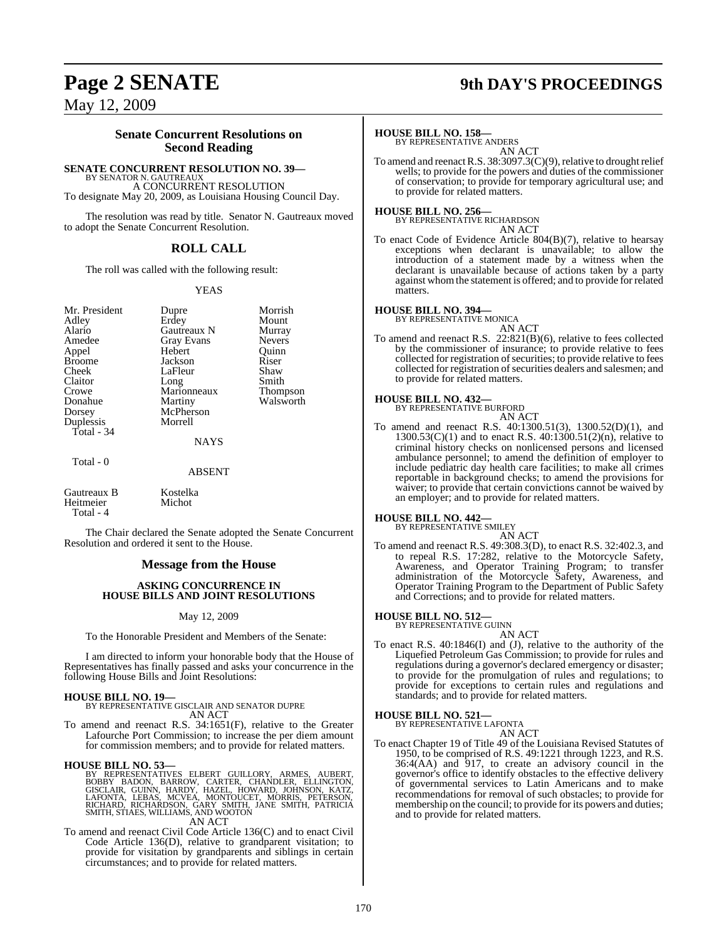# **Page 2 SENATE 9th DAY'S PROCEEDINGS**

May 12, 2009

## **Senate Concurrent Resolutions on Second Reading**

#### **SENATE CONCURRENT RESOLUTION NO. 39—**

BY SENATOR N. GAUTREAUX A CONCURRENT RESOLUTION To designate May 20, 2009, as Louisiana Housing Council Day.

The resolution was read by title. Senator N. Gautreaux moved to adopt the Senate Concurrent Resolution.

## **ROLL CALL**

The roll was called with the following result:

#### YEAS

Mr. President Dupre Morrish<br>Adley Erdev Mount Adley Erdey Mount<br>Alario Gautreaux N Murray Alario Gautreaux N Murray<br>Amedee Gray Evans Nevers Appel<br>Broome Broome Jackson Riser<br>Cheek LaFleur Shaw Claitor Long Smith<br>Crowe Marionneaux Thompson Crowe Marionneaux Thompson<br>
Donahue Martiny Walsworth Donahue Martiny<br>Dorsey McPhers Duplessis Total - 34

Gray Evans Nevers<br>
Hebert Quinn LaFleur Shaw<br>Long Smith McPherson<br>Morrell

#### **NAYS**

Total - 0

ABSENT Gautreaux B Kostelka<br>Heitmeier Michot

Heitmeier Total - 4

The Chair declared the Senate adopted the Senate Concurrent Resolution and ordered it sent to the House.

#### **Message from the House**

#### **ASKING CONCURRENCE IN HOUSE BILLS AND JOINT RESOLUTIONS**

#### May 12, 2009

To the Honorable President and Members of the Senate:

I am directed to inform your honorable body that the House of Representatives has finally passed and asks your concurrence in the following House Bills and Joint Resolutions:

#### **HOUSE BILL NO. 19—**

BY REPRESENTATIVE GISCLAIR AND SENATOR DUPRE AN ACT

To amend and reenact R.S. 34:1651(F), relative to the Greater Lafourche Port Commission; to increase the per diem amount for commission members; and to provide for related matters.

**HOUSE BILL NO. 53—** BY REPRESENTATIVES ELBERT GUILLORY, ARMES, AUBERT, BOBBY BADON, BARROW, CARTER, CHANDLER, ELLINGTON,<br>GISCLAIR, GUINN, HARDY, HAZEL, HOWARD, JOHNSON, KATZ,<br>LAFONTA, LEBAS, MCVEA, MONTOUCET, MORRIS, PETERSON,<br>RICHARD, RICHARDSON, GARY SMITH, JANE SMITH, PATRICIA<br>SMITH,STIAES AN ACT

To amend and reenact Civil Code Article 136(C) and to enact Civil Code Article 136(D), relative to grandparent visitation; to provide for visitation by grandparents and siblings in certain circumstances; and to provide for related matters.

#### **HOUSE BILL NO. 158—**

BY REPRESENTATIVE ANDERS AN ACT

To amend and reenact R.S. 38:3097.3(C)(9), relative to drought relief wells; to provide for the powers and duties of the commissioner of conservation; to provide for temporary agricultural use; and to provide for related matters.

**HOUSE BILL NO. 256—** BY REPRESENTATIVE RICHARDSON AN ACT

To enact Code of Evidence Article 804(B)(7), relative to hearsay exceptions when declarant is unavailable; to allow the introduction of a statement made by a witness when the declarant is unavailable because of actions taken by a party against whom the statement is offered; and to provide for related matters.

# **HOUSE BILL NO. 394—** BY REPRESENTATIVE MONICA

AN ACT

To amend and reenact R.S. 22:821(B)(6), relative to fees collected by the commissioner of insurance; to provide relative to fees collected for registration of securities; to provide relative to fees collected for registration of securities dealers and salesmen; and to provide for related matters.

#### **HOUSE BILL NO. 432—**

BY REPRESENTATIVE BURFORD AN ACT

To amend and reenact R.S. 40:1300.51(3), 1300.52(D)(1), and 1300.53(C)(1) and to enact R.S. 40:1300.51(2)(n), relative to criminal history checks on nonlicensed persons and licensed ambulance personnel; to amend the definition of employer to include pediatric day health care facilities; to make all crimes reportable in background checks; to amend the provisions for waiver; to provide that certain convictions cannot be waived by an employer; and to provide for related matters.

# **HOUSE BILL NO. 442—** BY REPRESENTATIVE SMILEY

AN ACT To amend and reenact R.S. 49:308.3(D), to enact R.S. 32:402.3, and to repeal R.S. 17:282, relative to the Motorcycle Safety, Awareness, and Operator Training Program; to transfer administration of the Motorcycle Safety, Awareness, and Operator Training Program to the Department of Public Safety and Corrections; and to provide for related matters.

#### **HOUSE BILL NO. 512—** BY REPRESENTATIVE GUINN

AN ACT

To enact R.S. 40:1846(I) and (J), relative to the authority of the Liquefied Petroleum Gas Commission; to provide for rules and regulations during a governor's declared emergency or disaster; to provide for the promulgation of rules and regulations; to provide for exceptions to certain rules and regulations and standards; and to provide for related matters.

# **HOUSE BILL NO. 521—** BY REPRESENTATIVE LAFONTA

AN ACT

To enact Chapter 19 of Title 49 of the Louisiana Revised Statutes of 1950, to be comprised of R.S. 49:1221 through 1223, and R.S. 36:4(AA) and 917, to create an advisory council in the governor's office to identify obstacles to the effective delivery of governmental services to Latin Americans and to make recommendations for removal of such obstacles; to provide for membership on the council; to provide for its powers and duties; and to provide for related matters.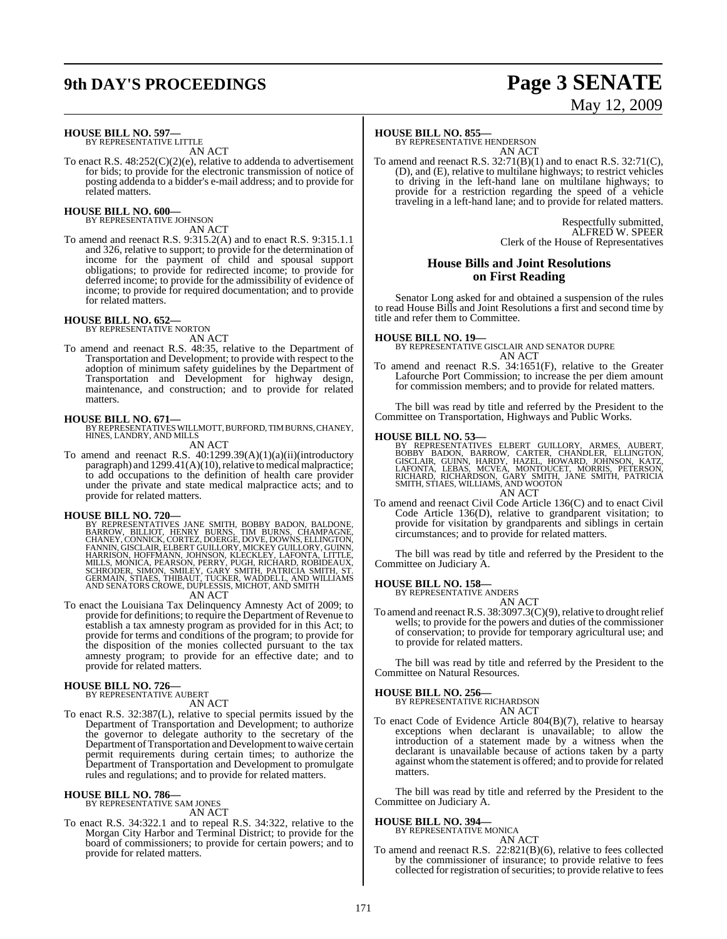# **9th DAY'S PROCEEDINGS Page 3 SENATE**

# May 12, 2009

#### **HOUSE BILL NO. 597—** BY REPRESENTATIVE LITTLE

AN ACT

To enact R.S. 48:252(C)(2)(e), relative to addenda to advertisement for bids; to provide for the electronic transmission of notice of posting addenda to a bidder's e-mail address; and to provide for related matters.

# **HOUSE BILL NO. 600—** BY REPRESENTATIVE JOHNSON

AN ACT

To amend and reenact R.S. 9:315.2(A) and to enact R.S. 9:315.1.1 and 326, relative to support; to provide for the determination of income for the payment of child and spousal support obligations; to provide for redirected income; to provide for deferred income; to provide for the admissibility of evidence of income; to provide for required documentation; and to provide for related matters.

# **HOUSE BILL NO. 652—** BY REPRESENTATIVE NORTON

AN ACT

To amend and reenact R.S. 48:35, relative to the Department of Transportation and Development; to provide with respect to the adoption of minimum safety guidelines by the Department of Transportation and Development for highway design, maintenance, and construction; and to provide for related matters.

**HOUSE BILL NO. 671—** BY REPRESENTATIVES WILLMOTT, BURFORD, TIM BURNS, CHANEY, HINES, LANDRY, AND MILLS

AN ACT

To amend and reenact R.S. 40:1299.39(A)(1)(a)(ii)(introductory paragraph) and  $1299.41(A)(10)$ , relative to medical malpractice; to add occupations to the definition of health care provider under the private and state medical malpractice acts; and to provide for related matters.

**HOUSE BILL NO. 720—**<br>BY REPRESENTATIVES JANE SMITH, BOBBY BADON, BALDONE, BARROW, BILLIOT, HENRY BURNS, TIM BURNS, CHAMPAGNE,<br>CHANEY, CONNICK, CORTEZ, DOERGE, DOVE, DOWNS, ELLINGTON,<br>FANNIN, GISCLAIR, ELBERT GUILLORY, MIC AN ACT

To enact the Louisiana Tax Delinquency Amnesty Act of 2009; to provide for definitions; to require the Department of Revenue to establish a tax amnesty program as provided for in this Act; to provide for terms and conditions of the program; to provide for the disposition of the monies collected pursuant to the tax amnesty program; to provide for an effective date; and to provide for related matters.

**HOUSE BILL NO. 726—** BY REPRESENTATIVE AUBERT

- AN ACT
- To enact R.S. 32:387(L), relative to special permits issued by the Department of Transportation and Development; to authorize the governor to delegate authority to the secretary of the Department of Transportation and Development to waive certain permit requirements during certain times; to authorize the Department of Transportation and Development to promulgate rules and regulations; and to provide for related matters.

### **HOUSE BILL NO. 786—**

BY REPRESENTATIVE SAM JONES AN ACT

To enact R.S. 34:322.1 and to repeal R.S. 34:322, relative to the Morgan City Harbor and Terminal District; to provide for the board of commissioners; to provide for certain powers; and to provide for related matters.

#### **HOUSE BILL NO. 855—**

BY REPRESENTATIVE HENDERSON AN ACT

To amend and reenact R.S. 32:71(B)(1) and to enact R.S. 32:71(C), (D), and (E), relative to multilane highways; to restrict vehicles to driving in the left-hand lane on multilane highways; to provide for a restriction regarding the speed of a vehicle traveling in a left-hand lane; and to provide for related matters.

> Respectfully submitted, ALFRED W. SPEER Clerk of the House of Representatives

#### **House Bills and Joint Resolutions on First Reading**

Senator Long asked for and obtained a suspension of the rules to read House Bills and Joint Resolutions a first and second time by title and refer them to Committee.

#### **HOUSE BILL NO. 19—**

BY REPRESENTATIVE GISCLAIR AND SENATOR DUPRE AN ACT

To amend and reenact R.S. 34:1651(F), relative to the Greater Lafourche Port Commission; to increase the per diem amount for commission members; and to provide for related matters.

The bill was read by title and referred by the President to the Committee on Transportation, Highways and Public Works.

#### **HOUSE BILL NO. 53—**

BY REPRESENTATIVES ELBERT GUILLORY, ARMES, AUBERT,<br>BOBBY BADON, BARROW, CARTER, CHANDLER, ELLINGTON,<br>GISCLAIR, GUINN, HARDY, HAZEL, HOWARD, JOHNSON, KATZ,<br>LAFONTA, LEBAS, MCVEA, MONTOUCET, MORRIS, PETERSON,<br>RICHARD, RICHAR AN ACT

To amend and reenact Civil Code Article 136(C) and to enact Civil Code Article 136(D), relative to grandparent visitation; to provide for visitation by grandparents and siblings in certain circumstances; and to provide for related matters.

The bill was read by title and referred by the President to the Committee on Judiciary A.

# **HOUSE BILL NO. 158—** BY REPRESENTATIVE ANDERS

AN ACT

To amend and reenact R.S.  $38:3097.3(C)(9)$ , relative to drought relief wells; to provide for the powers and duties of the commissioner of conservation; to provide for temporary agricultural use; and to provide for related matters.

The bill was read by title and referred by the President to the Committee on Natural Resources.

**HOUSE BILL NO. 256—** BY REPRESENTATIVE RICHARDSON AN ACT

To enact Code of Evidence Article 804(B)(7), relative to hearsay exceptions when declarant is unavailable; to allow the introduction of a statement made by a witness when the declarant is unavailable because of actions taken by a party against whomthe statement is offered; and to provide for related matters.

The bill was read by title and referred by the President to the Committee on Judiciary A.

#### **HOUSE BILL NO. 394—**

BY REPRESENTATIVE MONICA AN ACT

To amend and reenact R.S. 22:821(B)(6), relative to fees collected by the commissioner of insurance; to provide relative to fees collected for registration of securities; to provide relative to fees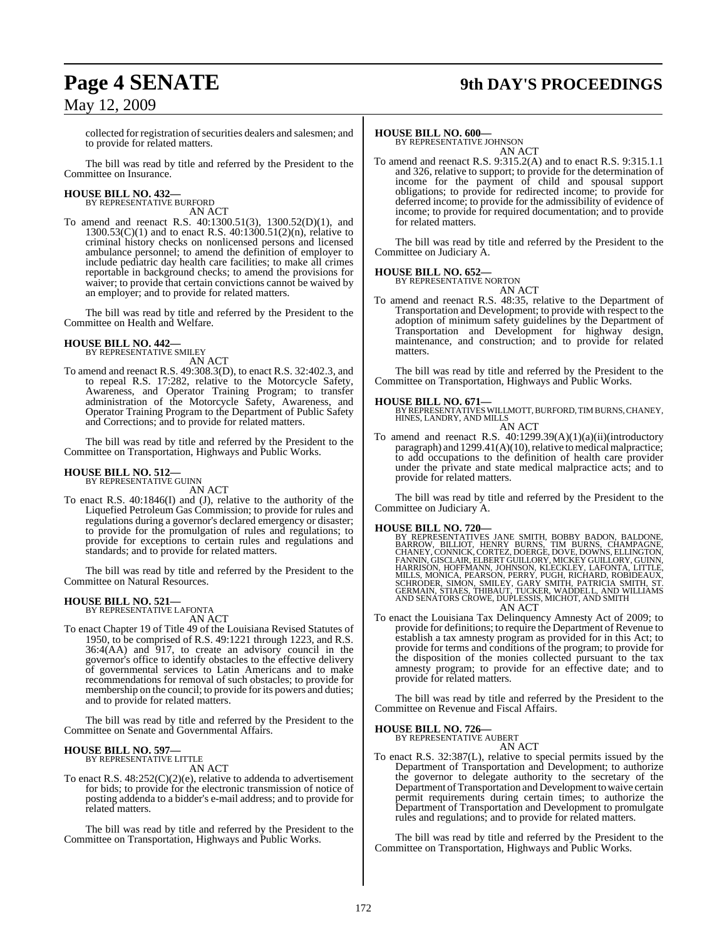# **Page 4 SENATE 9th DAY'S PROCEEDINGS**

collected for registration of securities dealers and salesmen; and to provide for related matters.

The bill was read by title and referred by the President to the Committee on Insurance.

# **HOUSE BILL NO. 432—** BY REPRESENTATIVE BURFORD

AN ACT

To amend and reenact R.S. 40:1300.51(3), 1300.52(D)(1), and 1300.53(C)(1) and to enact R.S. 40:1300.51(2)(n), relative to criminal history checks on nonlicensed persons and licensed ambulance personnel; to amend the definition of employer to include pediatric day health care facilities; to make all crimes reportable in background checks; to amend the provisions for waiver; to provide that certain convictions cannot be waived by an employer; and to provide for related matters.

The bill was read by title and referred by the President to the Committee on Health and Welfare.

# **HOUSE BILL NO. 442—** BY REPRESENTATIVE SMILEY

AN ACT

To amend and reenact R.S. 49:308.3(D), to enact R.S. 32:402.3, and to repeal R.S. 17:282, relative to the Motorcycle Safety, Awareness, and Operator Training Program; to transfer administration of the Motorcycle Safety, Awareness, and Operator Training Program to the Department of Public Safety and Corrections; and to provide for related matters.

The bill was read by title and referred by the President to the Committee on Transportation, Highways and Public Works.

#### **HOUSE BILL NO. 512—** BY REPRESENTATIVE GUINN

AN ACT

To enact R.S. 40:1846(I) and (J), relative to the authority of the Liquefied Petroleum Gas Commission; to provide for rules and regulations during a governor's declared emergency or disaster; to provide for the promulgation of rules and regulations; to provide for exceptions to certain rules and regulations and standards; and to provide for related matters.

The bill was read by title and referred by the President to the Committee on Natural Resources.

#### **HOUSE BILL NO. 521—** BY REPRESENTATIVE LAFONTA

AN ACT

To enact Chapter 19 of Title 49 of the Louisiana Revised Statutes of 1950, to be comprised of R.S. 49:1221 through 1223, and R.S. 36:4(AA) and 917, to create an advisory council in the governor's office to identify obstacles to the effective delivery of governmental services to Latin Americans and to make recommendations for removal of such obstacles; to provide for membership on the council; to provide for its powers and duties; and to provide for related matters.

The bill was read by title and referred by the President to the Committee on Senate and Governmental Affairs.

#### **HOUSE BILL NO. 597—** BY REPRESENTATIVE LITTLE

AN ACT

To enact R.S. 48:252(C)(2)(e), relative to addenda to advertisement for bids; to provide for the electronic transmission of notice of posting addenda to a bidder's e-mail address; and to provide for related matters.

The bill was read by title and referred by the President to the Committee on Transportation, Highways and Public Works.

#### **HOUSE BILL NO. 600—**

BY REPRESENTATIVE JOHNSON AN ACT

To amend and reenact R.S. 9:315.2(A) and to enact R.S. 9:315.1.1 and 326, relative to support; to provide for the determination of income for the payment of child and spousal support obligations; to provide for redirected income; to provide for deferred income; to provide for the admissibility of evidence of income; to provide for required documentation; and to provide for related matters.

The bill was read by title and referred by the President to the Committee on Judiciary A.

#### **HOUSE BILL NO. 652—**

BY REPRESENTATIVE NORTON AN ACT

To amend and reenact R.S. 48:35, relative to the Department of Transportation and Development; to provide with respect to the adoption of minimum safety guidelines by the Department of Transportation and Development for highway design, maintenance, and construction; and to provide for related matters.

The bill was read by title and referred by the President to the Committee on Transportation, Highways and Public Works.

**HOUSE BILL NO. 671—** BY REPRESENTATIVES WILLMOTT, BURFORD, TIM BURNS, CHANEY, HINES, LANDRY, AND MILLS AN ACT

To amend and reenact R.S. 40:1299.39(A)(1)(a)(ii)(introductory paragraph) and 1299.41(A)(10), relative to medical malpractice; to add occupations to the definition of health care provider under the private and state medical malpractice acts; and to provide for related matters.

The bill was read by title and referred by the President to the Committee on Judiciary A.

#### **HOUSE BILL NO. 720—**

BY REPRESENTATIVES JANE SMITH, BOBBY BADON, BALDONE,<br>BARROW, BILLIOT, HENRY BURNS, TIM BURNS, CHAMPAGNE,<br>CHANEY, CONNICK, CORTEZ, DOERGE, DOVE, DOWNS, ELLINGTON,<br>FANNIN, GISCLAIR, ELBERT GUILLORY, MICKEY GUILLORY, GUINN,<br>H AN ACT

To enact the Louisiana Tax Delinquency Amnesty Act of 2009; to provide for definitions; to require the Department of Revenue to establish a tax amnesty program as provided for in this Act; to provide for terms and conditions of the program; to provide for the disposition of the monies collected pursuant to the tax amnesty program; to provide for an effective date; and to provide for related matters.

The bill was read by title and referred by the President to the Committee on Revenue and Fiscal Affairs.

#### **HOUSE BILL NO. 726—**

BY REPRESENTATIVE AUBERT

#### AN ACT

To enact R.S. 32:387(L), relative to special permits issued by the Department of Transportation and Development; to authorize the governor to delegate authority to the secretary of the Department of Transportation and Development to waive certain permit requirements during certain times; to authorize the Department of Transportation and Development to promulgate rules and regulations; and to provide for related matters.

The bill was read by title and referred by the President to the Committee on Transportation, Highways and Public Works.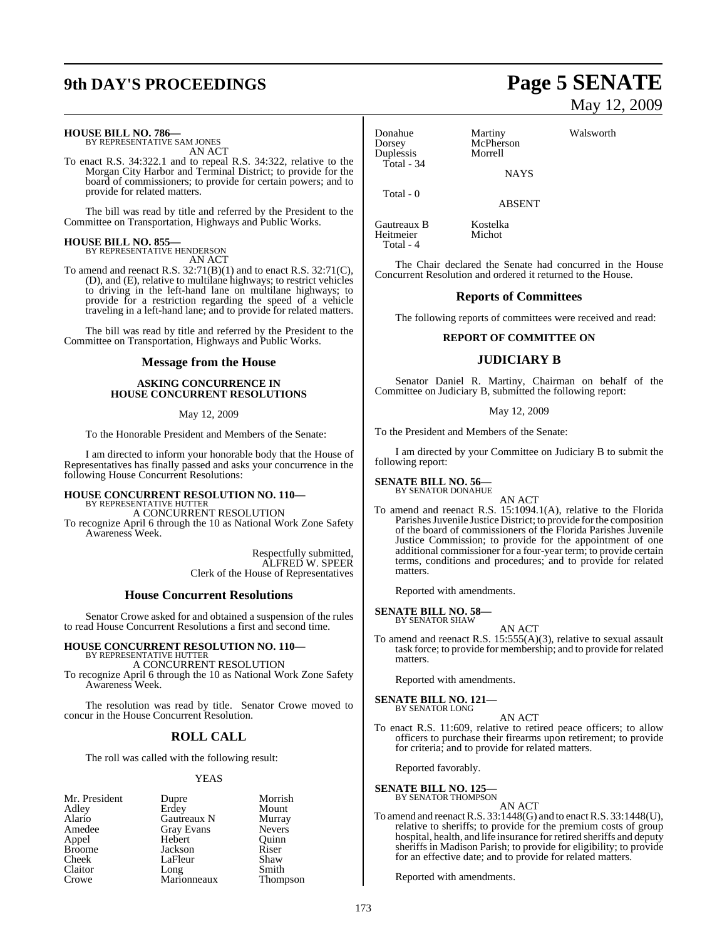# **9th DAY'S PROCEEDINGS Page 5 SENATE**

# **HOUSE BILL NO. 786—** BY REPRESENTATIVE SAM JONES

AN ACT

To enact R.S. 34:322.1 and to repeal R.S. 34:322, relative to the Morgan City Harbor and Terminal District; to provide for the board of commissioners; to provide for certain powers; and to provide for related matters.

The bill was read by title and referred by the President to the Committee on Transportation, Highways and Public Works.

# **HOUSE BILL NO. 855—** BY REPRESENTATIVE HENDERSON

AN ACT

To amend and reenact R.S.  $32:71(B)(1)$  and to enact R.S.  $32:71(C)$ , (D), and (E), relative to multilane highways; to restrict vehicles to driving in the left-hand lane on multilane highways; to provide for a restriction regarding the speed of a vehicle traveling in a left-hand lane; and to provide for related matters.

The bill was read by title and referred by the President to the Committee on Transportation, Highways and Public Works.

#### **Message from the House**

#### **ASKING CONCURRENCE IN HOUSE CONCURRENT RESOLUTIONS**

May 12, 2009

To the Honorable President and Members of the Senate:

I am directed to inform your honorable body that the House of Representatives has finally passed and asks your concurrence in the following House Concurrent Resolutions:

#### **HOUSE CONCURRENT RESOLUTION NO. 110—** BY REPRESENTATIVE HUTTER A CONCURRENT RESOLUTION

To recognize April 6 through the 10 as National Work Zone Safety Awareness Week.

> Respectfully submitted, ALFRED W. SPEER Clerk of the House of Representatives

#### **House Concurrent Resolutions**

Senator Crowe asked for and obtained a suspension of the rules to read House Concurrent Resolutions a first and second time.

#### **HOUSE CONCURRENT RESOLUTION NO. 110—** BY REPRESENTATIVE HUTTER

A CONCURRENT RESOLUTION

To recognize April 6 through the 10 as National Work Zone Safety Awareness Week.

The resolution was read by title. Senator Crowe moved to concur in the House Concurrent Resolution.

### **ROLL CALL**

The roll was called with the following result:

#### YEAS

| Mr. President | Dupre             | Morrish       |
|---------------|-------------------|---------------|
| Adley         | Erdey             | Mount         |
| Alario        | Gautreaux N       | Murray        |
| Amedee        | <b>Gray Evans</b> | <b>Nevers</b> |
| Appel         | Hebert            | Ouinn         |
| <b>Broome</b> | Jackson           | Riser         |
| Cheek         | LaFleur           | Shaw          |
| Claitor       | Long              | Smith         |
| Crowe         | Marionneaux       | Thompson      |

Donahue Martiny Walsworth<br>
Dorsey McPherson Duplessis Total - 34

McPherson<br>Morrell **NAYS** 

ABSENT

Gautreaux B Kostelka Heitmeier Total - 4

Total - 0

The Chair declared the Senate had concurred in the House Concurrent Resolution and ordered it returned to the House.

#### **Reports of Committees**

The following reports of committees were received and read:

#### **REPORT OF COMMITTEE ON**

#### **JUDICIARY B**

Senator Daniel R. Martiny, Chairman on behalf of the Committee on Judiciary B, submitted the following report:

#### May 12, 2009

To the President and Members of the Senate:

I am directed by your Committee on Judiciary B to submit the following report:

#### **SENATE BILL NO. 56—**

BY SENATOR DONAHUE

AN ACT To amend and reenact R.S. 15:1094.1(A), relative to the Florida Parishes Juvenile Justice District; to provide for the composition of the board of commissioners of the Florida Parishes Juvenile Justice Commission; to provide for the appointment of one additional commissioner for a four-year term; to provide certain terms, conditions and procedures; and to provide for related matters.

Reported with amendments.

# **SENATE BILL NO. 58—** BY SENATOR SHAW

AN ACT

To amend and reenact R.S. 15:555(A)(3), relative to sexual assault task force; to provide for membership; and to provide for related matters.

Reported with amendments.

**SENATE BILL NO. 121—** BY SENATOR LONG

#### AN ACT

To enact R.S. 11:609, relative to retired peace officers; to allow officers to purchase their firearms upon retirement; to provide for criteria; and to provide for related matters.

Reported favorably.

#### **SENATE BILL NO. 125**

BY SENATOR THOMPSON

AN ACT To amend and reenactR.S. 33:1448(G) and to enactR.S. 33:1448(U), relative to sheriffs; to provide for the premium costs of group hospital, health, and life insurance for retired sheriffs and deputy sheriffs in Madison Parish; to provide for eligibility; to provide for an effective date; and to provide for related matters.

Reported with amendments.

# May 12, 2009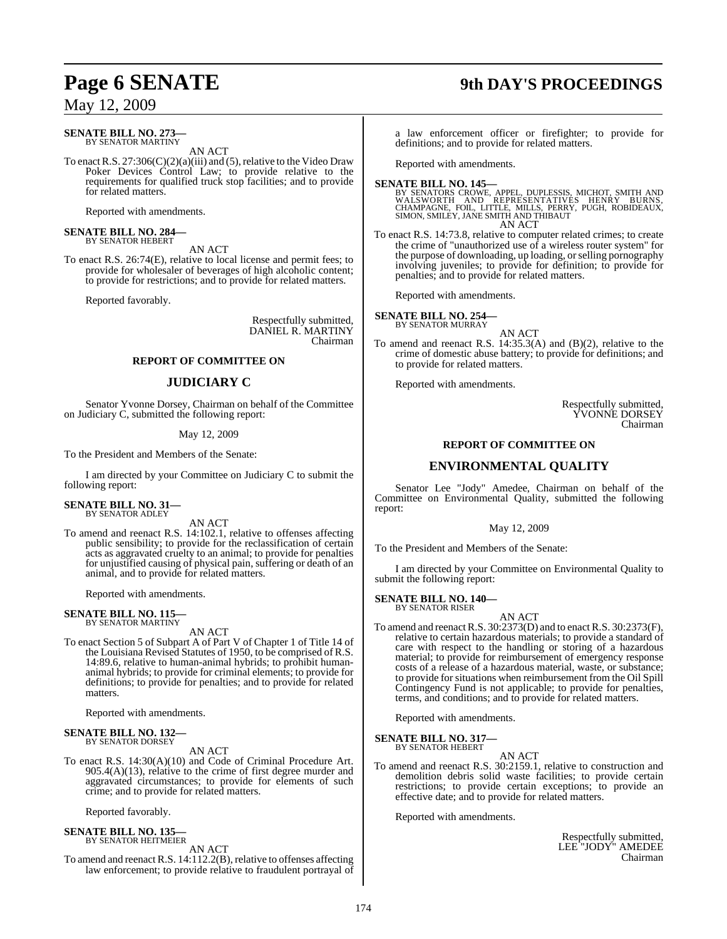# **Page 6 SENATE 9th DAY'S PROCEEDINGS**

May 12, 2009

#### **SENATE BILL NO. 273—** BY SENATOR MARTINY

AN ACT

To enact R.S.  $27:306(C)(2)(a)(iii)$  and (5), relative to the Video Draw Poker Devices Control Law; to provide relative to the requirements for qualified truck stop facilities; and to provide for related matters.

Reported with amendments.

# **SENATE BILL NO. 284—** BY SENATOR HEBERT

AN ACT

To enact R.S. 26:74(E), relative to local license and permit fees; to provide for wholesaler of beverages of high alcoholic content; to provide for restrictions; and to provide for related matters.

Reported favorably.

Respectfully submitted, DANIEL R. MARTINY Chairman

#### **REPORT OF COMMITTEE ON**

## **JUDICIARY C**

Senator Yvonne Dorsey, Chairman on behalf of the Committee on Judiciary C, submitted the following report:

#### May 12, 2009

To the President and Members of the Senate:

I am directed by your Committee on Judiciary C to submit the following report:

# **SENATE BILL NO. 31—** BY SENATOR ADLEY

AN ACT

To amend and reenact R.S. 14:102.1, relative to offenses affecting public sensibility; to provide for the reclassification of certain acts as aggravated cruelty to an animal; to provide for penalties for unjustified causing of physical pain, suffering or death of an animal, and to provide for related matters.

Reported with amendments.

# **SENATE BILL NO. 115—** BY SENATOR MARTINY

AN ACT

To enact Section 5 of Subpart A of Part V of Chapter 1 of Title 14 of the Louisiana Revised Statutes of 1950, to be comprised of R.S. 14:89.6, relative to human-animal hybrids; to prohibit humananimal hybrids; to provide for criminal elements; to provide for definitions; to provide for penalties; and to provide for related matters.

Reported with amendments.

# **SENATE BILL NO. 132—** BY SENATOR DORSEY

AN ACT

To enact R.S. 14:30(A)(10) and Code of Criminal Procedure Art. 905.4(A)(13), relative to the crime of first degree murder and aggravated circumstances; to provide for elements of such crime; and to provide for related matters.

Reported favorably.

#### **SENATE BILL NO. 135—** BY SENATOR HEITMEIER

AN ACT

To amend and reenact R.S. 14:112.2(B), relative to offenses affecting law enforcement; to provide relative to fraudulent portrayal of

a law enforcement officer or firefighter; to provide for definitions; and to provide for related matters.

Reported with amendments.

#### **SENATE BILL NO. 145—**

BY SENATORS CROWE, APPEL, DUPLESSIS, MICHOT, SMITH AND<br>WALSWORTH AND REPRESENTATIVES HENRY BURNS,<br>CHAMPAGNE, FOIL, LITTLE, MILLS, PERRY, PUGH, ROBIDEAUX,<br>SIMON, SMILEY, JANE SMITH AND THIBAUT AN ACT

To enact R.S. 14:73.8, relative to computer related crimes; to create the crime of "unauthorized use of a wireless router system" for the purpose of downloading, up loading, or selling pornography involving juveniles; to provide for definition; to provide for penalties; and to provide for related matters.

Reported with amendments.

**SENATE BILL NO. 254** BY SENATOR MURRAY

AN ACT

To amend and reenact R.S. 14:35.3(A) and (B)(2), relative to the crime of domestic abuse battery; to provide for definitions; and to provide for related matters.

Reported with amendments.

Respectfully submitted, YVONNE DORSEY Chairman

## **REPORT OF COMMITTEE ON**

#### **ENVIRONMENTAL QUALITY**

Senator Lee "Jody" Amedee, Chairman on behalf of the Committee on Environmental Quality, submitted the following report:

#### May 12, 2009

To the President and Members of the Senate:

I am directed by your Committee on Environmental Quality to submit the following report:

# **SENATE BILL NO. 140—** BY SENATOR RISER

AN ACT To amend and reenactR.S. 30:2373(D) and to enact R.S. 30:2373(F), relative to certain hazardous materials; to provide a standard of care with respect to the handling or storing of a hazardous material; to provide for reimbursement of emergency response costs of a release of a hazardous material, waste, or substance; to provide for situations when reimbursement from the Oil Spill Contingency Fund is not applicable; to provide for penalties, terms, and conditions; and to provide for related matters.

Reported with amendments.

**SENATE BILL NO. 317—** BY SENATOR HEBERT

AN ACT

To amend and reenact R.S. 30:2159.1, relative to construction and demolition debris solid waste facilities; to provide certain restrictions; to provide certain exceptions; to provide an effective date; and to provide for related matters.

Reported with amendments.

Respectfully submitted, LEE "JODY" AMEDEE Chairman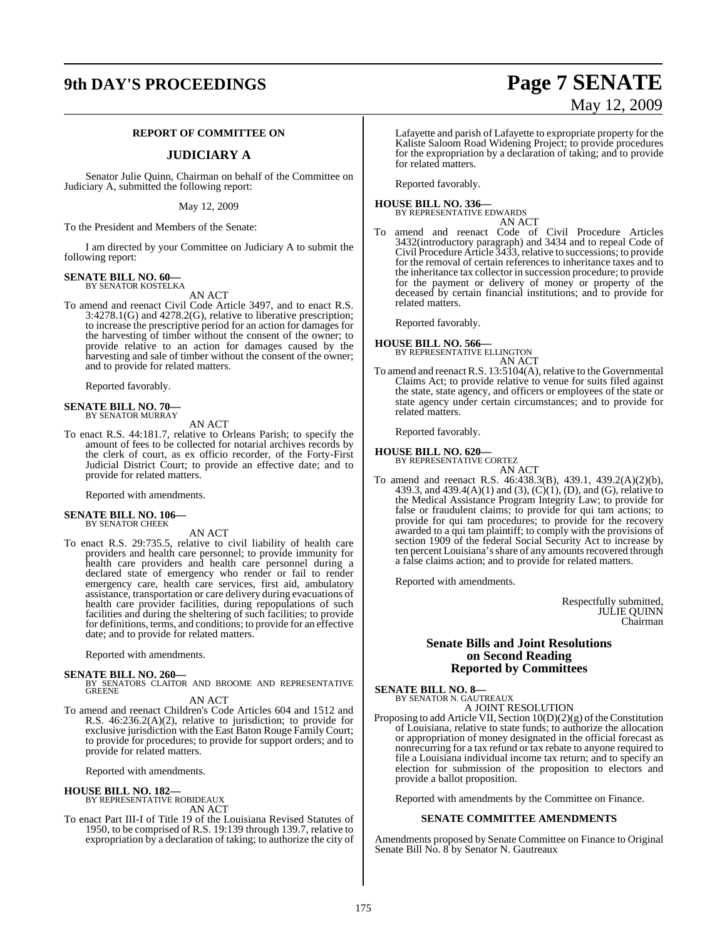# **9th DAY'S PROCEEDINGS Page 7 SENATE**

#### **REPORT OF COMMITTEE ON**

#### **JUDICIARY A**

Senator Julie Quinn, Chairman on behalf of the Committee on Judiciary A, submitted the following report:

May 12, 2009

To the President and Members of the Senate:

I am directed by your Committee on Judiciary A to submit the following report:

#### **SENATE BILL NO. 60—** BY SENATOR KOSTELKA

AN ACT

To amend and reenact Civil Code Article 3497, and to enact R.S. 3:4278.1(G) and 4278.2(G), relative to liberative prescription; to increase the prescriptive period for an action for damages for the harvesting of timber without the consent of the owner; to provide relative to an action for damages caused by the harvesting and sale of timber without the consent of the owner; and to provide for related matters.

Reported favorably.

# **SENATE BILL NO. 70—** BY SENATOR MURRAY

AN ACT

To enact R.S. 44:181.7, relative to Orleans Parish; to specify the amount of fees to be collected for notarial archives records by the clerk of court, as ex officio recorder, of the Forty-First Judicial District Court; to provide an effective date; and to provide for related matters.

Reported with amendments.

#### **SENATE BILL NO. 106—** BY SENATOR CHEEK

AN ACT

To enact R.S. 29:735.5, relative to civil liability of health care providers and health care personnel; to provide immunity for health care providers and health care personnel during a declared state of emergency who render or fail to render emergency care, health care services, first aid, ambulatory assistance, transportation or care delivery during evacuations of health care provider facilities, during repopulations of such facilities and during the sheltering of such facilities; to provide for definitions, terms, and conditions; to provide for an effective date; and to provide for related matters.

Reported with amendments.

**SENATE BILL NO. 260—**<br>BY SENATORS CLAITOR AND BROOME AND REPRESENTATIVE<br>GREENE

#### AN ACT

To amend and reenact Children's Code Articles 604 and 1512 and R.S. 46:236.2(A)(2), relative to jurisdiction; to provide for exclusive jurisdiction with the East Baton Rouge Family Court; to provide for procedures; to provide for support orders; and to provide for related matters.

Reported with amendments.

#### **HOUSE BILL NO. 182—**

BY REPRESENTATIVE ROBIDEAUX AN ACT

To enact Part III-I of Title 19 of the Louisiana Revised Statutes of 1950, to be comprised of R.S. 19:139 through 139.7, relative to expropriation by a declaration of taking; to authorize the city of

Lafayette and parish of Lafayette to expropriate property for the Kaliste Saloom Road Widening Project; to provide procedures for the expropriation by a declaration of taking; and to provide for related matters.

Reported favorably.

#### **HOUSE BILL NO. 336—** BY REPRESENTATIVE EDWARDS

AN ACT

To amend and reenact Code of Civil Procedure Articles 3432(introductory paragraph) and 3434 and to repeal Code of Civil Procedure Article 3433, relative to successions; to provide for the removal of certain references to inheritance taxes and to the inheritance tax collector in succession procedure; to provide for the payment or delivery of money or property of the deceased by certain financial institutions; and to provide for related matters.

Reported favorably.

**HOUSE BILL NO. 566—** BY REPRESENTATIVE ELLINGTON

AN ACT

To amend and reenact R.S. 13:5104(A), relative to the Governmental Claims Act; to provide relative to venue for suits filed against the state, state agency, and officers or employees of the state or state agency under certain circumstances; and to provide for related matters.

Reported favorably.

**HOUSE BILL NO. 620—** BY REPRESENTATIVE CORTEZ

AN ACT To amend and reenact R.S. 46:438.3(B), 439.1, 439.2(A)(2)(b), 439.3, and 439.4(A)(1) and (3), (C)(1), (D), and (G), relative to the Medical Assistance Program Integrity Law; to provide for false or fraudulent claims; to provide for qui tam actions; to provide for qui tam procedures; to provide for the recovery awarded to a qui tam plaintiff; to comply with the provisions of section 1909 of the federal Social Security Act to increase by ten percent Louisiana's share of any amounts recovered through a false claims action; and to provide for related matters.

Reported with amendments.

Respectfully submitted, JULIE QUINN Chairman

#### **Senate Bills and Joint Resolutions on Second Reading Reported by Committees**

**SENATE BILL NO. 8—** BY SENATOR N. GAUTREAUX

A JOINT RESOLUTION

Proposing to add Article VII, Section  $10(D)(2)(g)$  of the Constitution of Louisiana, relative to state funds; to authorize the allocation or appropriation of money designated in the official forecast as nonrecurring for a tax refund or tax rebate to anyone required to file a Louisiana individual income tax return; and to specify an election for submission of the proposition to electors and provide a ballot proposition.

Reported with amendments by the Committee on Finance.

#### **SENATE COMMITTEE AMENDMENTS**

Amendments proposed by Senate Committee on Finance to Original Senate Bill No. 8 by Senator N. Gautreaux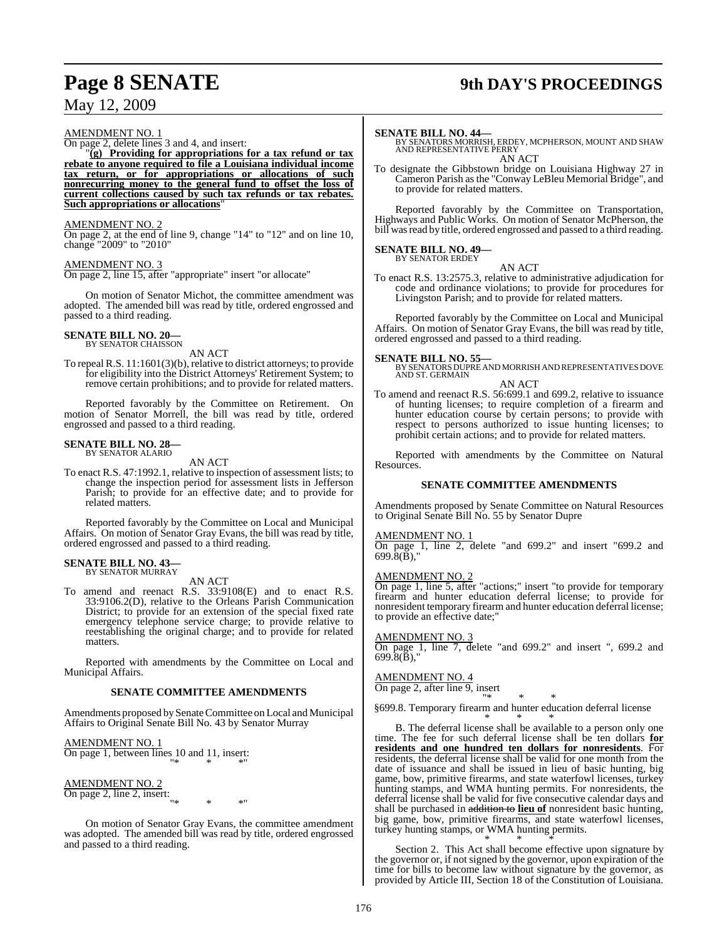# **Page 8 SENATE 9th DAY'S PROCEEDINGS**

## May 12, 2009

#### AMENDMENT NO. 1

On page 2, delete lines 3 and 4, and insert:

 $\tilde{q}(g)$  Providing for appropriations for a tax refund or tax **rebate to anyone required to file a Louisiana individual income tax return, or for appropriations or allocations of such nonrecurring money to the general fund to offset the loss of current collections caused by such tax refunds or tax rebates. Such appropriations or allocations**"

#### AMENDMENT NO. 2

On page 2, at the end of line 9, change "14" to "12" and on line 10, change "2009" to "2010"

#### AMENDMENT NO. 3

On page 2, line 15, after "appropriate" insert "or allocate"

On motion of Senator Michot, the committee amendment was adopted. The amended bill was read by title, ordered engrossed and passed to a third reading.

# **SENATE BILL NO. 20—** BY SENATOR CHAISSON

AN ACT

To repeal R.S. 11:1601(3)(b), relative to district attorneys; to provide for eligibility into the District Attorneys' Retirement System; to remove certain prohibitions; and to provide for related matters.

Reported favorably by the Committee on Retirement. On motion of Senator Morrell, the bill was read by title, ordered engrossed and passed to a third reading.

#### **SENATE BILL NO. 28—** BY SENATOR ALARIO

AN ACT

To enact R.S. 47:1992.1, relative to inspection of assessment lists; to change the inspection period for assessment lists in Jefferson Parish; to provide for an effective date; and to provide for related matters.

Reported favorably by the Committee on Local and Municipal Affairs. On motion of Senator Gray Evans, the bill was read by title, ordered engrossed and passed to a third reading.

#### **SENATE BILL NO. 43—** BY SENATOR MURRAY

AN ACT

To amend and reenact R.S. 33:9108(E) and to enact R.S. 33:9106.2(D), relative to the Orleans Parish Communication District; to provide for an extension of the special fixed rate emergency telephone service charge; to provide relative to reestablishing the original charge; and to provide for related matters.

Reported with amendments by the Committee on Local and Municipal Affairs.

#### **SENATE COMMITTEE AMENDMENTS**

Amendments proposed by Senate Committee on Local and Municipal Affairs to Original Senate Bill No. 43 by Senator Murray

AMENDMENT NO. 1 On page 1, between lines 10 and 11, insert: "\* \* \*"

## AMENDMENT NO. 2

 $\frac{\text{A<sub>NILIVLI} \times \text{B}}{\text{On page 2, line 2, insert:}}</sub>$ </sub> "\* \* \*"

On motion of Senator Gray Evans, the committee amendment was adopted. The amended bill was read by title, ordered engrossed and passed to a third reading.

**SENATE BILL NO. 44—**<br>BY SENATORS MORRISH, ERDEY, MCPHERSON, MOUNT AND SHAW<br>AND REPRESENTATIVE PERRY AN ACT

To designate the Gibbstown bridge on Louisiana Highway 27 in Cameron Parish asthe "Conway LeBleu Memorial Bridge", and to provide for related matters.

Reported favorably by the Committee on Transportation, Highways and Public Works. On motion of Senator McPherson, the bill was read by title, ordered engrossed and passed to a third reading.

#### **SENATE BILL NO. 49—** BY SENATOR ERDEY

AN ACT

To enact R.S. 13:2575.3, relative to administrative adjudication for code and ordinance violations; to provide for procedures for Livingston Parish; and to provide for related matters.

Reported favorably by the Committee on Local and Municipal Affairs. On motion of Senator Gray Evans, the bill was read by title, ordered engrossed and passed to a third reading.

**SENATE BILL NO. 55—** BY SENATORS DUPRE AND MORRISH AND REPRESENTATIVES DOVE AND ST. GERMAIN AN ACT

To amend and reenact R.S. 56:699.1 and 699.2, relative to issuance of hunting licenses; to require completion of a firearm and hunter education course by certain persons; to provide with respect to persons authorized to issue hunting licenses; to prohibit certain actions; and to provide for related matters.

Reported with amendments by the Committee on Natural Resources.

#### **SENATE COMMITTEE AMENDMENTS**

Amendments proposed by Senate Committee on Natural Resources to Original Senate Bill No. 55 by Senator Dupre

#### AMENDMENT NO. 1

On page 1, line 2, delete "and 699.2" and insert "699.2 and 699.8(B),"

#### AMENDMENT NO. 2

On page 1, line 5, after "actions;" insert "to provide for temporary firearm and hunter education deferral license; to provide for nonresident temporary firearm and hunter education deferral license; to provide an effective date;"

#### AMENDMENT NO. 3

On page 1, line 7, delete "and 699.2" and insert ", 699.2 and 699.8(B),"

#### AMENDMENT NO. 4

On page 2, after line 9, insert

"\* \* \* §699.8. Temporary firearm and hunter education deferral license

\* \* \* B. The deferral license shall be available to a person only one time. The fee for such deferral license shall be ten dollars **for residents and one hundred ten dollars for nonresidents**. For residents, the deferral license shall be valid for one month from the date of issuance and shall be issued in lieu of basic hunting, big game, bow, primitive firearms, and state waterfowl licenses, turkey hunting stamps, and WMA hunting permits. For nonresidents, the deferral license shall be valid for five consecutive calendar days and shall be purchased in addition to **lieu of** nonresident basic hunting, big game, bow, primitive firearms, and state waterfowl licenses, turkey hunting stamps, or WMA hunting permits. \* \* \*

Section 2. This Act shall become effective upon signature by the governor or, if not signed by the governor, upon expiration of the time for bills to become law without signature by the governor, as provided by Article III, Section 18 of the Constitution of Louisiana.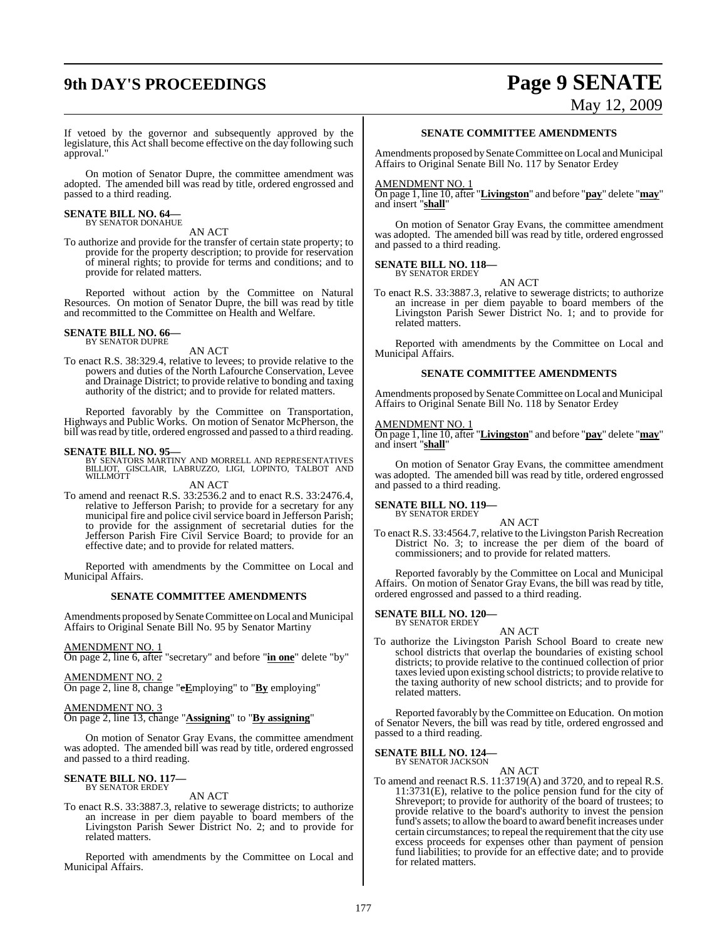# **9th DAY'S PROCEEDINGS Page 9 SENATE**

# May 12, 2009

If vetoed by the governor and subsequently approved by the legislature, this Act shall become effective on the day following such approval."

On motion of Senator Dupre, the committee amendment was adopted. The amended bill was read by title, ordered engrossed and passed to a third reading.

# **SENATE BILL NO. 64—** BY SENATOR DONAHUE

AN ACT

To authorize and provide for the transfer of certain state property; to provide for the property description; to provide for reservation of mineral rights; to provide for terms and conditions; and to provide for related matters.

Reported without action by the Committee on Natural Resources. On motion of Senator Dupre, the bill was read by title and recommitted to the Committee on Health and Welfare.

# **SENATE BILL NO. 66—** BY SENATOR DUPRE

AN ACT

To enact R.S. 38:329.4, relative to levees; to provide relative to the powers and duties of the North Lafourche Conservation, Levee and Drainage District; to provide relative to bonding and taxing authority of the district; and to provide for related matters.

Reported favorably by the Committee on Transportation, Highways and Public Works. On motion of Senator McPherson, the bill was read by title, ordered engrossed and passed to a third reading.

**SENATE BILL NO. 95—**<br>BY SENATORS MARTINY AND MORRELL AND REPRESENTATIVES<br>BILLIOT, GISCLAIR, LABRUZZO, LIGI, LOPINTO, TALBOT AND<br>WILLMOTT

AN ACT

To amend and reenact R.S. 33:2536.2 and to enact R.S. 33:2476.4, relative to Jefferson Parish; to provide for a secretary for any municipal fire and police civil service board in Jefferson Parish; to provide for the assignment of secretarial duties for the Jefferson Parish Fire Civil Service Board; to provide for an effective date; and to provide for related matters.

Reported with amendments by the Committee on Local and Municipal Affairs.

#### **SENATE COMMITTEE AMENDMENTS**

Amendments proposed by Senate Committee on Local and Municipal Affairs to Original Senate Bill No. 95 by Senator Martiny

#### AMENDMENT NO. 1

On page 2, line 6, after "secretary" and before "**in one**" delete "by"

#### AMENDMENT NO. 2

On page 2, line 8, change "e**E**mploying" to "**By** employing"

#### AMENDMENT NO. 3

On page 2, line 13, change "**Assigning**" to "**By assigning**"

On motion of Senator Gray Evans, the committee amendment was adopted. The amended bill was read by title, ordered engrossed and passed to a third reading.

#### **SENATE BILL NO. 117—** BY SENATOR ERDEY

AN ACT

To enact R.S. 33:3887.3, relative to sewerage districts; to authorize an increase in per diem payable to board members of the Livingston Parish Sewer District No. 2; and to provide for related matters.

Reported with amendments by the Committee on Local and Municipal Affairs.

#### **SENATE COMMITTEE AMENDMENTS**

Amendments proposed by Senate Committee on Local and Municipal Affairs to Original Senate Bill No. 117 by Senator Erdey

#### AMENDMENT NO. 1

On page 1, line 10, after "**Livingston**" and before "**pay**" delete "**may**" and insert "**shall**"

On motion of Senator Gray Evans, the committee amendment was adopted. The amended bill was read by title, ordered engrossed and passed to a third reading.

## **SENATE BILL NO. 118—**

BY SENATOR ERDEY

To enact R.S. 33:3887.3, relative to sewerage districts; to authorize an increase in per diem payable to board members of the Livingston Parish Sewer District No. 1; and to provide for related matters.

AN ACT

Reported with amendments by the Committee on Local and Municipal Affairs.

#### **SENATE COMMITTEE AMENDMENTS**

Amendments proposed by Senate Committee on Local and Municipal Affairs to Original Senate Bill No. 118 by Senator Erdey

#### AMENDMENT NO. 1

On page 1, line 10, after "**Livingston**" and before "**pay**" delete "**may**" and insert "**shall**"

On motion of Senator Gray Evans, the committee amendment was adopted. The amended bill was read by title, ordered engrossed and passed to a third reading.

#### **SENATE BILL NO. 119—** BY SENATOR ERDEY

AN ACT To enact R.S. 33:4564.7, relative to the Livingston Parish Recreation District No. 3; to increase the per diem of the board of commissioners; and to provide for related matters.

Reported favorably by the Committee on Local and Municipal Affairs. On motion of Senator Gray Evans, the bill was read by title, ordered engrossed and passed to a third reading.

# **SENATE BILL NO. 120—** BY SENATOR ERDEY

#### AN ACT

To authorize the Livingston Parish School Board to create new school districts that overlap the boundaries of existing school districts; to provide relative to the continued collection of prior taxeslevied upon existing school districts; to provide relative to the taxing authority of new school districts; and to provide for related matters.

Reported favorably by the Committee on Education. On motion of Senator Nevers, the bill was read by title, ordered engrossed and passed to a third reading.

# **SENATE BILL NO. 124—** BY SENATOR JACKSON

AN ACT

To amend and reenact R.S. 11:3719(A) and 3720, and to repeal R.S. 11:3731(E), relative to the police pension fund for the city of Shreveport; to provide for authority of the board of trustees; to provide relative to the board's authority to invest the pension fund's assets; to allowthe board to award benefit increases under certain circumstances; to repeal the requirement that the city use excess proceeds for expenses other than payment of pension fund liabilities; to provide for an effective date; and to provide for related matters.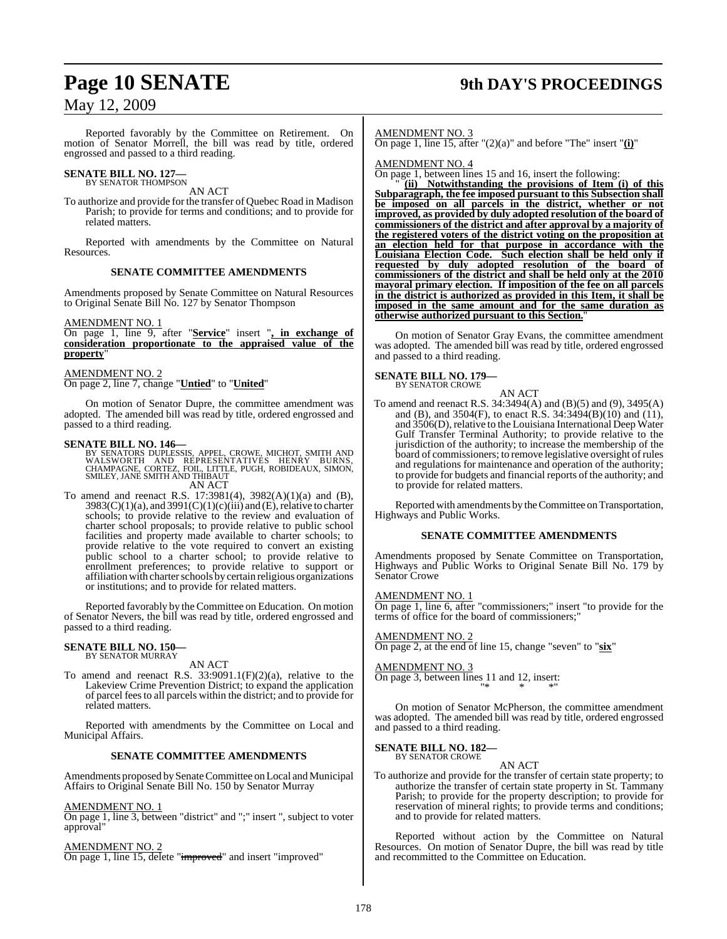# **Page 10 SENATE 9th DAY'S PROCEEDINGS**

## May 12, 2009

Reported favorably by the Committee on Retirement. On motion of Senator Morrell, the bill was read by title, ordered engrossed and passed to a third reading.

# **SENATE BILL NO. 127—**<br>BY SENATOR THOMPSON

AN ACT

To authorize and provide for the transfer of Quebec Road in Madison Parish; to provide for terms and conditions; and to provide for related matters.

Reported with amendments by the Committee on Natural Resources.

#### **SENATE COMMITTEE AMENDMENTS**

Amendments proposed by Senate Committee on Natural Resources to Original Senate Bill No. 127 by Senator Thompson

#### AMENDMENT NO. 1

On page 1, line 9, after "**Service**" insert "**, in exchange of consideration proportionate to the appraised value of the property**"

#### AMENDMENT NO. 2

On page 2, line 7, change "**Untied**" to "**United**"

On motion of Senator Dupre, the committee amendment was adopted. The amended bill was read by title, ordered engrossed and passed to a third reading.

**SENATE BILL NO. 146—**<br>BY SENATORS DUPLESSIS, APPEL, CROWE, MICHOT, SMITH AND<br>WALSWORTH AND REPRESENTATIVES HENRY BURNS,<br>CHAMPAGNE, CORTEZ, FOIL, LITTLE, PUGH, ROBIDEAUX, SIMON,<br>SMILEY, JANE SMITH AND THIBAUT

AN ACT

To amend and reenact R.S. 17:3981(4), 3982(A)(1)(a) and (B),  $3983(C)(1)(a)$ , and  $3991(C)(1)(c)(iii)$  and (E), relative to charter schools; to provide relative to the review and evaluation of charter school proposals; to provide relative to public school facilities and property made available to charter schools; to provide relative to the vote required to convert an existing public school to a charter school; to provide relative to enrollment preferences; to provide relative to support or affiliation with charter schools by certain religious organizations or institutions; and to provide for related matters.

Reported favorably by the Committee on Education. On motion of Senator Nevers, the bill was read by title, ordered engrossed and passed to a third reading.

#### **SENATE BILL NO. 150—** BY SENATOR MURRAY

AN ACT

To amend and reenact R.S. 33:9091.1(F)(2)(a), relative to the Lakeview Crime Prevention District; to expand the application of parcel feesto all parcels within the district; and to provide for related matters.

Reported with amendments by the Committee on Local and Municipal Affairs.

#### **SENATE COMMITTEE AMENDMENTS**

Amendments proposed by Senate Committee on Local and Municipal Affairs to Original Senate Bill No. 150 by Senator Murray

#### AMENDMENT NO. 1

On page 1, line 3, between "district" and ";" insert ", subject to voter approval"

AMENDMENT NO. 2 On page 1, line 15, delete "improved" and insert "improved" AMENDMENT NO. 3

On page 1, line 15, after "(2)(a)" and before "The" insert "**(i)**"

AMENDMENT NO. 4

On page 1, between lines 15 and 16, insert the following:

 $(iii)$  Notwithstanding the provisions of Item (i) of this **Subparagraph, the fee imposed pursuant to this Subsection shall be imposed on all parcels in the district, whether or not improved, as provided by duly adopted resolution of the board of commissioners of the district and after approval by a majority of the registered voters of the district voting on the proposition at an election held for that purpose in accordance with the Louisiana Election Code. Such election shall be held only if requested by duly adopted resolution of the board of commissioners of the district and shall be held only at the 2010 mayoral primary election. If imposition of the fee on all parcels in the district is authorized as provided in this Item, it shall be imposed in the same amount and for the same duration as otherwise authorized pursuant to this Section.**"

On motion of Senator Gray Evans, the committee amendment was adopted. The amended bill was read by title, ordered engrossed and passed to a third reading.

**SENATE BILL NO. 179** BY SENATOR CROWE

AN ACT

To amend and reenact R.S. 34:3494(A) and (B)(5) and (9), 3495(A) and (B), and  $3504(F)$ , to enact R.S.  $34:3494(B)(10)$  and  $(11)$ , and 3506(D), relative to the Louisiana International Deep Water Gulf Transfer Terminal Authority; to provide relative to the jurisdiction of the authority; to increase the membership of the board of commissioners; to remove legislative oversight of rules and regulations for maintenance and operation of the authority; to provide for budgets and financial reports of the authority; and to provide for related matters.

Reported with amendments by the Committee on Transportation, Highways and Public Works.

#### **SENATE COMMITTEE AMENDMENTS**

Amendments proposed by Senate Committee on Transportation, Highways and Public Works to Original Senate Bill No. 179 by Senator Crowe

#### AMENDMENT NO. 1

On page 1, line 6, after "commissioners;" insert "to provide for the terms of office for the board of commissioners;

AMENDMENT NO. 2 On page 2, at the end of line 15, change "seven" to "**six**"

AMENDMENT NO. 3 On page 3, between lines 11 and 12, insert: "\* \* \*"

On motion of Senator McPherson, the committee amendment was adopted. The amended bill was read by title, ordered engrossed and passed to a third reading.

**SENATE BILL NO. 182—** BY SENATOR CROWE

#### AN ACT

To authorize and provide for the transfer of certain state property; to authorize the transfer of certain state property in St. Tammany Parish; to provide for the property description; to provide for reservation of mineral rights; to provide terms and conditions; and to provide for related matters.

Reported without action by the Committee on Natural Resources. On motion of Senator Dupre, the bill was read by title and recommitted to the Committee on Education.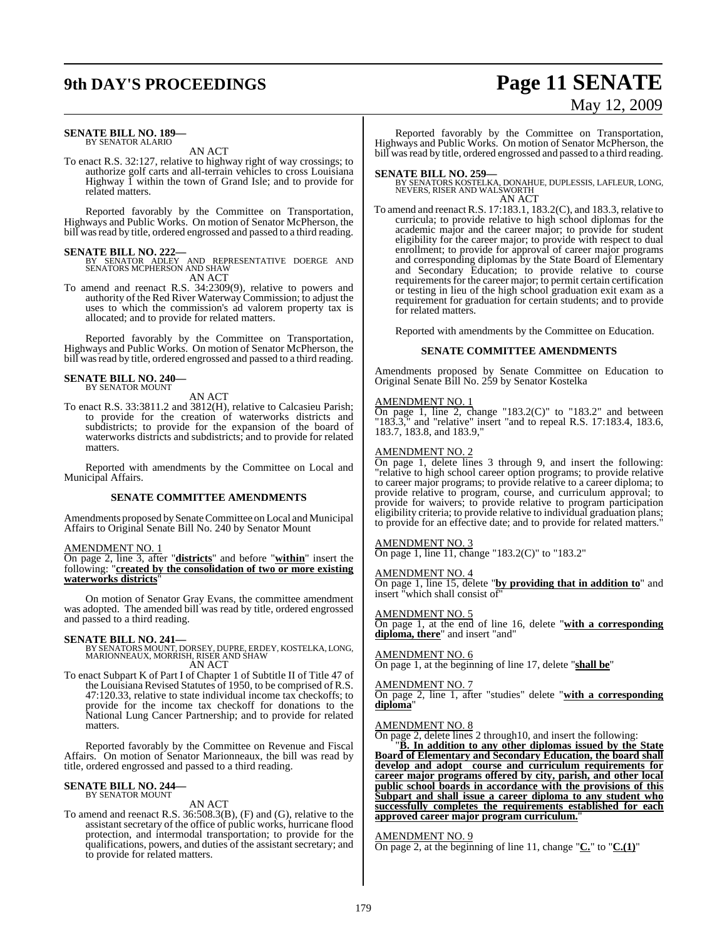# **9th DAY'S PROCEEDINGS Page 11 SENATE**

#### **SENATE BILL NO. 189—** BY SENATOR ALARIO

AN ACT

To enact R.S. 32:127, relative to highway right of way crossings; to authorize golf carts and all-terrain vehicles to cross Louisiana Highway 1 within the town of Grand Isle; and to provide for related matters.

Reported favorably by the Committee on Transportation, Highways and Public Works. On motion of Senator McPherson, the bill was read by title, ordered engrossed and passed to a third reading.

### **SENATE BILL NO. 222—**

BY SENATOR ADLEY AND REPRESENTATIVE DOERGE AND SENATORS MCPHERSON AND SHAW AN ACT

To amend and reenact R.S. 34:2309(9), relative to powers and authority of the Red River Waterway Commission; to adjust the uses to which the commission's ad valorem property tax is allocated; and to provide for related matters.

Reported favorably by the Committee on Transportation, Highways and Public Works. On motion of Senator McPherson, the bill was read by title, ordered engrossed and passed to a third reading.

# **SENATE BILL NO. 240—** BY SENATOR MOUNT

AN ACT

To enact R.S. 33:3811.2 and 3812(H), relative to Calcasieu Parish; to provide for the creation of waterworks districts and subdistricts; to provide for the expansion of the board of waterworks districts and subdistricts; and to provide for related matters.

Reported with amendments by the Committee on Local and Municipal Affairs.

#### **SENATE COMMITTEE AMENDMENTS**

Amendments proposed by Senate Committee on Local and Municipal Affairs to Original Senate Bill No. 240 by Senator Mount

#### AMENDMENT NO. 1

On page 2, line 3, after "**districts**" and before "**within**" insert the following: "**created by the consolidation of two or more existing waterworks districts**"

On motion of Senator Gray Evans, the committee amendment was adopted. The amended bill was read by title, ordered engrossed and passed to a third reading.

**SENATE BILL NO. 241—** BY SENATORS MOUNT, DORSEY, DUPRE, ERDEY, KOSTELKA, LONG, MARIONNEAUX, MORRISH, RISER AND SHAW AN ACT

To enact Subpart K of Part I of Chapter 1 of Subtitle II of Title 47 of the Louisiana Revised Statutes of 1950, to be comprised of R.S. 47:120.33, relative to state individual income tax checkoffs; to provide for the income tax checkoff for donations to the National Lung Cancer Partnership; and to provide for related matters.

Reported favorably by the Committee on Revenue and Fiscal Affairs. On motion of Senator Marionneaux, the bill was read by title, ordered engrossed and passed to a third reading.

#### **SENATE BILL NO. 244—** BY SENATOR MOUNT

## AN ACT

To amend and reenact R.S. 36:508.3(B), (F) and (G), relative to the assistant secretary of the office of public works, hurricane flood protection, and intermodal transportation; to provide for the qualifications, powers, and duties of the assistant secretary; and to provide for related matters.

Reported favorably by the Committee on Transportation, Highways and Public Works. On motion of Senator McPherson, the bill was read by title, ordered engrossed and passed to a third reading.

**SENATE BILL NO. 259—** BY SENATORS KOSTELKA, DONAHUE, DUPLESSIS, LAFLEUR, LONG, NEVERS, RISER AND WALSWORTH AN ACT

To amend and reenact R.S. 17:183.1, 183.2(C), and 183.3, relative to curricula; to provide relative to high school diplomas for the academic major and the career major; to provide for student eligibility for the career major; to provide with respect to dual enrollment; to provide for approval of career major programs and corresponding diplomas by the State Board of Elementary and Secondary Education; to provide relative to course requirements for the career major; to permit certain certification or testing in lieu of the high school graduation exit exam as a requirement for graduation for certain students; and to provide for related matters.

Reported with amendments by the Committee on Education.

#### **SENATE COMMITTEE AMENDMENTS**

Amendments proposed by Senate Committee on Education to Original Senate Bill No. 259 by Senator Kostelka

#### AMENDMENT NO. 1

On page 1, line 2, change "183.2(C)" to "183.2" and between "183.3," and "relative" insert "and to repeal R.S. 17:183.4, 183.6, 183.7, 183.8, and 183.9,"

#### AMENDMENT NO. 2

On page 1, delete lines 3 through 9, and insert the following: "relative to high school career option programs; to provide relative to career major programs; to provide relative to a career diploma; to provide relative to program, course, and curriculum approval; to provide for waivers; to provide relative to program participation eligibility criteria; to provide relative to individual graduation plans; to provide for an effective date; and to provide for related matters."

#### AMENDMENT NO. 3

On page 1, line 11, change "183.2(C)" to "183.2"

#### AMENDMENT NO. 4

On page 1, line 15, delete "**by providing that in addition to**" and insert "which shall consist of"

#### AMENDMENT NO. 5

On page 1, at the end of line 16, delete "**with a corresponding diploma, there**" and insert "and"

#### AMENDMENT NO. 6

On page 1, at the beginning of line 17, delete "**shall be**"

#### AMENDMENT NO. 7

On page 2, line 1, after "studies" delete "**with a corresponding diploma**"

#### AMENDMENT NO. 8

On page 2, delete lines 2 through10, and insert the following:

"**B. In addition to any other diplomas issued by the State Board of Elementary and Secondary Education, the board shall develop and adopt course and curriculum requirements for career major programs offered by city, parish, and other local public school boards in accordance with the provisions of this Subpart and shall issue a career diploma to any student who successfully completes the requirements established for each approved career major program curriculum.**"

#### AMENDMENT NO. 9

On page 2, at the beginning of line 11, change "**C.**" to "**C.(1)**"

# May 12, 2009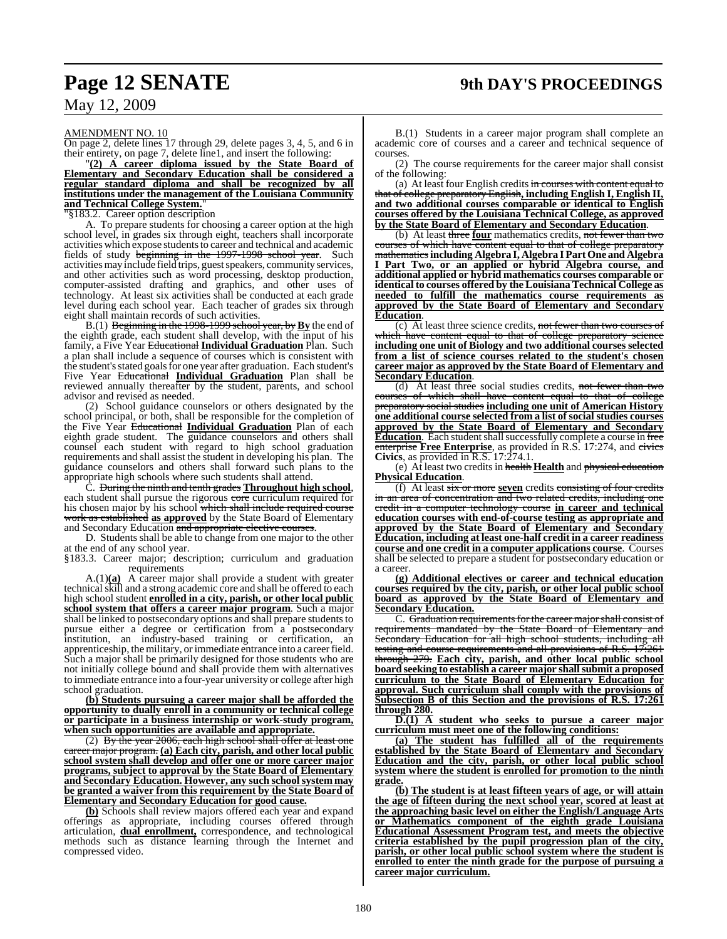AMENDMENT NO. 10

On page 2, delete lines 17 through 29, delete pages 3, 4, 5, and 6 in their entirety, on page 7, delete line1, and insert the following:

"**(2) A career diploma issued by the State Board of Elementary and Secondary Education shall be considered a regular standard diploma and shall be recognized by all institutions under the management of the Louisiana Community and Technical College System.**"

"§183.2. Career option description

A. To prepare students for choosing a career option at the high school level, in grades six through eight, teachers shall incorporate activities which expose students to career and technical and academic fields of study beginning in the 1997-1998 school year. Such activities may include field trips, guest speakers, community services, and other activities such as word processing, desktop production, computer-assisted drafting and graphics, and other uses of technology. At least six activities shall be conducted at each grade level during each school year. Each teacher of grades six through eight shall maintain records of such activities.

B.(1) Beginning in the 1998-1999 school year, by**By** the end of the eighth grade, each student shall develop, with the input of his family, a Five Year Educational **Individual Graduation** Plan. Such a plan shall include a sequence of courses which is consistent with the student'sstated goalsfor one year after graduation. Each student's Five Year Educational **Individual Graduation** Plan shall be reviewed annually thereafter by the student, parents, and school advisor and revised as needed.

(2) School guidance counselors or others designated by the school principal, or both, shall be responsible for the completion of the Five Year Educational **Individual Graduation** Plan of each eighth grade student. The guidance counselors and others shall counsel each student with regard to high school graduation requirements and shall assist the student in developing his plan. The guidance counselors and others shall forward such plans to the appropriate high schools where such students shall attend.

C. During the ninth and tenth grades **Throughout high school**, each student shall pursue the rigorous core curriculum required for his chosen major by his school which shall include required course work as established **as approved** by the State Board of Elementary and Secondary Education and appropriate elective courses.

D. Students shall be able to change from one major to the other at the end of any school year.

§183.3. Career major; description; curriculum and graduation requirements

A.(1)**(a)** A career major shall provide a student with greater technical skill and a strong academic core and shall be offered to each high school student **enrolled in a city, parish, or other local public school system that offers a career major program**. Such a major shall be linked to postsecondary options and shall prepare students to pursue either a degree or certification from a postsecondary institution, an industry-based training or certification, an apprenticeship, the military, orimmediate entrance into a careerfield. Such a major shall be primarily designed for those students who are not initially college bound and shall provide them with alternatives to immediate entrance into a four-year university or college after high school graduation.

**(b) Students pursuing a career major shall be afforded the opportunity to dually enroll in a community or technical college or participate in a business internship or work-study program, when such opportunities are available and appropriate.**

(2) By the year  $2006$ , each high school shall offer at least one career major program. **(a) Each city, parish, and other local public school system shall develop and offer one or more career major programs, subject to approval by the State Board of Elementary and Secondary Education. However, any such school system may be granted a waiver from this requirement by the State Board of Elementary and Secondary Education for good cause.**

**(b)** Schools shall review majors offered each year and expand offerings as appropriate, including courses offered through articulation, **dual enrollment,** correspondence, and technological methods such as distance learning through the Internet and compressed video.

B.(1) Students in a career major program shall complete an academic core of courses and a career and technical sequence of courses.

(2) The course requirements for the career major shall consist of the following:

(a) At least four English credits in courses with content equal to that of college preparatory English**, including English I, English II, and two additional courses comparable or identical to English courses offered by the Louisiana Technical College, as approved by the State Board of Elementary and Secondary Education**.

(b) At least three **four** mathematics credits, not fewer than two courses of which have content equal to that of college preparatory mathematics**including Algebra I, Algebra I Part One and Algebra I Part Two, or an applied or hybrid Algebra course, and additional applied or hybrid mathematics courses comparable or identical to courses offered by the Louisiana Technical College as needed to fulfill the mathematics course requirements as approved by the State Board of Elementary and Secondary Education**.

(c) At least three science credits, not fewer than two courses of have content equal to that of college preparatory science **including one unit of Biology and two additional courses selected from a list of science courses related to the student's chosen career major as approved by the State Board of Elementary and Secondary Education**.

(d) At least three social studies credits, not fewer than two of which shall have content equal to that of college preparatory social studies **including one unit of American History one additional course selected from a list of social studies courses approved by the State Board of Elementary and Secondary Education**. Each student shall successfully complete a course in free enterprise **Free Enterprise**, as provided in R.S. 17:274, and civics **Civics**, as provided in  $R.S. 17:274.1$ .

(e) At least two credits in health **Health** and physical education **Physical Education**.

(f) At least six or more **seven** credits consisting of four credits in an area of concentration and two related credits, including one credit in a computer technology course **in career and technical education courses with end-of-course testing as appropriate and approved by the State Board of Elementary and Secondary Education, including at least one-half credit in a career readiness course and one credit in a computer applications course**. Courses shall be selected to prepare a student for postsecondary education or a career.

**(g) Additional electives or career and technical education courses required by the city, parish, or other local public school board as approved by the State Board of Elementary and Secondary Education.**

C. Graduation requirements for the career major shall consist of requirements mandated by the State Board of Elementary and<br>Secondary Education for all high school students including all Secondary Education for all high school students, including testing and course requirements and all provisions of R.S. 17:261 through 279. **Each city, parish, and other local public school board seeking to establish a career major shallsubmit a proposed curriculum to the State Board of Elementary Education for approval. Such curriculum shall comply with the provisions of Subsection B of this Section and the provisions of R.S. 17:261 through 280.**

**D.(1) A student who seeks to pursue a career major curriculum must meet one of the following conditions:**

**(a) The student has fulfilled all of the requirements established by the State Board of Elementary and Secondary Education and the city, parish, or other local public school system where the student is enrolled for promotion to the ninth grade.**

**(b) The student is at least fifteen years of age, or will attain the age of fifteen during the next school year, scored at least at the approaching basic level on either the English/Language Arts or Mathematics component of the eighth grade Louisiana Educational Assessment Program test, and meets the objective criteria established by the pupil progression plan of the city, parish, or other local public school system where the student is enrolled to enter the ninth grade for the purpose of pursuing a career major curriculum.**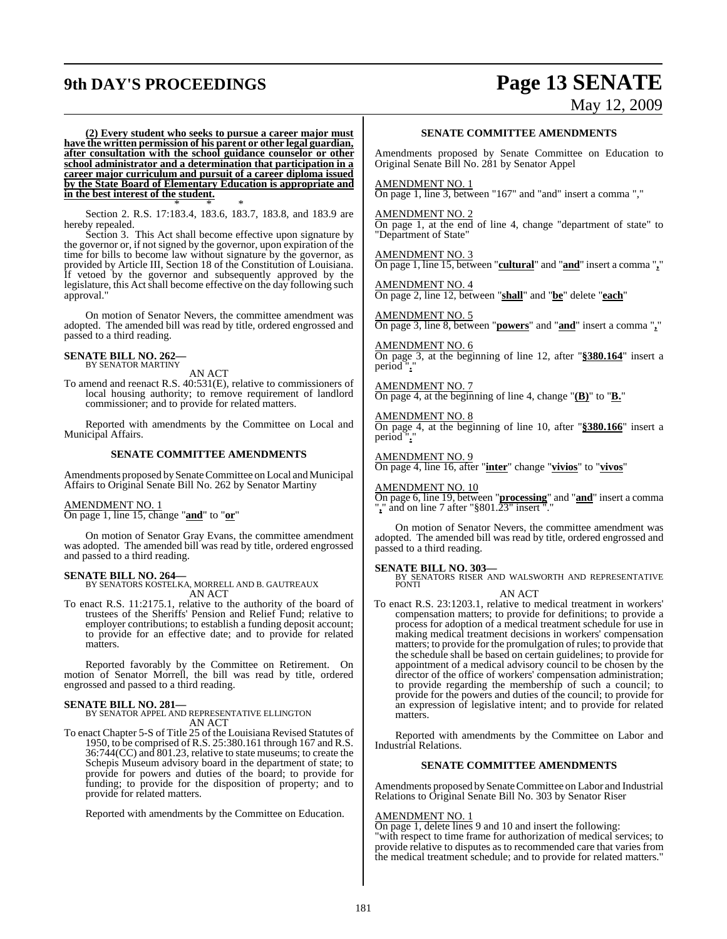# **9th DAY'S PROCEEDINGS Page 13 SENATE**

May 12, 2009

**(2) Every student who seeks to pursue a career major must have the written permission of his parent or other legal guardian, after consultation with the school guidance counselor or other school administrator and a determination that participation in a career major curriculum and pursuit of a career diploma issued by the State Board of Elementary Education is appropriate and in the best interest of the student.** \* \* \*

Section 2. R.S. 17:183.4, 183.6, 183.7, 183.8, and 183.9 are hereby repealed.

Section 3. This Act shall become effective upon signature by the governor or, if not signed by the governor, upon expiration of the time for bills to become law without signature by the governor, as provided by Article III, Section 18 of the Constitution of Louisiana. If vetoed by the governor and subsequently approved by the legislature, this Act shall become effective on the day following such approval."

On motion of Senator Nevers, the committee amendment was adopted. The amended bill was read by title, ordered engrossed and passed to a third reading.

#### **SENATE BILL NO. 262—** BY SENATOR MARTINY

AN ACT

To amend and reenact R.S. 40:531(E), relative to commissioners of local housing authority; to remove requirement of landlord commissioner; and to provide for related matters.

Reported with amendments by the Committee on Local and Municipal Affairs.

#### **SENATE COMMITTEE AMENDMENTS**

Amendments proposed bySenate Committee on Local and Municipal Affairs to Original Senate Bill No. 262 by Senator Martiny

#### AMENDMENT NO. 1

On page 1, line 15, change "**and**" to "**or**"

On motion of Senator Gray Evans, the committee amendment was adopted. The amended bill was read by title, ordered engrossed and passed to a third reading.

#### **SENATE BILL NO. 264—**

BY SENATORS KOSTELKA, MORRELL AND B. GAUTREAUX AN ACT

To enact R.S. 11:2175.1, relative to the authority of the board of trustees of the Sheriffs' Pension and Relief Fund; relative to employer contributions; to establish a funding deposit account; to provide for an effective date; and to provide for related matters.

Reported favorably by the Committee on Retirement. On motion of Senator Morrell, the bill was read by title, ordered engrossed and passed to a third reading.

**SENATE BILL NO. 281—** BY SENATOR APPEL AND REPRESENTATIVE ELLINGTON AN ACT

To enact Chapter 5-S of Title 25 of the Louisiana Revised Statutes of 1950, to be comprised of R.S. 25:380.161 through 167 and R.S. 36:744(CC) and 801.23, relative to state museums; to create the Schepis Museum advisory board in the department of state; to provide for powers and duties of the board; to provide for funding; to provide for the disposition of property; and to provide for related matters.

Reported with amendments by the Committee on Education.

#### **SENATE COMMITTEE AMENDMENTS**

Amendments proposed by Senate Committee on Education to Original Senate Bill No. 281 by Senator Appel

#### AMENDMENT NO. 1

On page 1, line 3, between "167" and "and" insert a comma ","

#### AMENDMENT NO. 2

On page 1, at the end of line 4, change "department of state" to "Department of State"

AMENDMENT NO. 3 On page 1, line 15, between "**cultural**" and "**and**" insert a comma "**,**"

AMENDMENT NO. 4 On page 2, line 12, between "**shall**" and "**be**" delete "**each**"

AMENDMENT NO. 5 On page 3, line 8, between "**powers**" and "**and**" insert a comma "**,**"

AMENDMENT NO. 6 On page 3, at the beginning of line 12, after "**§380.164**" insert a period".

AMENDMENT NO. 7 On page 4, at the beginning of line 4, change "**(B)**" to "**B.**"

AMENDMENT NO. 8 On page 4, at the beginning of line 10, after "**§380.166**" insert a period "**.**"

AMENDMENT NO. 9 On page 4, line 16, after "**inter**" change "**vivios**" to "**vivos**"

AMENDMENT NO. 10

On page 6, line 19, between "**processing**" and "**and**" insert a comma "**,**" and on line 7 after "§801.23" insert "."

On motion of Senator Nevers, the committee amendment was adopted. The amended bill was read by title, ordered engrossed and passed to a third reading.

#### **SENATE BILL NO. 303—**

BY SENATORS RISER AND WALSWORTH AND REPRESENTATIVE PONTI

AN ACT

To enact R.S. 23:1203.1, relative to medical treatment in workers' compensation matters; to provide for definitions; to provide a process for adoption of a medical treatment schedule for use in making medical treatment decisions in workers' compensation matters; to provide for the promulgation of rules; to provide that the schedule shall be based on certain guidelines; to provide for appointment of a medical advisory council to be chosen by the director of the office of workers' compensation administration; to provide regarding the membership of such a council; to provide for the powers and duties of the council; to provide for an expression of legislative intent; and to provide for related matters.

Reported with amendments by the Committee on Labor and Industrial Relations.

#### **SENATE COMMITTEE AMENDMENTS**

Amendments proposed by Senate Committee on Labor and Industrial Relations to Original Senate Bill No. 303 by Senator Riser

#### AMENDMENT NO. 1

On page 1, delete lines 9 and 10 and insert the following: "with respect to time frame for authorization of medical services; to provide relative to disputes as to recommended care that varies from the medical treatment schedule; and to provide for related matters."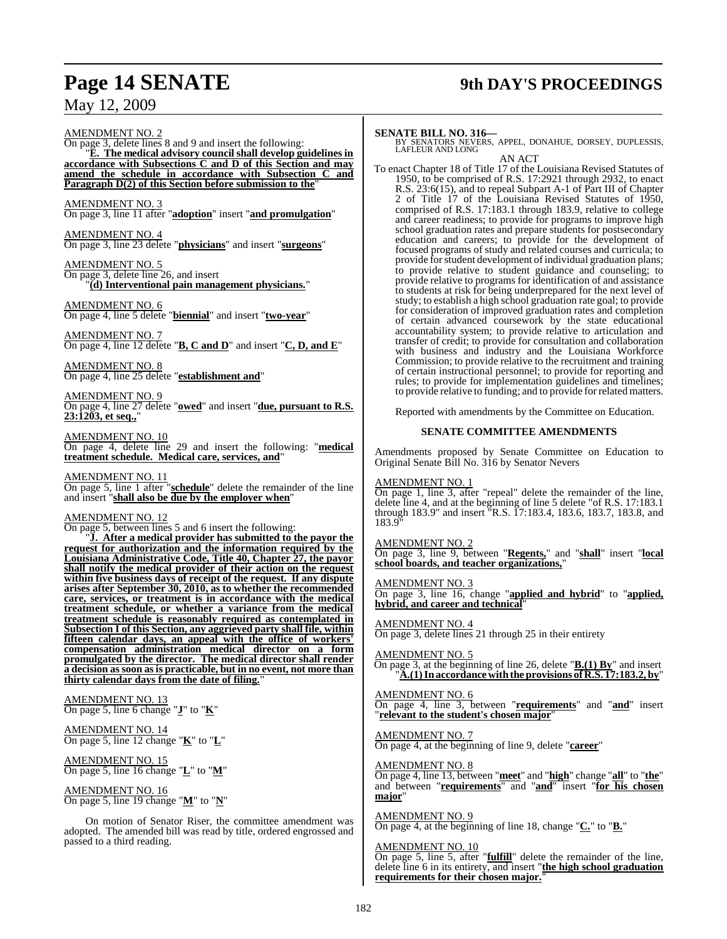# **Page 14 SENATE 9th DAY'S PROCEEDINGS**

May 12, 2009

AMENDMENT NO. 2 On page 3, delete lines 8 and 9 and insert the following: "**E. The medical advisory council shall develop guidelines in accordance with Subsections C and D of this Section and may amend the schedule in accordance with Subsection C and Paragraph D(2) of this Section before submission to the**" AMENDMENT NO. 3 On page 3, line 11 after "**adoption**" insert "**and promulgation**" AMENDMENT NO. 4 On page 3, line 23 delete "**physicians**" and insert "**surgeons**" AMENDMENT NO. 5 On page 3, delete line 26, and insert "**(d) Interventional pain management physicians.**" AMENDMENT NO. 6 On page 4, line 5 delete "**biennial**" and insert "**two-year**" AMENDMENT NO. 7 On page 4, line 12 delete "**B, C and D**" and insert "**C, D, and E**" AMENDMENT NO. 8 On page 4, line 25 delete "**establishment and**" AMENDMENT NO. 9 On page 4, line 27 delete "**owed**" and insert "**due, pursuant to R.S. 23:1203, et seq.,**" AMENDMENT NO. 10 On page 4, delete line 29 and insert the following: "**medical treatment schedule. Medical care, services, and**" AMENDMENT NO. 11 On page 5, line 1 after "**schedule**" delete the remainder of the line and insert "**shall also be due by the employer when**" AMENDMENT NO. 12 On page 5, between lines 5 and 6 insert the following: "**J. After a medical provider has submitted to the payor the request for authorization and the information required by the Louisiana Administrative Code, Title 40, Chapter 27, the payor shall notify the medical provider of their action on the request within five business days of receipt of the request. If any dispute arises after September 30, 2010, as to whether the recommended care, services, or treatment is in accordance with the medical treatment schedule, or whether a variance from the medical treatment schedule is reasonably required as contemplated in Subsection I of this Section, any aggrieved party shall file, within fifteen calendar days, an appeal with the office of workers'**

**compensation administration medical director on a form promulgated by the director. The medical director shall render a decision as soon asis practicable, but in no event, not more than thirty calendar days from the date of filing.**"

AMENDMENT NO. 13 On page 5, line 6 change "**J**" to "**K**"

AMENDMENT NO. 14 On page 5, line 12 change "**K**" to "**L**"

AMENDMENT NO. 15 On page 5, line 16 change "**L**" to "**M**"

AMENDMENT NO. 16 On page 5, line 19 change "**M**" to "**N**"

On motion of Senator Riser, the committee amendment was adopted. The amended bill was read by title, ordered engrossed and passed to a third reading.

**SENATE BILL NO. 316—** BY SENATORS NEVERS, APPEL, DONAHUE, DORSEY, DUPLESSIS, LAFLEUR AND LONG AN ACT

To enact Chapter 18 of Title 17 of the Louisiana Revised Statutes of 1950, to be comprised of R.S. 17:2921 through 2932, to enact R.S. 23:6(15), and to repeal Subpart A-1 of Part III of Chapter 2 of Title 17 of the Louisiana Revised Statutes of 1950, comprised of R.S. 17:183.1 through 183.9, relative to college and career readiness; to provide for programs to improve high school graduation rates and prepare students for postsecondary education and careers; to provide for the development of focused programs of study and related courses and curricula; to provide for student development of individual graduation plans; to provide relative to student guidance and counseling; to provide relative to programs for identification of and assistance to students at risk for being underprepared for the next level of study; to establish a high school graduation rate goal; to provide for consideration of improved graduation rates and completion of certain advanced coursework by the state educational accountability system; to provide relative to articulation and transfer of credit; to provide for consultation and collaboration with business and industry and the Louisiana Workforce Commission; to provide relative to the recruitment and training of certain instructional personnel; to provide for reporting and rules; to provide for implementation guidelines and timelines; to provide relative to funding; and to provide for related matters.

Reported with amendments by the Committee on Education.

#### **SENATE COMMITTEE AMENDMENTS**

Amendments proposed by Senate Committee on Education to Original Senate Bill No. 316 by Senator Nevers

#### AMENDMENT NO. 1

On page 1, line 3, after "repeal" delete the remainder of the line, delete line 4, and at the beginning of line 5 delete "of R.S. 17:183.1 through 183.9" and insert "R.S. 17:183.4, 183.6, 183.7, 183.8, and 183.9"

#### AMENDMENT NO. 2

On page 3, line 9, between "**Regents,**" and "**shall**" insert "**local school boards, and teacher organizations,**"

#### AMENDMENT NO. 3

On page 3, line 16, change "**applied and hybrid**" to "**applied, hybrid, and career and technical**"

### AMENDMENT NO. 4

On page 3, delete lines 21 through 25 in their entirety

#### AMENDMENT NO. 5

On page 3, at the beginning of line 26, delete "**B.(1) By**" and insert "**A.(1)Inaccordancewiththe provisions of R.S. 17:183.2, by**"

#### AMENDMENT NO. 6

On page 4, line 3, between "**requirements**" and "**and**" insert "**relevant to the student's chosen major**"

#### AMENDMENT NO. 7

On page 4, at the beginning of line 9, delete "**career**"

#### AMENDMENT NO. 8

On page 4, line 13, between "**meet**" and "**high**" change "**all**" to "**the**" and between "**requirements**" and "**and**" insert "**for his chosen major**"

#### AMENDMENT NO. 9

On page 4, at the beginning of line 18, change "**C.**" to "**B.**"

#### AMENDMENT NO. 10

On page 5, line 5, after "**fulfill**" delete the remainder of the line, delete line 6 in its entirety, and insert "**the high school graduation requirements for their chosen major.**"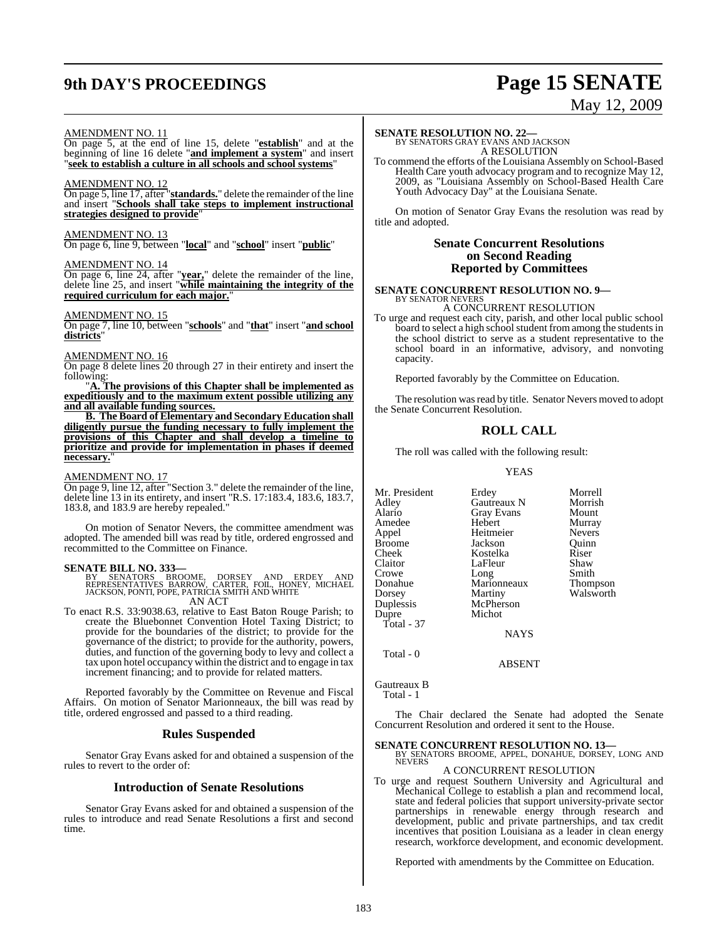# **9th DAY'S PROCEEDINGS Page 15 SENATE**

# May 12, 2009

#### AMENDMENT NO. 11

On page 5, at the end of line 15, delete "**establish**" and at the beginning of line 16 delete "**and implement a system**" and insert "**seek to establish a culture in all schools and school systems**"

#### AMENDMENT NO. 12

On page 5, line 17, after "**standards.**" delete the remainder of the line and insert "**Schools shall take steps to implement instructional strategies designed to provide**"

## AMENDMENT NO. 13

On page 6, line 9, between "**local**" and "**school**" insert "**public**"

## AMENDMENT NO. 14

On page 6, line 24, after "**year,**" delete the remainder of the line, delete line 25, and insert "**while maintaining the integrity of the required curriculum for each major.**"

#### AMENDMENT NO. 15

On page 7, line 10, between "**schools**" and "**that**" insert "**and school districts**"

#### AMENDMENT NO. 16

On page 8 delete lines 20 through 27 in their entirety and insert the following:

"**A. The provisions of this Chapter shall be implemented as expeditiously and to the maximum extent possible utilizing any and all available funding sources.**

**B. The Board of Elementary and Secondary Education shall diligently pursue the funding necessary to fully implement the provisions of this Chapter and shall develop a timeline to prioritize and provide for implementation in phases if deemed necessary.**"

#### AMENDMENT NO. 17

On page 9, line 12, after "Section 3." delete the remainder of the line, delete line 13 in its entirety, and insert "R.S. 17:183.4, 183.6, 183.7, 183.8, and 183.9 are hereby repealed."

On motion of Senator Nevers, the committee amendment was adopted. The amended bill was read by title, ordered engrossed and recommitted to the Committee on Finance.

#### **SENATE BILL NO. 333—**

BY SENATORS BROOME, DORSEY AND ERDEY AND<br>REPRESENTATIVES BARROW, CARTER, FOIL, HONEY, MICHAEL<br>JACKSON,PONTI,POPE,PATRICIA SMITH AND WHITE AN ACT

To enact R.S. 33:9038.63, relative to East Baton Rouge Parish; to create the Bluebonnet Convention Hotel Taxing District; to provide for the boundaries of the district; to provide for the governance of the district; to provide for the authority, powers, duties, and function of the governing body to levy and collect a tax upon hotel occupancy within the district and to engage in tax increment financing; and to provide for related matters.

Reported favorably by the Committee on Revenue and Fiscal Affairs. On motion of Senator Marionneaux, the bill was read by title, ordered engrossed and passed to a third reading.

#### **Rules Suspended**

Senator Gray Evans asked for and obtained a suspension of the rules to revert to the order of:

#### **Introduction of Senate Resolutions**

Senator Gray Evans asked for and obtained a suspension of the rules to introduce and read Senate Resolutions a first and second time.

# **SENATE RESOLUTION NO. 22—** BY SENATORS GRAY EVANS AND JACKSON

A RESOLUTION

To commend the efforts of the Louisiana Assembly on School-Based Health Care youth advocacy program and to recognize May 12, 2009, as "Louisiana Assembly on School-Based Health Care Youth Advocacy Day" at the Louisiana Senate.

On motion of Senator Gray Evans the resolution was read by title and adopted.

#### **Senate Concurrent Resolutions on Second Reading Reported by Committees**

#### **SENATE CONCURRENT RESOLUTION NO. 9—** BY SENATOR NEVERS A CONCURRENT RESOLUTION

To urge and request each city, parish, and other local public school board to select a high school student from among the students in the school district to serve as a student representative to the school board in an informative, advisory, and nonvoting capacity.

Reported favorably by the Committee on Education.

The resolution was read by title. Senator Nevers moved to adopt the Senate Concurrent Resolution.

## **ROLL CALL**

The roll was called with the following result:

YEAS

| Mr. President<br>Adley<br>Alario<br>Amedee<br>Appel<br>Broome<br>Cheek<br>Claitor<br>Crowe<br>Donahue<br>Dorsey<br>Duplessis<br>Dupre | Erdey<br>Gautreaux N<br><b>Gray Evans</b><br>Hebert<br>Heitmeier<br>Jackson<br>Kostelka<br>LaFleur<br>Long<br>Marionneaux<br>Martiny<br>McPherson<br>Michot | Morrell<br>Morrish<br>Mount<br>Murray<br><b>Nevers</b><br>Ouinn<br>Riser<br>Shaw<br>Smith<br><b>Thompson</b><br>Walsworth |
|---------------------------------------------------------------------------------------------------------------------------------------|-------------------------------------------------------------------------------------------------------------------------------------------------------------|---------------------------------------------------------------------------------------------------------------------------|
|                                                                                                                                       |                                                                                                                                                             |                                                                                                                           |
|                                                                                                                                       |                                                                                                                                                             |                                                                                                                           |
|                                                                                                                                       |                                                                                                                                                             |                                                                                                                           |
|                                                                                                                                       |                                                                                                                                                             |                                                                                                                           |
|                                                                                                                                       |                                                                                                                                                             |                                                                                                                           |
|                                                                                                                                       |                                                                                                                                                             |                                                                                                                           |
| Total - 37                                                                                                                            |                                                                                                                                                             |                                                                                                                           |
|                                                                                                                                       | <b>NAYS</b>                                                                                                                                                 |                                                                                                                           |
| Total - 0                                                                                                                             |                                                                                                                                                             |                                                                                                                           |

Gautreaux B Total - 1

The Chair declared the Senate had adopted the Senate Concurrent Resolution and ordered it sent to the House.

ABSENT

# **SENATE CONCURRENT RESOLUTION NO. 13—BY SENATORS BROOME, APPEL, DONAHUE, DORSEY, LONG AND NEVERS**

## A CONCURRENT RESOLUTION

To urge and request Southern University and Agricultural and Mechanical College to establish a plan and recommend local, state and federal policies that support university-private sector partnerships in renewable energy through research and development, public and private partnerships, and tax credit incentives that position Louisiana as a leader in clean energy research, workforce development, and economic development.

Reported with amendments by the Committee on Education.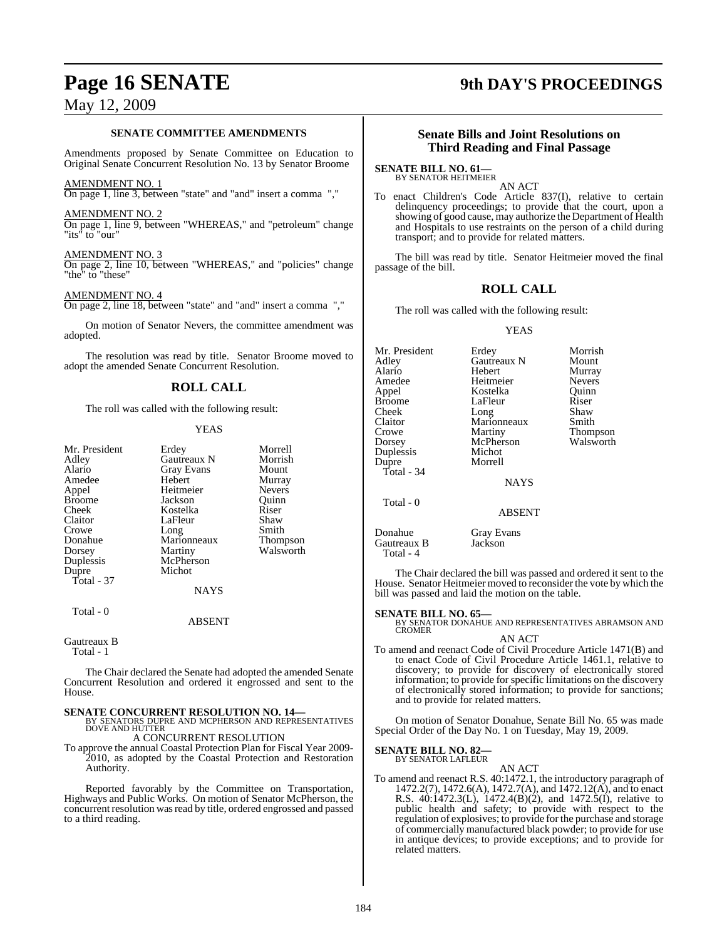#### **SENATE COMMITTEE AMENDMENTS**

Amendments proposed by Senate Committee on Education to Original Senate Concurrent Resolution No. 13 by Senator Broome

#### AMENDMENT NO. 1

On page 1, line 3, between "state" and "and" insert a comma ","

#### AMENDMENT NO. 2

On page 1, line 9, between "WHEREAS," and "petroleum" change "its" to "our"

## AMENDMENT NO. 3

On page 2, line 10, between "WHEREAS," and "policies" change "the" to "these"

#### AMENDMENT NO. 4

On page 2, line 18, between "state" and "and" insert a comma ","

On motion of Senator Nevers, the committee amendment was adopted.

The resolution was read by title. Senator Broome moved to adopt the amended Senate Concurrent Resolution.

#### **ROLL CALL**

The roll was called with the following result:

#### YEAS

| Mr. President | Erdey             | Morrell       |
|---------------|-------------------|---------------|
| Adley         | Gautreaux N       | Morrish       |
| Alario        | <b>Gray Evans</b> | Mount         |
| Amedee        | Hebert            | Murray        |
| Appel         | Heitmeier         | <b>Nevers</b> |
| <b>Broome</b> | Jackson           | Ouinn         |
| Cheek         | Kostelka          | Riser         |
| Claitor       | LaFleur           | Shaw          |
| Crowe         | Long              | Smith         |
| Donahue       | Marionneaux       | Thompson      |
| Dorsey        | Martiny           | Walsworth     |
| Duplessis     | McPherson         |               |
| Dupre         | Michot            |               |
| Total - 37    |                   |               |
|               | NAYS              |               |

Total - 0

#### ABSENT

## Gautreaux B

Total - 1

The Chair declared the Senate had adopted the amended Senate Concurrent Resolution and ordered it engrossed and sent to the House.

**SENATE CONCURRENT RESOLUTION NO. 14—BY SENATORS DUPRE AND MCPHERSON AND REPRESENTATIVES** DOVE AND HUTTER

A CONCURRENT RESOLUTION

To approve the annual Coastal Protection Plan for Fiscal Year 2009- 2010, as adopted by the Coastal Protection and Restoration Authority.

Reported favorably by the Committee on Transportation, Highways and Public Works. On motion of Senator McPherson, the concurrent resolution was read by title, ordered engrossed and passed to a third reading.

# **Page 16 SENATE 9th DAY'S PROCEEDINGS**

### **Senate Bills and Joint Resolutions on Third Reading and Final Passage**

**SENATE BILL NO. 61—** BY SENATOR HEITMEIER

AN ACT

To enact Children's Code Article 837(I), relative to certain delinquency proceedings; to provide that the court, upon a showing of good cause, may authorize the Department of Health and Hospitals to use restraints on the person of a child during transport; and to provide for related matters.

The bill was read by title. Senator Heitmeier moved the final passage of the bill.

### **ROLL CALL**

The roll was called with the following result:

#### YEAS

| Mr. President | Erdey         | Morrish       |
|---------------|---------------|---------------|
| Adley         | Gautreaux N   | Mount         |
| Alario        | Hebert        | Murray        |
| Amedee        | Heitmeier     | <b>Nevers</b> |
| Appel         | Kostelka      | Ouinn         |
| <b>Broome</b> | LaFleur       | Riser         |
| Cheek         | Long          | Shaw          |
| Claitor       | Marionneaux   | Smith         |
| Crowe         | Martiny       | Thompson      |
| Dorsey        | McPherson     | Walsworth     |
| Duplessis     | Michot        |               |
| Dupre         | Morrell       |               |
| Total - 34    |               |               |
|               | <b>NAYS</b>   |               |
| Total - 0     |               |               |
|               | <b>ABSENT</b> |               |
| Donahue       | Gray Evans    |               |
| Gautreaux B   | Jackson       |               |

The Chair declared the bill was passed and ordered it sent to the House. Senator Heitmeier moved to reconsider the vote by which the bill was passed and laid the motion on the table.

Total - 4

**SENATE BILL NO. 65—**<br>BY SENATOR DONAHUE AND REPRESENTATIVES ABRAMSON AND CROMER

#### AN ACT

To amend and reenact Code of Civil Procedure Article 1471(B) and to enact Code of Civil Procedure Article 1461.1, relative to discovery; to provide for discovery of electronically stored information; to provide for specific limitations on the discovery of electronically stored information; to provide for sanctions; and to provide for related matters.

On motion of Senator Donahue, Senate Bill No. 65 was made Special Order of the Day No. 1 on Tuesday, May 19, 2009.

**SENATE BILL NO. 82—** BY SENATOR LAFLEUR

### AN ACT

To amend and reenact R.S. 40:1472.1, the introductory paragraph of 1472.2(7), 1472.6(A), 1472.7(A), and 1472.12(A), and to enact R.S. 40:1472.3(L), 1472.4(B)(2), and 1472.5(I), relative to public health and safety; to provide with respect to the regulation of explosives; to provide for the purchase and storage of commercially manufactured black powder; to provide for use in antique devices; to provide exceptions; and to provide for related matters.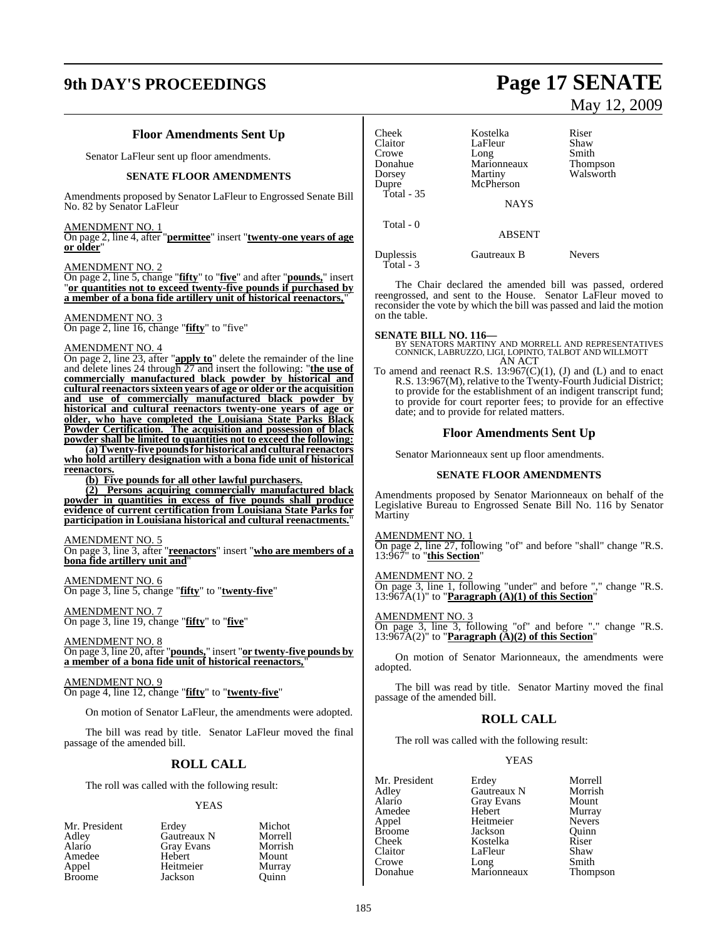# **9th DAY'S PROCEEDINGS Page 17 SENATE**

### **Floor Amendments Sent Up**

Senator LaFleur sent up floor amendments.

#### **SENATE FLOOR AMENDMENTS**

Amendments proposed by Senator LaFleur to Engrossed Senate Bill No. 82 by Senator LaFleur

#### AMENDMENT NO. 1

On page 2, line 4, after "**permittee**" insert "**twenty-one years of age or older**"

#### AMENDMENT NO. 2

On page 2, line 5, change "**fifty**" to "**five**" and after "**pounds,**" insert "**or quantities not to exceed twenty-five pounds if purchased by a member of a bona fide artillery unit of historical reenactors,**"

#### AMENDMENT NO. 3

On page 2, line 16, change "**fifty**" to "five"

#### AMENDMENT NO. 4

On page 2, line 23, after "**apply to**" delete the remainder of the line and delete lines 24 through 27 and insert the following: "**the use of commercially manufactured black powder by historical and cultural reenactorssixteen years of age or older or the acquisition and use of commercially manufactured black powder by historical and cultural reenactors twenty-one years of age or older, who have completed the Louisiana State Parks Black Powder Certification. The acquisition and possession of black powder shall be limited to quantities not to exceed the following:**

**(a)Twenty-five poundsfor historical and cultural reenactors who hold artillery designation with a bona fide unit of historical reenactors.**

**(b) Five pounds for all other lawful purchasers.**

**(2) Persons acquiring commercially manufactured black powder in quantities in excess of five pounds shall produce evidence of current certification from Louisiana State Parks for participation in Louisiana historical and cultural reenactments.**"

#### AMENDMENT NO. 5

On page 3, line 3, after "**reenactors**" insert "**who are members of a bona fide artillery unit and**"

AMENDMENT NO. 6 On page 3, line 5, change "**fifty**" to "**twenty-five**"

AMENDMENT NO. 7 On page 3, line 19, change "**fifty**" to "**five**"

AMENDMENT NO. 8 On page 3, line 20, after "**pounds,**" insert "**or twenty-five pounds by a member of a bona fide unit of historical reenactors,**"

AMENDMENT NO. 9 On page 4, line 12, change "**fifty**" to "**twenty-five**"

On motion of Senator LaFleur, the amendments were adopted.

The bill was read by title. Senator LaFleur moved the final passage of the amended bill.

#### **ROLL CALL**

The roll was called with the following result:

#### YEAS

| Mr. President | Erdey       | Michot  |
|---------------|-------------|---------|
| Adley         | Gautreaux N | Morrell |
| Alario        | Gray Evans  | Morrish |
| Amedee        | Hebert      | Mount   |
| Appel         | Heitmeier   | Murray  |
| <b>Broome</b> | Jackson     | Ouinn   |

# May 12, 2009

| Cheek<br>Claitor<br>Crowe<br>Donahue<br>Dorsey<br>Dupre<br>Total - $35$ | Kostelka<br>LaFleur<br>Long<br>Marionneaux<br>Martiny<br>McPherson | Riser<br>Shaw<br>Smith<br>Thompson<br>Walsworth |
|-------------------------------------------------------------------------|--------------------------------------------------------------------|-------------------------------------------------|
|                                                                         | <b>NAYS</b>                                                        |                                                 |
| Total - 0                                                               | <b>ABSENT</b>                                                      |                                                 |
| Duplessis<br>$Total - 3$                                                | Gautreaux B                                                        | Nevers                                          |

The Chair declared the amended bill was passed, ordered reengrossed, and sent to the House. Senator LaFleur moved to reconsider the vote by which the bill was passed and laid the motion on the table.

**SENATE BILL NO. 116—** BY SENATORS MARTINY AND MORRELL AND REPRESENTATIVES CONNICK, LABRUZZO, LIGI, LOPINTO, TALBOT AND WILLMOTT AN ACT

To amend and reenact R.S.  $13:967(C)(1)$ , (J) and (L) and to enact R.S. 13:967(M), relative to the Twenty-Fourth Judicial District; to provide for the establishment of an indigent transcript fund; to provide for court reporter fees; to provide for an effective date; and to provide for related matters.

#### **Floor Amendments Sent Up**

Senator Marionneaux sent up floor amendments.

#### **SENATE FLOOR AMENDMENTS**

Amendments proposed by Senator Marionneaux on behalf of the Legislative Bureau to Engrossed Senate Bill No. 116 by Senator **Martiny** 

AMENDMENT NO. 1

On page 2, line 27, following "of" and before "shall" change "R.S. 13:967" to "**this Section**"

#### AMENDMENT NO. 2

On page 3, line 1, following "under" and before "," change "R.S.  $13:967A(1)$ " to "**Paragraph** $(A)(1)$  of this Section"

#### AMENDMENT NO. 3

On page 3, line 3, following "of" and before "." change "R.S. 13:967A(2)" to "**Paragraph (A)(2) of this Section**"

On motion of Senator Marionneaux, the amendments were adopted.

The bill was read by title. Senator Martiny moved the final passage of the amended bill.

#### **ROLL CALL**

The roll was called with the following result:

#### YEAS

| Erdey             | Morrell       |
|-------------------|---------------|
| Gautreaux N       | Morrish       |
| <b>Gray Evans</b> | Mount         |
| Hebert            | Murray        |
| Heitmeier         | <b>Nevers</b> |
| Jackson           | Ouinn         |
| Kostelka          | Riser         |
| LaFleur           | Shaw          |
| Long              | Smith         |
| Marionneaux       | Thompson      |
|                   |               |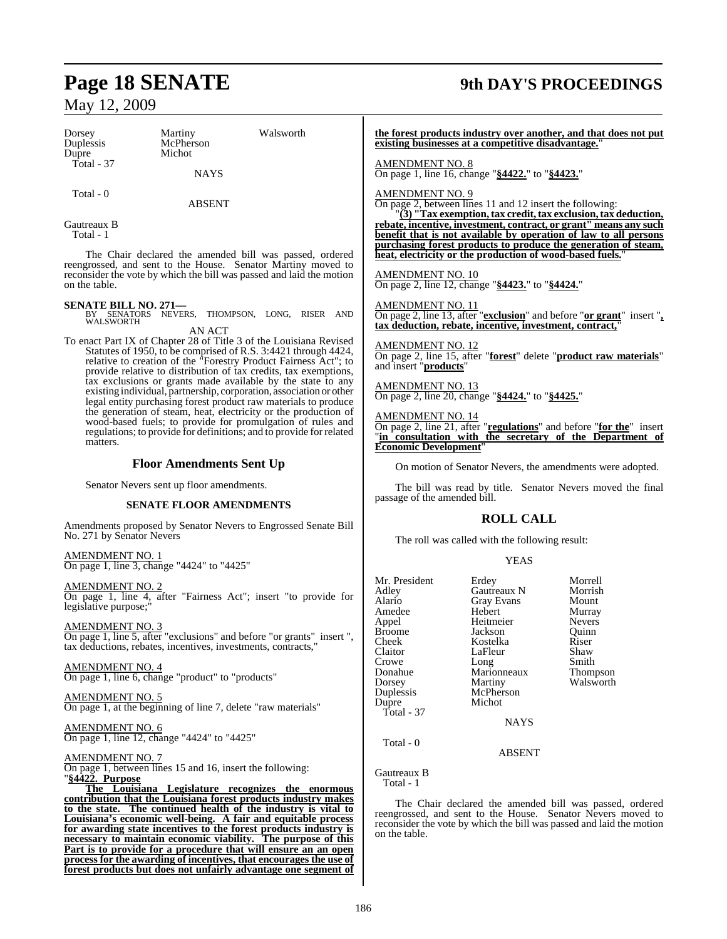Dorsey Martiny Walsworth<br>
Duplessis McPherson Duplessis McPherson Total - 37

Michot

**NAYS** 

Total - 0

ABSENT

Gautreaux B Total - 1

The Chair declared the amended bill was passed, ordered reengrossed, and sent to the House. Senator Martiny moved to reconsider the vote by which the bill was passed and laid the motion on the table.

**SENATE BILL NO. 271—**<br>BY SENATORS NEVERS, THOMPSON, LONG, RISER AND WALSWORTH

AN ACT To enact Part IX of Chapter 28 of Title 3 of the Louisiana Revised Statutes of 1950, to be comprised of R.S. 3:4421 through 4424, relative to creation of the "Forestry Product Fairness Act"; to provide relative to distribution of tax credits, tax exemptions, tax exclusions or grants made available by the state to any existing individual, partnership, corporation, association or other legal entity purchasing forest product raw materials to produce the generation of steam, heat, electricity or the production of wood-based fuels; to provide for promulgation of rules and regulations; to provide for definitions; and to provide for related matters.

## **Floor Amendments Sent Up**

Senator Nevers sent up floor amendments.

#### **SENATE FLOOR AMENDMENTS**

Amendments proposed by Senator Nevers to Engrossed Senate Bill No. 271 by Senator Nevers

AMENDMENT NO. 1 On page 1, line 3, change "4424" to "4425"

AMENDMENT NO. 2 On page 1, line 4, after "Fairness Act"; insert "to provide for legislative purpose;

AMENDMENT NO. 3 On page 1, line 5, after "exclusions" and before "or grants" insert ", tax deductions, rebates, incentives, investments, contracts,"

AMENDMENT NO. 4 On page 1, line 6, change "product" to "products"

AMENDMENT NO. 5 On page 1, at the beginning of line 7, delete "raw materials"

AMENDMENT NO. 6 On page 1, line 12, change "4424" to "4425"

#### AMENDMENT NO. 7

On page 1, between lines 15 and 16, insert the following: "**§4422. Purpose**

**The Louisiana Legislature recognizes the enormous contribution that the Louisiana forest products industry makes to the state. The continued health of the industry is vital to Louisiana's economic well-being. A fair and equitable process for awarding state incentives to the forest products industry is necessary to maintain economic viability. The purpose of this Part is to provide for a procedure that will ensure an an open process for the awarding of incentives, that encourages the use of forest products but does not unfairly advantage one segment of**

**the forest products industry over another, and that does not put existing businesses at a competitive disadvantage.**"

AMENDMENT NO. 8 On page 1, line 16, change "**§4422.**" to "**§4423.**"

AMENDMENT NO. 9

On page 2, between lines 11 and 12 insert the following:

"**(3) "Tax exemption,tax credit,tax exclusion,tax deduction, rebate, incentive, investment, contract, or grant" means any such benefit that is not available by operation of law to all persons purchasing forest products to produce the generation of steam, heat, electricity or the production of wood-based fuels.**"

AMENDMENT NO. 10 On page 2, line 12, change "**§4423.**" to "**§4424.**"

AMENDMENT NO. 11 On page 2, line 13, after "**exclusion**" and before "**or grant**" insert "**, tax deduction, rebate, incentive, investment, contract,**"

AMENDMENT NO. 12 On page 2, line 15, after "**forest**" delete "**product raw materials**" and insert "**products**"

MENDMENT NO. 13 On page 2, line 20, change "**§4424.**" to "**§4425.**"

AMENDMENT NO. 14

On page 2, line 21, after "**regulations**" and before "**for the**" insert "**in consultation with the secretary of the Department of Economic Development**"

On motion of Senator Nevers, the amendments were adopted.

The bill was read by title. Senator Nevers moved the final passage of the amended bill.

### **ROLL CALL**

The roll was called with the following result:

#### YEAS

| Mr. President<br>Adley<br>Alario<br>Amedee<br>Appel<br><b>Broome</b><br>Cheek<br>Claitor<br>Crowe<br>Donahue<br>Dorsey<br>Duplessis<br>Dupre<br>Total - $37$ | Erdey<br>Gautreaux N<br><b>Gray Evans</b><br>Hebert<br>Heitmeier<br>Jackson<br>Kostelka<br>LaFleur<br>Long<br>Marionneaux<br>Martiny<br>McPherson<br>Michot<br><b>NAYS</b> | Morrell<br>Morrish<br>Mount<br>Murray<br><b>Nevers</b><br>Ouinn<br>Riser<br>Shaw<br>Smith<br>Thompson<br>Walsworth |
|--------------------------------------------------------------------------------------------------------------------------------------------------------------|----------------------------------------------------------------------------------------------------------------------------------------------------------------------------|--------------------------------------------------------------------------------------------------------------------|
| Total - 0                                                                                                                                                    | <b>ABSENT</b>                                                                                                                                                              |                                                                                                                    |

Gautreaux B Total - 1

The Chair declared the amended bill was passed, ordered reengrossed, and sent to the House. Senator Nevers moved to reconsider the vote by which the bill was passed and laid the motion on the table.

# **Page 18 SENATE 9th DAY'S PROCEEDINGS**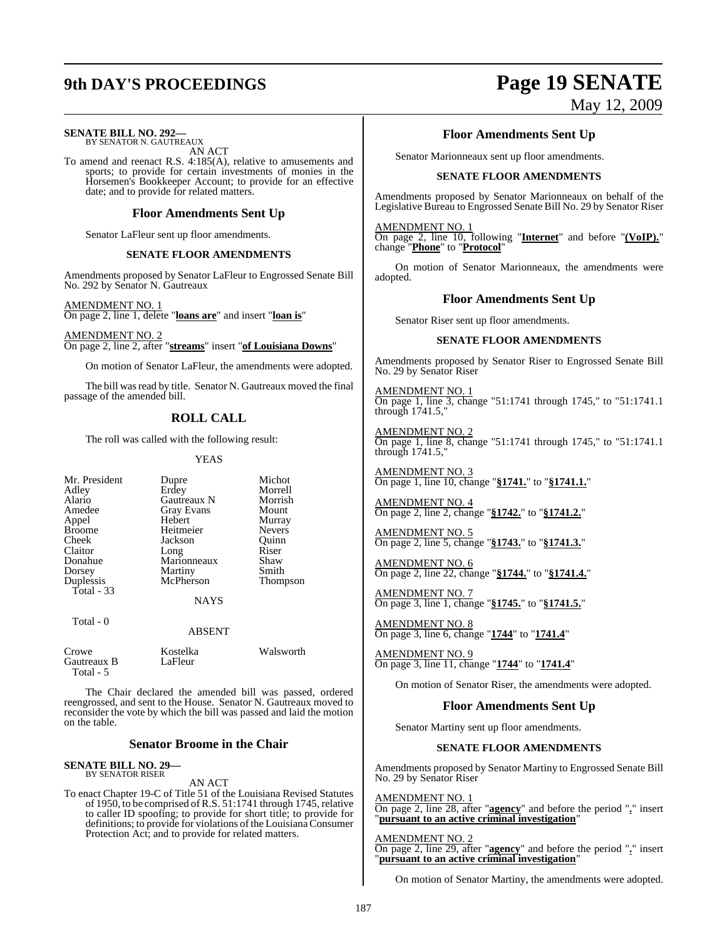**SENATE BILL NO. 292—**

BY SENATOR N. GAUTREAUX AN ACT

To amend and reenact R.S. 4:185(A), relative to amusements and sports; to provide for certain investments of monies in the Horsemen's Bookkeeper Account; to provide for an effective date; and to provide for related matters.

#### **Floor Amendments Sent Up**

Senator LaFleur sent up floor amendments.

#### **SENATE FLOOR AMENDMENTS**

Amendments proposed by Senator LaFleur to Engrossed Senate Bill No. 292 by Senator N. Gautreaux

AMENDMENT NO. 1 On page 2, line 1, delete "**loans are**" and insert "**loan is**"

AMENDMENT NO. 2 On page 2, line 2, after "**streams**" insert "**of Louisiana Downs**"

On motion of Senator LaFleur, the amendments were adopted.

The bill was read by title. Senator N. Gautreaux moved the final passage of the amended bill.

## **ROLL CALL**

The roll was called with the following result:

#### YEAS

| Mr. President<br>Adley<br>Alario<br>Amedee<br>Appel | Dupre<br>Erdey<br>Gautreaux N<br><b>Gray Evans</b><br>Hebert | Michot<br>Morrell<br>Morrish<br>Mount<br>Murray |
|-----------------------------------------------------|--------------------------------------------------------------|-------------------------------------------------|
| <b>Broome</b>                                       | Heitmeier                                                    | <b>Nevers</b>                                   |
| Cheek                                               | Jackson                                                      | Quinn                                           |
| Claitor                                             | Long                                                         | Riser                                           |
| Donahue                                             | Marionneaux                                                  | Shaw                                            |
| Dorsey                                              | Martiny                                                      | Smith                                           |
| Duplessis                                           | McPherson                                                    | <b>Thompson</b>                                 |
| Total $-33$                                         |                                                              |                                                 |
|                                                     | <b>NAYS</b>                                                  |                                                 |
| Total - 0                                           |                                                              |                                                 |
|                                                     | <b>ABSENT</b>                                                |                                                 |
| Crowe<br>Gautreaux B<br>Total - 5                   | Kostelka<br>LaFleur                                          | Walsworth                                       |

The Chair declared the amended bill was passed, ordered reengrossed, and sent to the House. Senator N. Gautreaux moved to reconsider the vote by which the bill was passed and laid the motion on the table.

#### **Senator Broome in the Chair**

# **SENATE BILL NO. 29—** BY SENATOR RISER

AN ACT

To enact Chapter 19-C of Title 51 of the Louisiana Revised Statutes of 1950, to be comprised of R.S. 51:1741 through 1745, relative to caller ID spoofing; to provide for short title; to provide for definitions; to provide for violations of the Louisiana Consumer Protection Act; and to provide for related matters.

# **9th DAY'S PROCEEDINGS Page 19 SENATE** May 12, 2009

### **Floor Amendments Sent Up**

Senator Marionneaux sent up floor amendments.

#### **SENATE FLOOR AMENDMENTS**

Amendments proposed by Senator Marionneaux on behalf of the Legislative Bureau to Engrossed Senate Bill No. 29 by Senator Riser

AMENDMENT NO. 1

On page 2, line 10, following "**Internet**" and before "**(VoIP).**" change "**Phone**" to "**Protocol**"

On motion of Senator Marionneaux, the amendments were adopted.

#### **Floor Amendments Sent Up**

Senator Riser sent up floor amendments.

#### **SENATE FLOOR AMENDMENTS**

Amendments proposed by Senator Riser to Engrossed Senate Bill No. 29 by Senator Riser

AMENDMENT NO. 1 On page 1, line 3, change "51:1741 through 1745," to "51:1741.1 through 1741.5,"

AMENDMENT NO. 2 On page 1, line 8, change "51:1741 through 1745," to "51:1741.1 through 1741.5,"

AMENDMENT NO. 3 On page 1, line 10, change "**§1741.**" to "**§1741.1.**"

AMENDMENT NO. 4 On page 2, line 2, change "**§1742.**" to "**§1741.2.**"

AMENDMENT NO. 5 On page 2, line 5, change "**§1743.**" to "**§1741.3.**"

AMENDMENT NO. 6 On page 2, line 22, change "**§1744.**" to "**§1741.4.**"

AMENDMENT NO. 7 On page 3, line 1, change "**§1745.**" to "**§1741.5.**"

AMENDMENT NO. 8 On page 3, line 6, change "**1744**" to "**1741.4**"

AMENDMENT NO. 9 On page 3, line 11, change "**1744**" to "**1741.4**"

On motion of Senator Riser, the amendments were adopted.

### **Floor Amendments Sent Up**

Senator Martiny sent up floor amendments.

#### **SENATE FLOOR AMENDMENTS**

Amendments proposed by Senator Martiny to Engrossed Senate Bill No. 29 by Senator Riser

AMENDMENT NO. 1 On page 2, line 28, after "**agency**" and before the period "**.**" insert "**pursuant to an active criminal investigation**"

AMENDMENT NO. 2 On page 2, line 29, after "**agency**" and before the period "**.**" insert "**pursuant to an active criminal investigation**"

On motion of Senator Martiny, the amendments were adopted.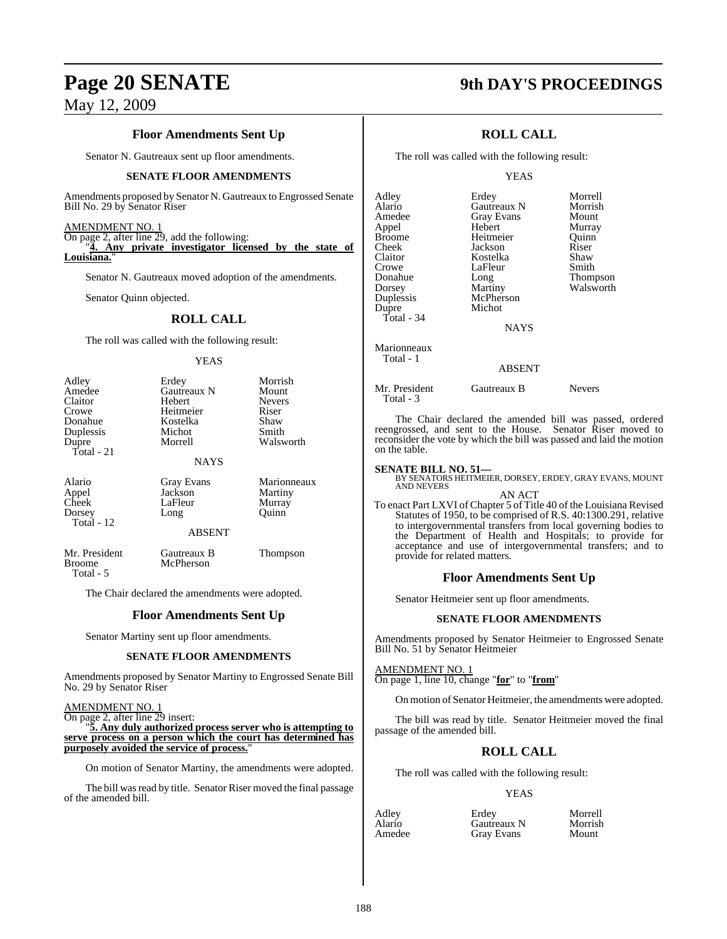## **Floor Amendments Sent Up**

Senator N. Gautreaux sent up floor amendments.

#### **SENATE FLOOR AMENDMENTS**

Amendments proposed by Senator N. Gautreaux to Engrossed Senate Bill No. 29 by Senator Riser

#### AMENDMENT NO. 1

On page 2, after line 29, add the following: "**4. Any private investigator licensed by the state of** Louisiana.

Senator N. Gautreaux moved adoption of the amendments.

Senator Quinn objected.

#### **ROLL CALL**

The roll was called with the following result:

#### **YEAS**

| Adley<br>Amedee<br>Claitor<br>Crowe<br>Donahue<br>Duplessis<br>Dupre | Erdey<br><b>Gautreaux N</b><br>Hebert<br>Heitmeier<br>Kostelka<br>Michot<br>Morrell | Morrish<br>Mount<br><b>Nevers</b><br>Riser<br>Shaw<br>Smith<br>Walsworth |
|----------------------------------------------------------------------|-------------------------------------------------------------------------------------|--------------------------------------------------------------------------|
| $Total - 21$                                                         | <b>NAYS</b>                                                                         |                                                                          |
| Alario<br>Appel<br>Cheek<br>Dorsey<br>Total - 12                     | <b>Gray Evans</b><br>Jackson<br>LaFleur<br>Long<br><b>ABSENT</b>                    | Marionneaux<br>Martiny<br>Murray<br>Ouinn                                |
|                                                                      |                                                                                     |                                                                          |
| Mr. President<br><b>Broome</b><br>Total - 5                          | Gautreaux B<br>McPherson                                                            | Thompson                                                                 |

The Chair declared the amendments were adopted.

#### **Floor Amendments Sent Up**

Senator Martiny sent up floor amendments.

#### **SENATE FLOOR AMENDMENTS**

Amendments proposed by Senator Martiny to Engrossed Senate Bill No. 29 by Senator Riser

AMENDMENT NO. 1

On page 2, after line 29 insert:

"**5. Any duly authorized process server who is attempting to serve process on a person which the court has determined has purposely avoided the service of process.**"

On motion of Senator Martiny, the amendments were adopted.

The bill was read by title. Senator Riser moved the final passage of the amended bill.

# **Page 20 SENATE 9th DAY'S PROCEEDINGS**

## **ROLL CALL**

The roll was called with the following result:

#### YEAS

| Adley                    | Erdey       | Morrell   |
|--------------------------|-------------|-----------|
| Alario                   | Gautreaux N | Morrish   |
| Amedee                   | Gray Evans  | Mount     |
| Appel                    | Hebert      | Murray    |
| Broome                   | Heitmeier   | Ouinn     |
| Cheek                    | Jackson     | Riser     |
| Claitor                  | Kostelka    | Shaw      |
| Crowe                    | LaFleur     | Smith     |
| Donahue                  | Long        | Thompson  |
| Dorsey                   | Martiny     | Walsworth |
| Duplessis                | McPherson   |           |
| Dupre                    | Michot      |           |
| Total - 34               |             |           |
|                          | <b>NAYS</b> |           |
| Marionneaux<br>Total - 1 |             |           |

### ABSENT

Mr. President Gautreaux B Nevers Total - 3

The Chair declared the amended bill was passed, ordered reengrossed, and sent to the House. Senator Riser moved to reconsider the vote by which the bill was passed and laid the motion on the table.

**SENATE BILL NO. 51—**<br>BY SENATORS HEITMEIER, DORSEY, ERDEY, GRAY EVANS, MOUNT<br>AND NEVERS

AN ACT

To enact Part LXVI of Chapter 5 of Title 40 of the Louisiana Revised Statutes of 1950, to be comprised of R.S. 40:1300.291, relative to intergovernmental transfers from local governing bodies to the Department of Health and Hospitals; to provide for acceptance and use of intergovernmental transfers; and to provide for related matters.

#### **Floor Amendments Sent Up**

Senator Heitmeier sent up floor amendments.

#### **SENATE FLOOR AMENDMENTS**

Amendments proposed by Senator Heitmeier to Engrossed Senate Bill No. 51 by Senator Heitmeier

AMENDMENT NO. 1

On page 1, line 10, change "**for**" to "**from**"

On motion of Senator Heitmeier, the amendments were adopted.

The bill was read by title. Senator Heitmeier moved the final passage of the amended bill.

## **ROLL CALL**

The roll was called with the following result:

#### YEAS

Adley Erdey Morrell Alario Gautreaux N Morris<br>Amedee Gray Evans Mount **Gray Evans**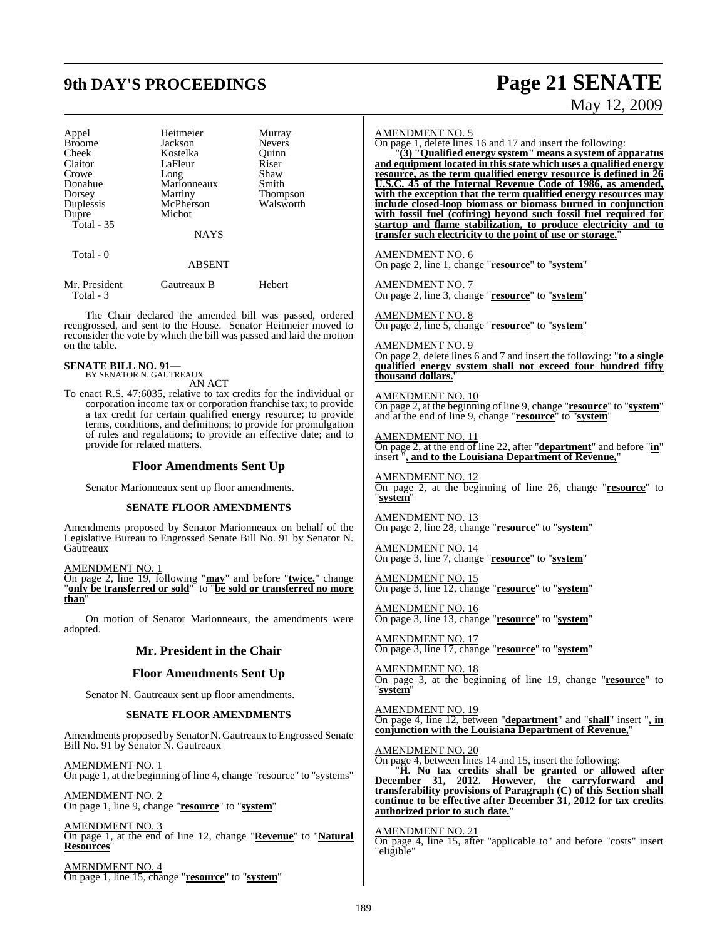# **9th DAY'S PROCEEDINGS Page 21 SENATE**

# May 12, 2009

| Appel         | Heitmeier     | Murray        |
|---------------|---------------|---------------|
| <b>Broome</b> | Jackson       | <b>Nevers</b> |
| Cheek         | Kostelka      | Ouinn         |
| Claitor       | LaFleur       | Riser         |
| Crowe         | Long          | Shaw          |
| Donahue       | Marionneaux   | Smith         |
| Dorsey        | Martiny       | Thompson      |
| Duplessis     | McPherson     | Walsworth     |
| Dupre         | Michot        |               |
| Total $-35$   |               |               |
|               | <b>NAYS</b>   |               |
| Total - 0     |               |               |
|               | <b>ABSENT</b> |               |

| Mr. President | Gautreaux B | Hebert |
|---------------|-------------|--------|
| Total - 3     |             |        |

The Chair declared the amended bill was passed, ordered reengrossed, and sent to the House. Senator Heitmeier moved to reconsider the vote by which the bill was passed and laid the motion on the table.

#### **SENATE BILL NO. 91—** BY SENATOR N. GAUTREAUX

AN ACT

To enact R.S. 47:6035, relative to tax credits for the individual or corporation income tax or corporation franchise tax; to provide a tax credit for certain qualified energy resource; to provide terms, conditions, and definitions; to provide for promulgation of rules and regulations; to provide an effective date; and to provide for related matters.

## **Floor Amendments Sent Up**

Senator Marionneaux sent up floor amendments.

#### **SENATE FLOOR AMENDMENTS**

Amendments proposed by Senator Marionneaux on behalf of the Legislative Bureau to Engrossed Senate Bill No. 91 by Senator N. **Gautreaux** 

AMENDMENT NO. 1

On page 2, line 19, following "**may**" and before "**twice.**" change "**only be transferred or sold**" to "**be sold or transferred no more than**"

On motion of Senator Marionneaux, the amendments were adopted.

### **Mr. President in the Chair**

#### **Floor Amendments Sent Up**

Senator N. Gautreaux sent up floor amendments.

#### **SENATE FLOOR AMENDMENTS**

Amendments proposed by Senator N. Gautreaux to Engrossed Senate Bill No. 91 by Senator N. Gautreaux

AMENDMENT NO. 1 On page 1, at the beginning of line 4, change "resource" to "systems"

AMENDMENT NO. 2 On page 1, line 9, change "**resource**" to "**system**"

AMENDMENT NO. 3 On page 1, at the end of line 12, change "**Revenue**" to "**Natural Resources**"

AMENDMENT NO. 4 On page 1, line 15, change "**resource**" to "**system**"

#### AMENDMENT NO. 5

On page 1, delete lines 16 and 17 and insert the following:

"**(3) "Qualified energy system" means a system of apparatus and equipment located in this state which uses a qualified energy resource, as the term qualified energy resource is defined in 26 U.S.C. 45 of the Internal Revenue Code of 1986, as amended, with the exception that the term qualified energy resources may include closed-loop biomass or biomass burned in conjunction with fossil fuel (cofiring) beyond such fossil fuel required for startup and flame stabilization, to produce electricity and to transfer such electricity to the point of use or storage.**"

AMENDMENT NO. 6 On page 2, line 1, change "**resource**" to "**system**"

AMENDMENT NO. 7 On page 2, line 3, change "**resource**" to "**system**"

AMENDMENT NO. 8 On page 2, line 5, change "**resource**" to "**system**"

AMENDMENT NO. 9 On page 2, delete lines 6 and 7 and insert the following: "**to a single qualified energy system shall not exceed four hundred fifty thousand dollars.**"

#### AMENDMENT NO. 10

On page 2, at the beginning of line 9, change "**resource**" to "**system**" and at the end of line 9, change "**resource**" to "**system**"

AMENDMENT NO. 11 On page 2, at the end of line 22, after "**department**" and before "**in**" insert "**, and to the Louisiana Department of Revenue,**"

AMENDMENT NO. 12 On page 2, at the beginning of line 26, change "**resource**" to "**system**"

AMENDMENT NO. 13 On page 2, line 28, change "**resource**" to "**system**"

AMENDMENT NO. 14 On page 3, line 7, change "**resource**" to "**system**"

AMENDMENT NO. 15 On page 3, line 12, change "**resource**" to "**system**"

AMENDMENT NO. 16 On page 3, line 13, change "**resource**" to "**system**"

AMENDMENT NO. 17 On page 3, line 17, change "**resource**" to "**system**"

AMENDMENT NO. 18 On page 3, at the beginning of line 19, change "**resource**" to "**system**"

AMENDMENT NO. 19 On page 4, line 12, between "**department**" and "**shall**" insert "**, in conjunction with the Louisiana Department of Revenue,**"

AMENDMENT NO. 20

On page 4, between lines 14 and 15, insert the following:

"**H. No tax credits shall be granted or allowed after December 31, 2012. However, the carryforward and transferability provisions of Paragraph (C) of this Section shall continue to be effective after December 31, 2012 for tax credits authorized prior to such date.**"

AMENDMENT NO. 21 On page 4, line 15, after "applicable to" and before "costs" insert "eligible"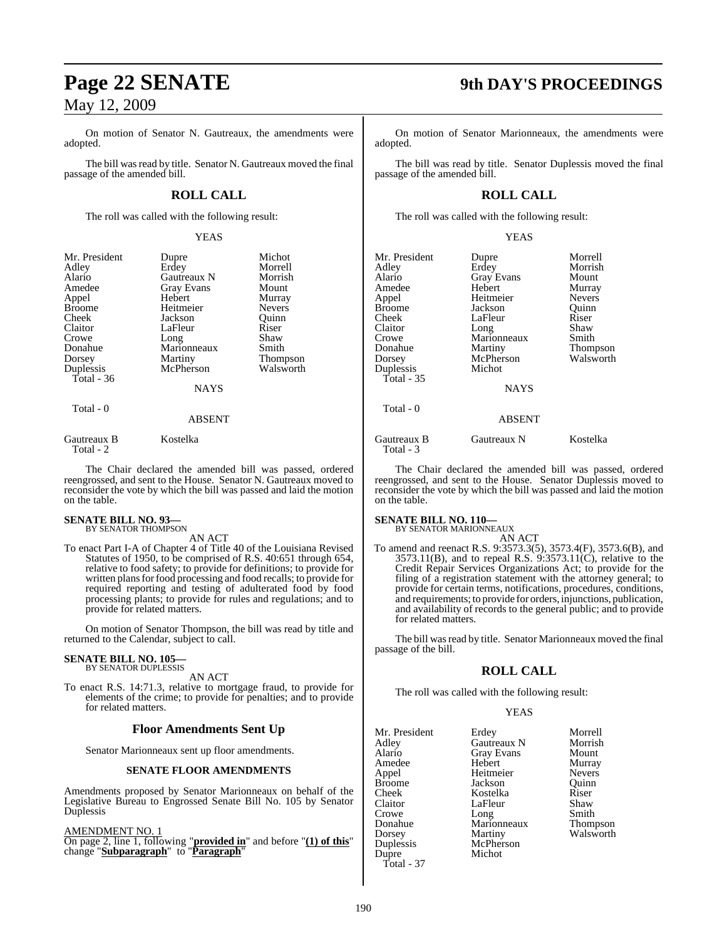On motion of Senator N. Gautreaux, the amendments were adopted.

The bill was read by title. Senator N. Gautreaux moved the final passage of the amended bill.

## **ROLL CALL**

The roll was called with the following result:

YEAS

| Mr. President<br>Adley<br>Alario<br>Amedee<br>Appel | Dupre<br>Erdey<br>Gautreaux N<br><b>Gray Evans</b><br>Hebert | Michot<br>Morrell<br>Morrish<br>Mount<br>Murray |
|-----------------------------------------------------|--------------------------------------------------------------|-------------------------------------------------|
| <b>Broome</b>                                       | Heitmeier                                                    | <b>Nevers</b>                                   |
| Cheek                                               | Jackson                                                      | Ouinn                                           |
| Claitor                                             | LaFleur                                                      | Riser                                           |
| Crowe                                               | Long                                                         | Shaw                                            |
| Donahue                                             | Marionneaux                                                  | Smith                                           |
| Dorsey                                              | Martiny                                                      | <b>Thompson</b>                                 |
| Duplessis                                           | McPherson                                                    | Walsworth                                       |
| Total - $36$                                        |                                                              |                                                 |
|                                                     | <b>NAYS</b>                                                  |                                                 |
| Total - 0                                           | <b>ABSENT</b>                                                |                                                 |

Gautreaux B Kostelka Total - 2

The Chair declared the amended bill was passed, ordered reengrossed, and sent to the House. Senator N. Gautreaux moved to reconsider the vote by which the bill was passed and laid the motion on the table.

#### **SENATE BILL NO. 93—** BY SENATOR THOMPSON

AN ACT

To enact Part I-A of Chapter 4 of Title 40 of the Louisiana Revised Statutes of 1950, to be comprised of R.S. 40:651 through 654, relative to food safety; to provide for definitions; to provide for written plans for food processing and food recalls; to provide for required reporting and testing of adulterated food by food processing plants; to provide for rules and regulations; and to provide for related matters.

On motion of Senator Thompson, the bill was read by title and returned to the Calendar, subject to call.

#### **SENATE BILL NO. 105—** BY SENATOR DUPLESSIS

AN ACT

To enact R.S. 14:71.3, relative to mortgage fraud, to provide for elements of the crime; to provide for penalties; and to provide for related matters.

### **Floor Amendments Sent Up**

Senator Marionneaux sent up floor amendments.

#### **SENATE FLOOR AMENDMENTS**

Amendments proposed by Senator Marionneaux on behalf of the Legislative Bureau to Engrossed Senate Bill No. 105 by Senator Duplessis

AMENDMENT NO. 1

On page 2, line 1, following "**provided in**" and before "**(1) of this**" change "**Subparagraph**" to "**Paragraph**"

# **Page 22 SENATE 9th DAY'S PROCEEDINGS**

On motion of Senator Marionneaux, the amendments were adopted.

The bill was read by title. Senator Duplessis moved the final passage of the amended bill.

### **ROLL CALL**

The roll was called with the following result:

YEAS

| Mr. President            | Dupre             | Morrell         |
|--------------------------|-------------------|-----------------|
| Adley                    | Erdey             | Morrish         |
| Alario                   | <b>Gray Evans</b> | Mount           |
| Amedee                   | Hebert            | Murray          |
| Appel                    | Heitmeier         | <b>Nevers</b>   |
| Broome                   | Jackson           | Quinn           |
| Cheek                    | LaFleur           | Riser           |
| Claitor                  | Long              | Shaw            |
| Crowe                    | Marionneaux       | Smith           |
| Donahue                  | Martiny           | <b>Thompson</b> |
| Dorsey                   | McPherson         | Walsworth       |
| Duplessis                | Michot            |                 |
| Total - 35               |                   |                 |
|                          | <b>NAYS</b>       |                 |
| Total - 0                |                   |                 |
|                          | <b>ABSENT</b>     |                 |
| Gautreaux B<br>Total - 3 | Gautreaux N       | Kostelka        |

The Chair declared the amended bill was passed, ordered reengrossed, and sent to the House. Senator Duplessis moved to reconsider the vote by which the bill was passed and laid the motion on the table.

# **SENATE BILL NO. 110—** BY SENATOR MARIONNEAUX AN ACT

To amend and reenact R.S. 9:3573.3(5), 3573.4(F), 3573.6(B), and 3573.11(B), and to repeal R.S. 9:3573.11(C), relative to the Credit Repair Services Organizations Act; to provide for the filing of a registration statement with the attorney general; to provide for certain terms, notifications, procedures, conditions, and requirements; to provide for orders, injunctions, publication, and availability of records to the general public; and to provide for related matters.

The bill was read by title. Senator Marionneaux moved the final passage of the bill.

### **ROLL CALL**

The roll was called with the following result:

#### YEAS

| Mr. President | Erdey             | Morre  |
|---------------|-------------------|--------|
| Adlev         | Gautreaux N       | Morris |
| Alario        | <b>Gray Evans</b> | Mount  |
| Amedee        | Hebert            | Murra  |
| Appel         | Heitmeier         | Never  |
| Broome        | Jackson           | Ouinn  |
| Cheek         | Kostelka          | Riser  |
| Claitor       | LaFleur           | Shaw   |
| Crowe         | Long              | Smith  |
| Donahue       | Marionneaux       | Thom   |
| Dorsey        | Martiny           | Walsw  |
| Duplessis     | McPherson         |        |
| Dupre         | Michot            |        |
| Total - 37    |                   |        |

Extractively<br>
Extractively Morrell<br>
Fautreaux N<br>
Morrish Fautreaux N Fray Evans Mount<br>Iebert Murray Murray<br>Nevers Feitmeier Nevers<br>
ackson Ouinn Xostelka Riser<br>AFleur Shaw Smith<br>Thompson Marionneaux<br>Martiny Walsworth AcPherson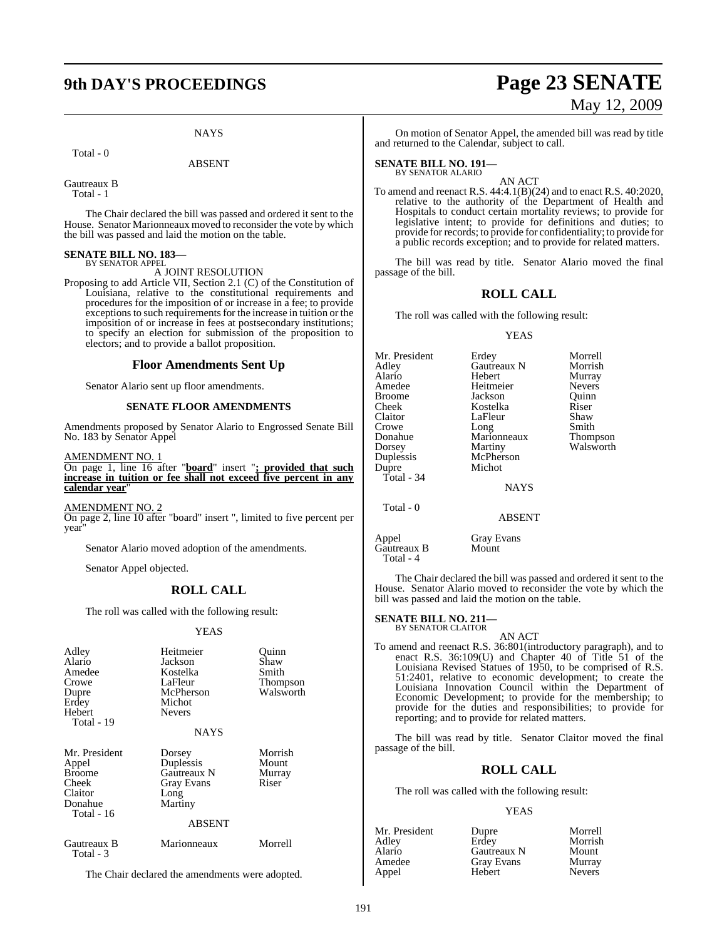# **9th DAY'S PROCEEDINGS Page 23 SENATE**

#### **NAYS**

Total - 0

ABSENT

Gautreaux B Total - 1

The Chair declared the bill was passed and ordered it sent to the House. Senator Marionneaux moved to reconsider the vote by which the bill was passed and laid the motion on the table.

# **SENATE BILL NO. 183—** BY SENATOR APPEL

#### A JOINT RESOLUTION

Proposing to add Article VII, Section 2.1 (C) of the Constitution of Louisiana, relative to the constitutional requirements and procedures for the imposition of or increase in a fee; to provide exceptions to such requirements for the increase in tuition or the imposition of or increase in fees at postsecondary institutions; to specify an election for submission of the proposition to electors; and to provide a ballot proposition.

#### **Floor Amendments Sent Up**

Senator Alario sent up floor amendments.

#### **SENATE FLOOR AMENDMENTS**

Amendments proposed by Senator Alario to Engrossed Senate Bill No. 183 by Senator Appel

AMENDMENT NO. 1

On page 1, line 16 after "**board**" insert "**; provided that such increase in tuition or fee shall not exceed five percent in any calendar year**"

#### AMENDMENT NO. 2

On page 2, line 10 after "board" insert ", limited to five percent per year"

Senator Alario moved adoption of the amendments.

Senator Appel objected.

### **ROLL CALL**

The roll was called with the following result:

#### YEAS

| Adley<br>Alario<br>Amedee<br>Crowe<br>Dupre<br>Erdey<br>Hebert<br>Total - 19         | Heitmeier<br>Jackson<br>Kostelka<br>LaFleur<br>McPherson<br>Michot<br><b>Nevers</b><br><b>NAYS</b> | Ouinn<br>Shaw<br>Smith<br>Thompson<br>Walsworth |
|--------------------------------------------------------------------------------------|----------------------------------------------------------------------------------------------------|-------------------------------------------------|
| Mr. President<br>Appel<br><b>Broome</b><br>Cheek<br>Claitor<br>Donahue<br>Total - 16 | Dorsey<br>Duplessis<br>Gautreaux N<br><b>Gray Evans</b><br>Long<br>Martiny<br><b>ABSENT</b>        | Morrish<br>Mount<br>Murray<br>Riser             |
| Gautreaux B<br>Total - 3                                                             | Marionneaux                                                                                        | Morrell                                         |

The Chair declared the amendments were adopted.

# May 12, 2009

On motion of Senator Appel, the amended bill was read by title and returned to the Calendar, subject to call.

# **SENATE BILL NO. 191—** BY SENATOR ALARIO

AN ACT To amend and reenact R.S. 44:4.1(B)(24) and to enact R.S. 40:2020, relative to the authority of the Department of Health and Hospitals to conduct certain mortality reviews; to provide for legislative intent; to provide for definitions and duties; to provide for records; to provide for confidentiality; to provide for a public records exception; and to provide for related matters.

The bill was read by title. Senator Alario moved the final passage of the bill.

#### **ROLL CALL**

The roll was called with the following result:

#### YEAS

Mr. President Erdey Morrell<br>Adley Gautreaux N Morrish Adley Gautreaux N<br>Alario Hebert Alario Hebert Murray Amedee Heitmeier Nevers<br>Broome Jackson Quinn Broome Jackson Quinn<br>Cheek Kostelka Riser Cheek Kostelka Riser<br>Claitor LaFleur Shaw Claitor LaFleur Shaw<br>Crowe Long Smith Long Donahue Marionneaux Thompson Dorsey Martiny Walsworth<br>
Duplessis McPherson McPherson Dupre Michot Total - 34 NAYS Total - 0 ABSENT

Appel Gray Evans<br>Gautreaux B Mount Gautreaux B Total - 4

The Chair declared the bill was passed and ordered it sent to the House. Senator Alario moved to reconsider the vote by which the bill was passed and laid the motion on the table.

# **SENATE BILL NO. 211—** BY SENATOR CLAITOR

AN ACT

To amend and reenact R.S. 36:801(introductory paragraph), and to enact R.S. 36:109(U) and Chapter 40 of Title 51 of the Louisiana Revised Statues of 1950, to be comprised of R.S. 51:2401, relative to economic development; to create the Louisiana Innovation Council within the Department of Economic Development; to provide for the membership; to provide for the duties and responsibilities; to provide for reporting; and to provide for related matters.

The bill was read by title. Senator Claitor moved the final passage of the bill.

#### **ROLL CALL**

The roll was called with the following result:

#### YEAS

| Mr. President | Dupre       | Morrell       |
|---------------|-------------|---------------|
| Adlev         | Erdev       | Morrish       |
| Alario        | Gautreaux N | Mount         |
| Amedee        | Gray Evans  | Murray        |
| Appel         | Hebert      | <b>Nevers</b> |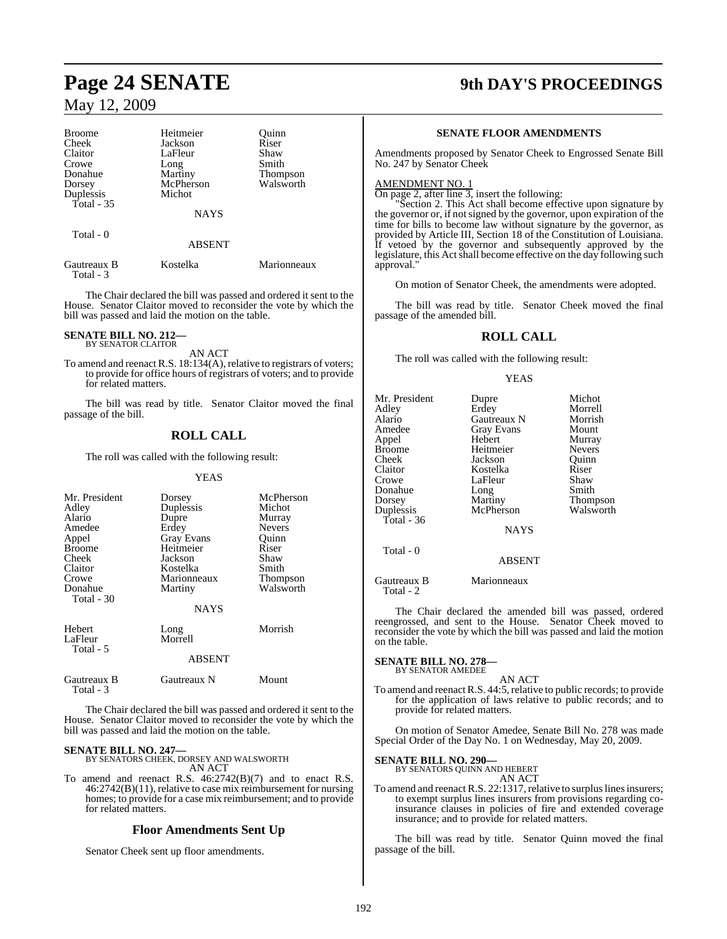| <b>Broome</b>            | Heitmeier     | Ouinn           |
|--------------------------|---------------|-----------------|
| Cheek                    | Jackson       | Riser           |
| Claitor                  | LaFleur       | Shaw            |
| Crowe                    | Long          | Smith           |
| Donahue                  | Martiny       | <b>Thompson</b> |
| Dorsey                   | McPherson     | Walsworth       |
| Duplessis                | Michot        |                 |
| Total - 35               |               |                 |
|                          | <b>NAYS</b>   |                 |
| Total - 0                |               |                 |
|                          | <b>ABSENT</b> |                 |
| Gautreaux B<br>Total - 3 | Kostelka      | Marionneaux     |

The Chair declared the bill was passed and ordered it sent to the House. Senator Claitor moved to reconsider the vote by which the bill was passed and laid the motion on the table.

# **SENATE BILL NO. 212—** BY SENATOR CLAITOR

AN ACT

To amend and reenact R.S. 18:134(A), relative to registrars of voters; to provide for office hours of registrars of voters; and to provide for related matters.

The bill was read by title. Senator Claitor moved the final passage of the bill.

## **ROLL CALL**

The roll was called with the following result:

#### YEAS

| Mr. President<br>Adley<br>Alario<br>Amedee<br>Appel<br><b>Broome</b><br>Cheek<br>Claitor<br>Crowe<br>Donahue<br>Total - 30 | Dorsey<br>Duplessis<br>Dupre<br>Erdey<br><b>Gray Evans</b><br>Heitmeier<br>Jackson<br>Kostelka<br>Marionneaux<br>Martiny<br><b>NAYS</b> | McPherson<br>Michot<br>Murray<br><b>Nevers</b><br>Ouinn<br>Riser<br>Shaw<br>Smith<br>Thompson<br>Walsworth |
|----------------------------------------------------------------------------------------------------------------------------|-----------------------------------------------------------------------------------------------------------------------------------------|------------------------------------------------------------------------------------------------------------|
| Hebert<br>LaFleur<br>Total - 5                                                                                             | Long<br>Morrell<br>ABSENT                                                                                                               | Morrish                                                                                                    |
| Gautreaux B<br>Total - 3                                                                                                   | Gautreaux N                                                                                                                             | Mount                                                                                                      |

The Chair declared the bill was passed and ordered it sent to the House. Senator Claitor moved to reconsider the vote by which the bill was passed and laid the motion on the table.

**SENATE BILL NO. 247—** BY SENATORS CHEEK, DORSEY AND WALSWORTH AN ACT

To amend and reenact R.S. 46:2742(B)(7) and to enact R.S. 46:2742(B)(11), relative to case mix reimbursement for nursing homes; to provide for a case mix reimbursement; and to provide for related matters.

#### **Floor Amendments Sent Up**

Senator Cheek sent up floor amendments.

# **Page 24 SENATE 9th DAY'S PROCEEDINGS**

#### **SENATE FLOOR AMENDMENTS**

Amendments proposed by Senator Cheek to Engrossed Senate Bill No. 247 by Senator Cheek

#### AMENDMENT NO. 1

On page 2, after line 3, insert the following:

"Section 2. This Act shall become effective upon signature by the governor or, if not signed by the governor, upon expiration of the time for bills to become law without signature by the governor, as provided by Article III, Section 18 of the Constitution of Louisiana. If vetoed by the governor and subsequently approved by the legislature, this Act shall become effective on the day following such approval."

On motion of Senator Cheek, the amendments were adopted.

The bill was read by title. Senator Cheek moved the final passage of the amended bill.

## **ROLL CALL**

The roll was called with the following result:

#### YEAS

| Mr. President<br>Adley<br>Alario<br>Amedee<br>Appel<br>Broome<br>Cheek<br>Claitor<br>Crowe<br>Donahue<br>Dorsey<br>Duplessis<br>Total - $36$ | Dupre<br>Erdey<br>Gautreaux N<br><b>Gray Evans</b><br>Hebert<br>Heitmeier<br>Jackson<br>Kostelka<br>LaFleur<br>Long<br>Martiny<br>McPherson<br><b>NAYS</b> | Michot<br>Morrell<br>Morrish<br>Mount<br>Murray<br><b>Nevers</b><br>Ouinn<br>Riser<br>Shaw<br>Smith<br>Thompson<br>Walsworth |
|----------------------------------------------------------------------------------------------------------------------------------------------|------------------------------------------------------------------------------------------------------------------------------------------------------------|------------------------------------------------------------------------------------------------------------------------------|
| Total - 0                                                                                                                                    | <b>ABSENT</b>                                                                                                                                              |                                                                                                                              |
| Gautreaux B                                                                                                                                  | Marionneaux                                                                                                                                                |                                                                                                                              |

The Chair declared the amended bill was passed, ordered reengrossed, and sent to the House. Senator Cheek moved to reconsider the vote by which the bill was passed and laid the motion on the table.

# **SENATE BILL NO. 278—** BY SENATOR AMEDEE

Total - 2

AN ACT

To amend and reenact R.S. 44:5, relative to public records; to provide for the application of laws relative to public records; and to provide for related matters.

On motion of Senator Amedee, Senate Bill No. 278 was made Special Order of the Day No. 1 on Wednesday, May 20, 2009.

#### **SENATE BILL NO. 290—**

BY SENATORS QUINN AND HEBERT AN ACT

To amend and reenact R.S. 22:1317, relative to surplus lines insurers; to exempt surplus lines insurers from provisions regarding coinsurance clauses in policies of fire and extended coverage insurance; and to provide for related matters.

The bill was read by title. Senator Quinn moved the final passage of the bill.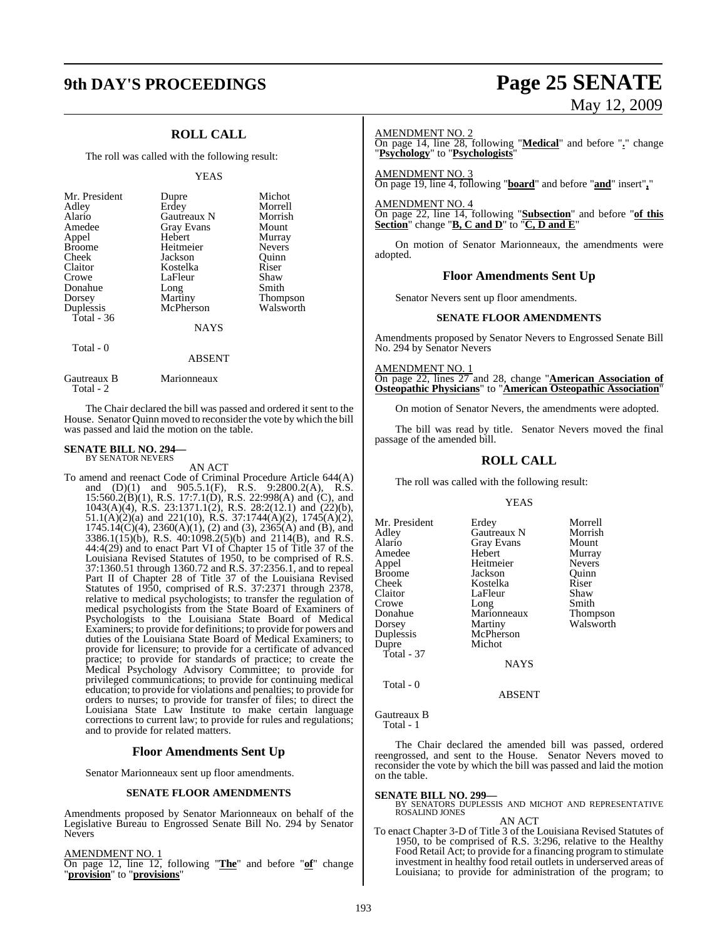# **9th DAY'S PROCEEDINGS Page 25 SENATE**

## **ROLL CALL**

The roll was called with the following result:

#### YEAS

| Mr. President<br>Adley<br>Alario<br>Amedee<br>Appel<br><b>Broome</b><br>Cheek<br>Claitor<br>Crowe<br>Donahue<br>Dorsey | Dupre<br>Erdey<br>Gautreaux N<br><b>Gray Evans</b><br>Hebert<br>Heitmeier<br>Jackson<br>Kostelka<br>LaFleur<br>Long<br>Martiny | Michot<br>Morrell<br>Morrish<br>Mount<br>Murray<br><b>Nevers</b><br>Ouinn<br>Riser<br>Shaw<br>Smith<br><b>Thompson</b> |
|------------------------------------------------------------------------------------------------------------------------|--------------------------------------------------------------------------------------------------------------------------------|------------------------------------------------------------------------------------------------------------------------|
| Duplessis                                                                                                              | McPherson                                                                                                                      | Walsworth                                                                                                              |
| Total - 36                                                                                                             |                                                                                                                                |                                                                                                                        |
|                                                                                                                        | NAYS                                                                                                                           |                                                                                                                        |

Total - 0

#### ABSENT

Gautreaux B Marionneaux Total - 2

The Chair declared the bill was passed and ordered it sent to the House. Senator Quinn moved to reconsider the vote by which the bill was passed and laid the motion on the table.

#### **SENATE BILL NO. 294—** BY SENATOR NEVERS

AN ACT

To amend and reenact Code of Criminal Procedure Article 644(A) and (D)(1) and 905.5.1(F), R.S. 9:2800.2(A), R.S. 15:560.2(B)(1), R.S. 17:7.1(D), R.S. 22:998(A) and (C), and 1043(A)(4), R.S. 23:1371.1(2), R.S. 28:2(12.1) and (22)(b), 51.1(A)(2)(a) and 221(10), R.S. 37:1744(A)(2), 1745(A)(2), 1745.14(C)(4), 2360(A)(1), (2) and (3), 2365(A) and (B), and 3386.1(15)(b), R.S. 40:1098.2(5)(b) and 2114(B), and R.S. 44:4(29) and to enact Part VI of Chapter 15 of Title 37 of the Louisiana Revised Statutes of 1950, to be comprised of R.S. 37:1360.51 through 1360.72 and R.S. 37:2356.1, and to repeal Part II of Chapter 28 of Title 37 of the Louisiana Revised Statutes of 1950, comprised of R.S. 37:2371 through 2378, relative to medical psychologists; to transfer the regulation of medical psychologists from the State Board of Examiners of Psychologists to the Louisiana State Board of Medical Examiners; to provide for definitions; to provide for powers and duties of the Louisiana State Board of Medical Examiners; to provide for licensure; to provide for a certificate of advanced practice; to provide for standards of practice; to create the Medical Psychology Advisory Committee; to provide for privileged communications; to provide for continuing medical education; to provide for violations and penalties; to provide for orders to nurses; to provide for transfer of files; to direct the Louisiana State Law Institute to make certain language corrections to current law; to provide for rules and regulations; and to provide for related matters.

#### **Floor Amendments Sent Up**

Senator Marionneaux sent up floor amendments.

#### **SENATE FLOOR AMENDMENTS**

Amendments proposed by Senator Marionneaux on behalf of the Legislative Bureau to Engrossed Senate Bill No. 294 by Senator Nevers

#### AMENDMENT NO. 1

On page 12, line 12, following "**The**" and before "**of**" change "**provision**" to "**provisions**"

# May 12, 2009

#### AMENDMENT NO. 2

On page 14, line 28, following "**Medical**" and before "**.**" change "**Psychology**" to "**Psychologists**"

AMENDMENT NO. 3 On page 19, line 4, following "**board**" and before "**and**" insert"**,**"

AMENDMENT NO. 4

On page 22, line 14, following "**Subsection**" and before "**of this Section**" change "**B, C and D**" to "**C, D and E**"

On motion of Senator Marionneaux, the amendments were adopted.

#### **Floor Amendments Sent Up**

Senator Nevers sent up floor amendments.

#### **SENATE FLOOR AMENDMENTS**

Amendments proposed by Senator Nevers to Engrossed Senate Bill No. 294 by Senator Nevers

AMENDMENT NO. 1

On page 22, lines 27 and 28, change "**American Association of Osteopathic Physicians**" to "**American Osteopathic Association**"

On motion of Senator Nevers, the amendments were adopted.

The bill was read by title. Senator Nevers moved the final passage of the amended bill.

## **ROLL CALL**

The roll was called with the following result:

#### YEAS

Mr. President Erdey Morrell<br>Adley Gautreaux N Morrish Adley Gautreaux N Morrish Gray Evans Mount<br>
Hebert Murray Amedee Hebert Murray<br>Appel Heitmeier Nevers Appel Heitmeier Nevers Broome Jackson Quinn<br>Cheek Kostelka Riser Cheek Kostelka Riser<br>Claitor LaFleur Shaw Claitor LaFleur Shaw<br>Crowe Long Smith Crowe Long Smith<br>Donahue Marionneaux Thompson **Donahue** Marionneaux<br> **Dorsey** Martiny Dorsey Martiny Walsworth<br>
Duplessis McPherson McPherson Dupre Michot Total - 37 **NAYS** 

ABSENT

Gautreaux B Total - 1

Total - 0

The Chair declared the amended bill was passed, ordered reengrossed, and sent to the House. Senator Nevers moved to reconsider the vote by which the bill was passed and laid the motion on the table.

**SENATE BILL NO. 299—** BY SENATORS DUPLESSIS AND MICHOT AND REPRESENTATIVE ROSALIND JONES AN ACT

To enact Chapter 3-D of Title 3 of the Louisiana Revised Statutes of 1950, to be comprised of R.S. 3:296, relative to the Healthy Food Retail Act; to provide for a financing program to stimulate investment in healthy food retail outlets in underserved areas of Louisiana; to provide for administration of the program; to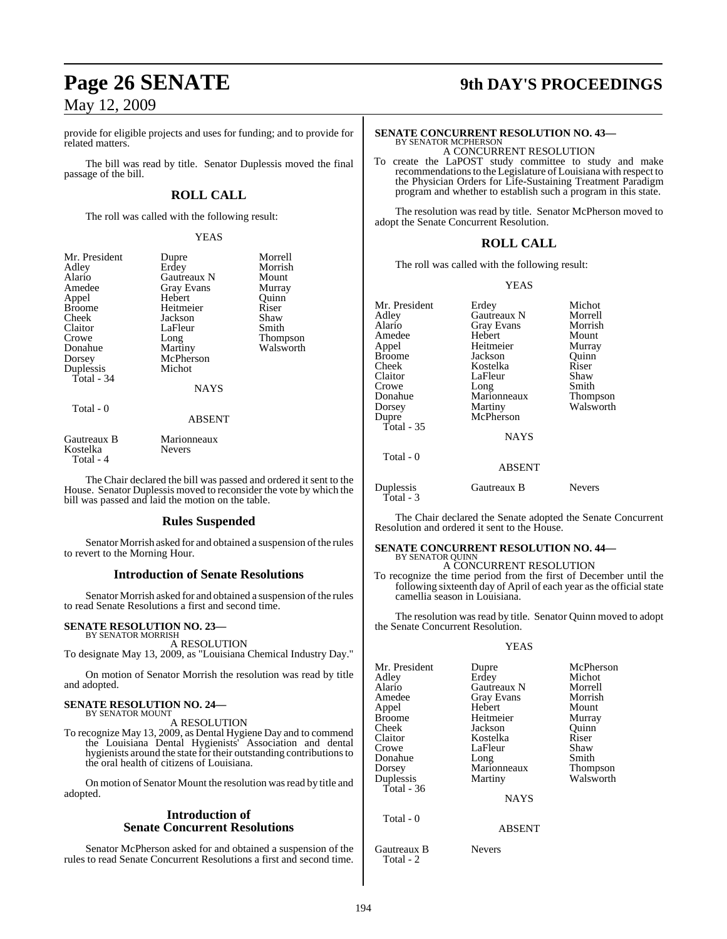provide for eligible projects and uses for funding; and to provide for related matters.

The bill was read by title. Senator Duplessis moved the final passage of the bill.

## **ROLL CALL**

The roll was called with the following result:

#### YEAS

| Mr. President<br>Adley<br>Alario<br>Amedee<br>Appel<br><b>Broome</b> | Dupre<br>Erdey<br>Gautreaux N<br>Gray Evans<br>Hebert<br>Heitmeier | Morrell<br>Morrish<br>Mount<br>Murray<br>Quinn<br>Riser |
|----------------------------------------------------------------------|--------------------------------------------------------------------|---------------------------------------------------------|
| Cheek                                                                | Jackson                                                            | Shaw                                                    |
| Claitor                                                              | LaFleur                                                            | Smith                                                   |
| Crowe                                                                | Long                                                               | Thompson                                                |
| Donahue                                                              | Martiny                                                            | Walsworth                                               |
| Dorsey                                                               | McPherson                                                          |                                                         |
| Duplessis                                                            | Michot                                                             |                                                         |
| Total - 34                                                           |                                                                    |                                                         |
|                                                                      | <b>NAYS</b>                                                        |                                                         |
| Total - 0                                                            |                                                                    |                                                         |
|                                                                      | <b>ABSENT</b>                                                      |                                                         |
| Gautreaux B<br>Kostelka<br>Total - 4                                 | Marionneaux<br>Nevers                                              |                                                         |

The Chair declared the bill was passed and ordered it sent to the House. Senator Duplessis moved to reconsider the vote by which the bill was passed and laid the motion on the table.

### **Rules Suspended**

Senator Morrish asked for and obtained a suspension of the rules to revert to the Morning Hour.

#### **Introduction of Senate Resolutions**

Senator Morrish asked for and obtained a suspension of the rules to read Senate Resolutions a first and second time.

## **SENATE RESOLUTION NO. 23—**

BY SENATOR MORRISH A RESOLUTION

To designate May 13, 2009, as "Louisiana Chemical Industry Day."

On motion of Senator Morrish the resolution was read by title and adopted.

#### **SENATE RESOLUTION NO. 24—** BY SENATOR MOUNT

A RESOLUTION

To recognize May 13, 2009, as Dental Hygiene Day and to commend the Louisiana Dental Hygienists' Association and dental hygienists around the state for their outstanding contributionsto the oral health of citizens of Louisiana.

On motion of Senator Mount the resolution was read by title and adopted.

#### **Introduction of Senate Concurrent Resolutions**

Senator McPherson asked for and obtained a suspension of the rules to read Senate Concurrent Resolutions a first and second time.

# **Page 26 SENATE 9th DAY'S PROCEEDINGS**

#### **SENATE CONCURRENT RESOLUTION NO. 43—** BY SENATOR MCPHERSON A CONCURRENT RESOLUTION

To create the LaPOST study committee to study and make recommendations to the Legislature of Louisiana with respect to the Physician Orders for Life-Sustaining Treatment Paradigm program and whether to establish such a program in this state.

The resolution was read by title. Senator McPherson moved to adopt the Senate Concurrent Resolution.

## **ROLL CALL**

The roll was called with the following result:

#### YEAS

| Mr. President | Erdey             | Michot    |
|---------------|-------------------|-----------|
| Adley         | Gautreaux N       | Morrell   |
| Alario        | <b>Gray Evans</b> | Morrish   |
| Amedee        | Hebert            | Mount     |
| Appel         | Heitmeier         | Murray    |
| Broome        | Jackson           | Quinn     |
| Cheek         | Kostelka          | Riser     |
| Claitor       | LaFleur           | Shaw      |
| Crowe         | Long              | Smith     |
| Donahue       | Marionneaux       | Thompson  |
| Dorsey        | Martiny           | Walsworth |
| Dupre         | McPherson         |           |
| Total - 35    |                   |           |
|               | <b>NAYS</b>       |           |
| Total - 0     |                   |           |
|               | <b>ABSENT</b>     |           |
| Duplessis     | Gautreaux B       | Nevers    |

The Chair declared the Senate adopted the Senate Concurrent Resolution and ordered it sent to the House.

#### **SENATE CONCURRENT RESOLUTION NO. 44—** BY SENATOR QUINN

A CONCURRENT RESOLUTION

To recognize the time period from the first of December until the following sixteenth day of April of each year as the official state camellia season in Louisiana.

The resolution was read by title. Senator Quinn moved to adopt the Senate Concurrent Resolution.

#### YEAS

| Mr. President<br>Adley<br>Alario<br>Amedee<br>Appel<br>Broome<br>Cheek<br>Claitor<br>Crowe | Dupre<br>Erdey<br>Gautreaux N<br>Gray Evans<br>Hebert<br>Heitmeier<br>Jackson<br>Kostelka<br>LaFleur | McPherson<br>Michot<br>Morrell<br>Morrish<br>Mount<br>Murray<br>Ouinn<br>Riser<br>Shaw |
|--------------------------------------------------------------------------------------------|------------------------------------------------------------------------------------------------------|----------------------------------------------------------------------------------------|
| Donahue<br>Dorsey                                                                          | Long<br>Marionneaux                                                                                  | Smith<br><b>Thompson</b>                                                               |
| Duplessis<br>Total - 36                                                                    | Martiny                                                                                              | Walsworth                                                                              |
|                                                                                            | <b>NAYS</b>                                                                                          |                                                                                        |
| Total - 0                                                                                  |                                                                                                      |                                                                                        |

ABSENT

Gautreaux B Nevers Total - 2

Total - 3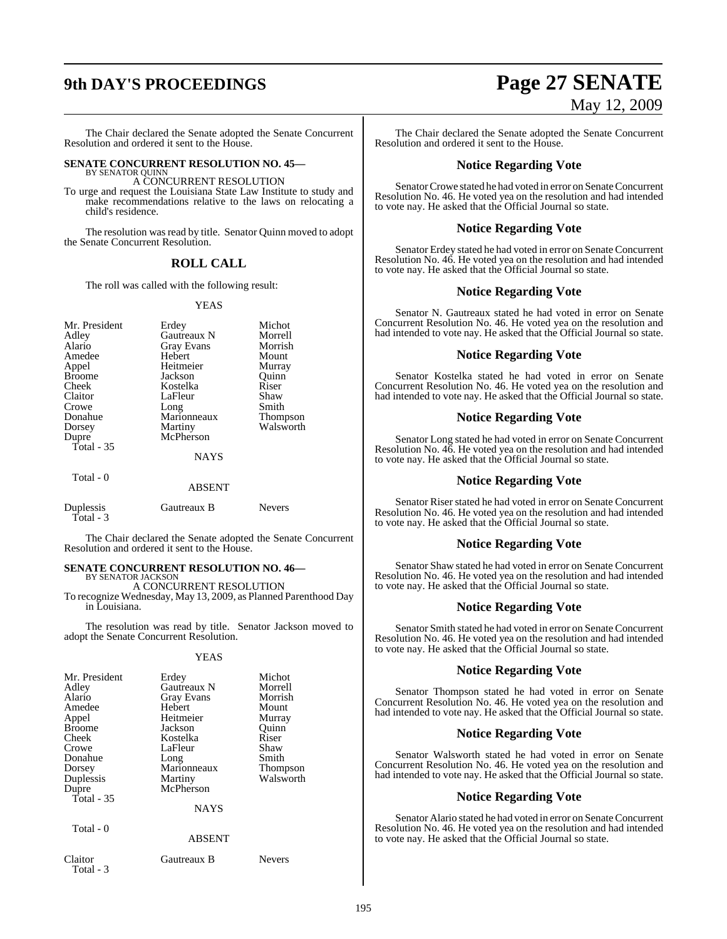The Chair declared the Senate adopted the Senate Concurrent Resolution and ordered it sent to the House.

#### **SENATE CONCURRENT RESOLUTION NO. 45—** BY SENATOR QUINN

A CONCURRENT RESOLUTION

To urge and request the Louisiana State Law Institute to study and make recommendations relative to the laws on relocating a child's residence.

The resolution was read by title. Senator Quinn moved to adopt the Senate Concurrent Resolution.

#### **ROLL CALL**

The roll was called with the following result:

#### YEAS

| Mr. President | Erdey<br>Gautreaux N | Michot          |
|---------------|----------------------|-----------------|
| Adley         |                      | Morrell         |
| Alario        | <b>Gray Evans</b>    | Morrish         |
| Amedee        | Hebert               | Mount           |
| Appel         | Heitmeier            | Murray          |
| <b>Broome</b> | Jackson              | Ouinn           |
| Cheek         | Kostelka             | Riser           |
| Claitor       | LaFleur              | Shaw            |
| Crowe         | Long                 | Smith           |
| Donahue       | Marionneaux          | <b>Thompson</b> |
| Dorsey        | Martiny              | Walsworth       |
| Dupre         | McPherson            |                 |
| Total $-35$   |                      |                 |
|               | <b>NAYS</b>          |                 |
| Total - 0     | <b>ABSENT</b>        |                 |

| Duplessis   | Gautreaux B | <b>Nevers</b> |
|-------------|-------------|---------------|
| Total - $3$ |             |               |

The Chair declared the Senate adopted the Senate Concurrent Resolution and ordered it sent to the House.

#### **SENATE CONCURRENT RESOLUTION NO. 46—** BY SENATOR JACKSON

A CONCURRENT RESOLUTION

To recognize Wednesday, May 13, 2009, as Planned Parenthood Day in Louisiana.

The resolution was read by title. Senator Jackson moved to adopt the Senate Concurrent Resolution.

#### YEAS

| Mr. President<br>Adley<br>Alario<br>Amedee<br>Appel<br><b>Broome</b><br>Cheek<br>Crowe<br>Donahue<br>Dorsey<br>Duplessis<br>Dupre<br>Total $-35$ | Erdey<br>Gautreaux N<br><b>Gray Evans</b><br>Hebert<br>Heitmeier<br>Jackson<br>Kostelka<br>LaFleur<br>Long<br>Marionneaux<br>Martiny<br>McPherson<br><b>NAYS</b> | Michot<br>Morrell<br>Morrish<br>Mount<br>Murray<br>Ouinn<br>Riser<br>Shaw<br>Smith<br>Thompson<br>Walsworth |
|--------------------------------------------------------------------------------------------------------------------------------------------------|------------------------------------------------------------------------------------------------------------------------------------------------------------------|-------------------------------------------------------------------------------------------------------------|
| Total - 0                                                                                                                                        | <b>ABSENT</b>                                                                                                                                                    |                                                                                                             |
| Claitor                                                                                                                                          | Gautreaux B                                                                                                                                                      | <b>Nevers</b>                                                                                               |

Total - 3

# **9th DAY'S PROCEEDINGS Page 27 SENATE** May 12, 2009

The Chair declared the Senate adopted the Senate Concurrent Resolution and ordered it sent to the House.

## **Notice Regarding Vote**

Senator Crowe stated he had voted in error on Senate Concurrent Resolution No. 46. He voted yea on the resolution and had intended to vote nay. He asked that the Official Journal so state.

#### **Notice Regarding Vote**

Senator Erdey stated he had voted in error on Senate Concurrent Resolution No. 46. He voted yea on the resolution and had intended to vote nay. He asked that the Official Journal so state.

### **Notice Regarding Vote**

Senator N. Gautreaux stated he had voted in error on Senate Concurrent Resolution No. 46. He voted yea on the resolution and had intended to vote nay. He asked that the Official Journal so state.

#### **Notice Regarding Vote**

Senator Kostelka stated he had voted in error on Senate Concurrent Resolution No. 46. He voted yea on the resolution and had intended to vote nay. He asked that the Official Journal so state.

### **Notice Regarding Vote**

Senator Long stated he had voted in error on Senate Concurrent Resolution No. 46. He voted yea on the resolution and had intended to vote nay. He asked that the Official Journal so state.

### **Notice Regarding Vote**

Senator Riser stated he had voted in error on Senate Concurrent Resolution No. 46. He voted yea on the resolution and had intended to vote nay. He asked that the Official Journal so state.

### **Notice Regarding Vote**

Senator Shaw stated he had voted in error on Senate Concurrent Resolution No. 46. He voted yea on the resolution and had intended to vote nay. He asked that the Official Journal so state.

#### **Notice Regarding Vote**

Senator Smith stated he had voted in error on Senate Concurrent Resolution No. 46. He voted yea on the resolution and had intended to vote nay. He asked that the Official Journal so state.

#### **Notice Regarding Vote**

Senator Thompson stated he had voted in error on Senate Concurrent Resolution No. 46. He voted yea on the resolution and had intended to vote nay. He asked that the Official Journal so state.

### **Notice Regarding Vote**

Senator Walsworth stated he had voted in error on Senate Concurrent Resolution No. 46. He voted yea on the resolution and had intended to vote nay. He asked that the Official Journal so state.

#### **Notice Regarding Vote**

Senator Alario stated he had voted in error on Senate Concurrent Resolution No. 46. He voted yea on the resolution and had intended to vote nay. He asked that the Official Journal so state.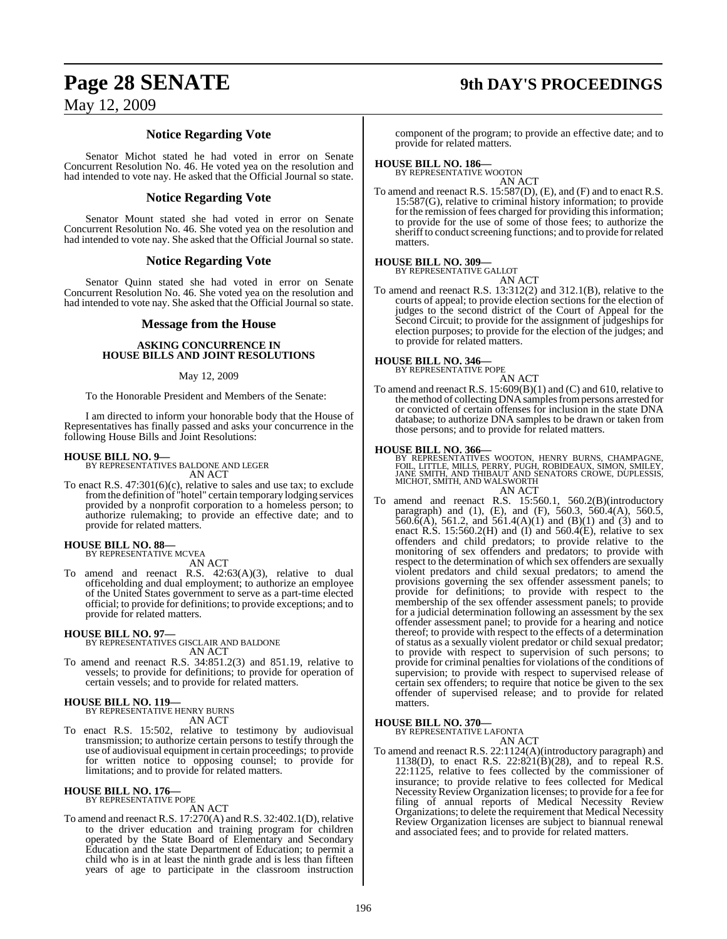# **Page 28 SENATE 9th DAY'S PROCEEDINGS**

## May 12, 2009

## **Notice Regarding Vote**

Senator Michot stated he had voted in error on Senate Concurrent Resolution No. 46. He voted yea on the resolution and had intended to vote nay. He asked that the Official Journal so state.

## **Notice Regarding Vote**

Senator Mount stated she had voted in error on Senate Concurrent Resolution No. 46. She voted yea on the resolution and had intended to vote nay. She asked that the Official Journal so state.

## **Notice Regarding Vote**

Senator Quinn stated she had voted in error on Senate Concurrent Resolution No. 46. She voted yea on the resolution and had intended to vote nay. She asked that the Official Journal so state.

#### **Message from the House**

#### **ASKING CONCURRENCE IN HOUSE BILLS AND JOINT RESOLUTIONS**

#### May 12, 2009

To the Honorable President and Members of the Senate:

I am directed to inform your honorable body that the House of Representatives has finally passed and asks your concurrence in the following House Bills and Joint Resolutions:

**HOUSE BILL NO. 9—** BY REPRESENTATIVES BALDONE AND LEGER

AN ACT

To enact R.S. 47:301(6)(c), relative to sales and use tax; to exclude fromthe definition of "hotel" certain temporary lodging services provided by a nonprofit corporation to a homeless person; to authorize rulemaking; to provide an effective date; and to provide for related matters.

# **HOUSE BILL NO. 88—** BY REPRESENTATIVE MCVEA

AN ACT

To amend and reenact R.S. 42:63(A)(3), relative to dual officeholding and dual employment; to authorize an employee of the United States government to serve as a part-time elected official; to provide for definitions; to provide exceptions; and to provide for related matters.

**HOUSE BILL NO. 97—** BY REPRESENTATIVES GISCLAIR AND BALDONE AN ACT

To amend and reenact R.S. 34:851.2(3) and 851.19, relative to vessels; to provide for definitions; to provide for operation of certain vessels; and to provide for related matters.

# **HOUSE BILL NO. 119—** BY REPRESENTATIVE HENRY BURNS

AN ACT

To enact R.S. 15:502, relative to testimony by audiovisual transmission; to authorize certain persons to testify through the use of audiovisual equipment in certain proceedings; to provide for written notice to opposing counsel; to provide for limitations; and to provide for related matters.

#### **HOUSE BILL NO. 176—** BY REPRESENTATIVE POPE

AN ACT

To amend and reenact R.S. 17:270(A) and R.S. 32:402.1(D), relative to the driver education and training program for children operated by the State Board of Elementary and Secondary Education and the state Department of Education; to permit a child who is in at least the ninth grade and is less than fifteen years of age to participate in the classroom instruction

component of the program; to provide an effective date; and to provide for related matters.

# **HOUSE BILL NO. 186—** BY REPRESENTATIVE WOOTON

AN ACT To amend and reenact R.S. 15:587(D), (E), and (F) and to enact R.S. 15:587(G), relative to criminal history information; to provide for the remission of fees charged for providing this information; to provide for the use of some of those fees; to authorize the sheriff to conduct screening functions; and to provide for related matters.

#### **HOUSE BILL NO. 309—** BY REPRESENTATIVE GALLOT

AN ACT

To amend and reenact R.S. 13:312(2) and 312.1(B), relative to the courts of appeal; to provide election sections for the election of judges to the second district of the Court of Appeal for the Second Circuit; to provide for the assignment of judgeships for election purposes; to provide for the election of the judges; and to provide for related matters.

# **HOUSE BILL NO. 346—** BY REPRESENTATIVE POPE

AN ACT To amend and reenact R.S.  $15:609(B)(1)$  and (C) and 610, relative to the method of collecting DNA samples from persons arrested for or convicted of certain offenses for inclusion in the state DNA database; to authorize DNA samples to be drawn or taken from those persons; and to provide for related matters.

#### **HOUSE BILL NO. 366—**

BY REPRESENTATIVES WOOTON, HENRY BURNS, CHAMPAGNE,<br>FOIL, LITTLE, MILLS, PERRY, PUGH, ROBIDEAUX, SIMON, SMILEY,<br>JANE SMITH, AND THIBAUT AND SENATORS CROWE, DUPLESSIS,<br>MICHOT, SMITH, AND WALSWORTH

AN ACT

To amend and reenact R.S. 15:560.1, 560.2(B)(introductory paragraph) and (1), (E), and (F), 560.3, 560.4(A), 560.5,  $560.6(A)$ , 561.2, and 561.4(A)(1) and (B)(1) and (3) and to enact R.S. 15:560.2(H) and  $(I)$  and 560.4(E), relative to sex offenders and child predators; to provide relative to the monitoring of sex offenders and predators; to provide with respect to the determination of which sex offenders are sexually violent predators and child sexual predators; to amend the provisions governing the sex offender assessment panels; to provide for definitions; to provide with respect to the membership of the sex offender assessment panels; to provide for a judicial determination following an assessment by the sex offender assessment panel; to provide for a hearing and notice thereof; to provide with respect to the effects of a determination of status as a sexually violent predator or child sexual predator; to provide with respect to supervision of such persons; to provide for criminal penaltiesfor violations of the conditions of supervision; to provide with respect to supervised release of certain sex offenders; to require that notice be given to the sex offender of supervised release; and to provide for related matters.

#### **HOUSE BILL NO. 370—**

BY REPRESENTATIVE LAFONTA AN ACT

To amend and reenact R.S. 22:1124(A)(introductory paragraph) and 1138(D), to enact R.S. 22:821(B)(28), and to repeal R.S. 22:1125, relative to fees collected by the commissioner of insurance; to provide relative to fees collected for Medical Necessity Review Organization licenses; to provide for a fee for filing of annual reports of Medical Necessity Review Organizations; to delete the requirement that Medical Necessity Review Organization licenses are subject to biannual renewal and associated fees; and to provide for related matters.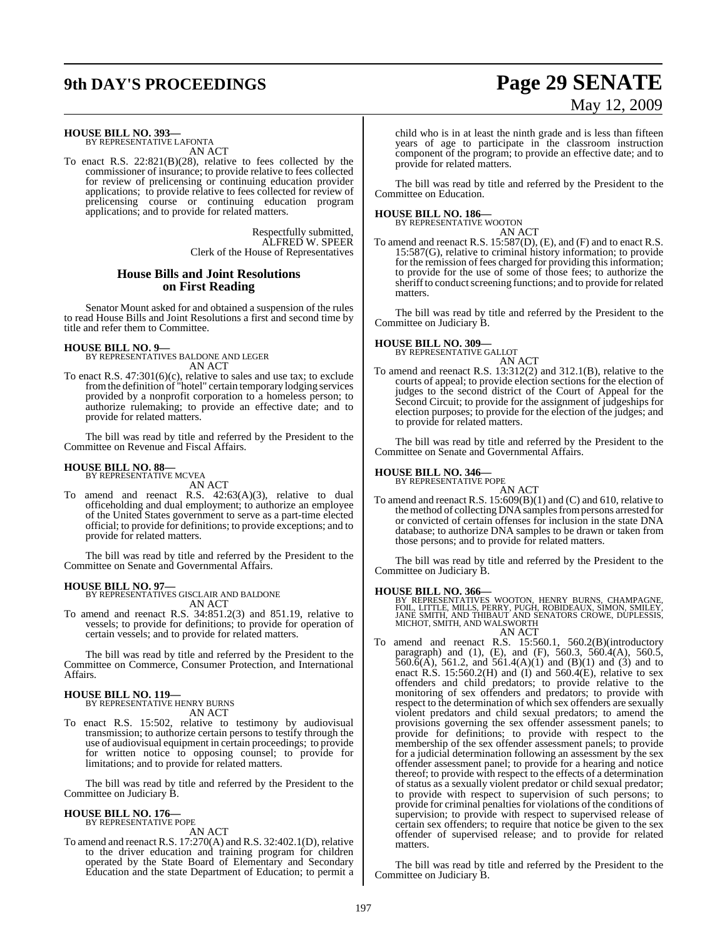# **9th DAY'S PROCEEDINGS Page 29 SENATE**

# May 12, 2009

**HOUSE BILL NO. 393—** BY REPRESENTATIVE LAFONTA

AN ACT

To enact R.S. 22:821(B)(28), relative to fees collected by the commissioner of insurance; to provide relative to fees collected for review of prelicensing or continuing education provider applications; to provide relative to fees collected for review of prelicensing course or continuing education program applications; and to provide for related matters.

> Respectfully submitted, ALFRED W. SPEER Clerk of the House of Representatives

## **House Bills and Joint Resolutions on First Reading**

Senator Mount asked for and obtained a suspension of the rules to read House Bills and Joint Resolutions a first and second time by title and refer them to Committee.

#### **HOUSE BILL NO. 9—**

BY REPRESENTATIVES BALDONE AND LEGER AN ACT

To enact R.S. 47:301(6)(c), relative to sales and use tax; to exclude fromthe definition of "hotel" certain temporary lodging services provided by a nonprofit corporation to a homeless person; to authorize rulemaking; to provide an effective date; and to provide for related matters.

The bill was read by title and referred by the President to the Committee on Revenue and Fiscal Affairs.

#### **HOUSE BILL NO. 88—**

BY REPRESENTATIVE MCVEA AN ACT

To amend and reenact R.S.  $42:63(A)(3)$ , relative to dual officeholding and dual employment; to authorize an employee of the United States government to serve as a part-time elected official; to provide for definitions; to provide exceptions; and to provide for related matters.

The bill was read by title and referred by the President to the Committee on Senate and Governmental Affairs.

**HOUSE BILL NO. 97—** BY REPRESENTATIVES GISCLAIR AND BALDONE AN ACT

To amend and reenact R.S. 34:851.2(3) and 851.19, relative to vessels; to provide for definitions; to provide for operation of certain vessels; and to provide for related matters.

The bill was read by title and referred by the President to the Committee on Commerce, Consumer Protection, and International Affairs.

#### **HOUSE BILL NO. 119—** BY REPRESENTATIVE HENRY BURNS

AN ACT

To enact R.S. 15:502, relative to testimony by audiovisual transmission; to authorize certain persons to testify through the use of audiovisual equipment in certain proceedings; to provide for written notice to opposing counsel; to provide for limitations; and to provide for related matters.

The bill was read by title and referred by the President to the Committee on Judiciary B.

### **HOUSE BILL NO. 176—**

BY REPRESENTATIVE POPE AN ACT

To amend and reenact R.S. 17:270(A) and R.S. 32:402.1(D), relative to the driver education and training program for children operated by the State Board of Elementary and Secondary Education and the state Department of Education; to permit a

child who is in at least the ninth grade and is less than fifteen years of age to participate in the classroom instruction component of the program; to provide an effective date; and to provide for related matters.

The bill was read by title and referred by the President to the Committee on Education.

**HOUSE BILL NO. 186—** BY REPRESENTATIVE WOOTON AN ACT

To amend and reenact R.S. 15:587(D), (E), and (F) and to enact R.S. 15:587(G), relative to criminal history information; to provide for the remission of fees charged for providing this information; to provide for the use of some of those fees; to authorize the sheriff to conduct screening functions; and to provide for related matters.

The bill was read by title and referred by the President to the Committee on Judiciary B.

# **HOUSE BILL NO. 309—** BY REPRESENTATIVE GALLOT



AN ACT To amend and reenact R.S. 13:312(2) and 312.1(B), relative to the courts of appeal; to provide election sections for the election of judges to the second district of the Court of Appeal for the Second Circuit; to provide for the assignment of judgeships for election purposes; to provide for the election of the judges; and to provide for related matters.

The bill was read by title and referred by the President to the Committee on Senate and Governmental Affairs.

#### **HOUSE BILL NO. 346—**

BY REPRESENTATIVE POPE

AN ACT To amend and reenact R.S. 15:609(B)(1) and (C) and 610, relative to the method of collecting DNA samples from persons arrested for or convicted of certain offenses for inclusion in the state DNA database; to authorize DNA samples to be drawn or taken from those persons; and to provide for related matters.

The bill was read by title and referred by the President to the Committee on Judiciary B.

#### **HOUSE BILL NO. 366—**

BY REPRESENTATIVES WOOTON, HENRY BURNS, CHAMPAGNE,<br>FOIL, LITTLE, MILLS, PERRY, PUGH, ROBIDEAUX, SIMON, SMILEY,<br>JANE SMITH, AND THIBAUT AND SENATORS CROWE, DUPLESSIS,<br>MICHOT, SMITH, AND WALSWORTH AN ACT

To amend and reenact R.S. 15:560.1, 560.2(B)(introductory paragraph) and (1), (E), and (F), 560.3, 560.4(A), 560.5,  $560.6(A)$ , 561.2, and 561.4(A)(1) and (B)(1) and (3) and to enact R.S. 15:560.2(H) and  $(I)$  and 560.4(E), relative to sex offenders and child predators; to provide relative to the monitoring of sex offenders and predators; to provide with respect to the determination of which sex offenders are sexually violent predators and child sexual predators; to amend the provisions governing the sex offender assessment panels; to provide for definitions; to provide with respect to the membership of the sex offender assessment panels; to provide for a judicial determination following an assessment by the sex offender assessment panel; to provide for a hearing and notice thereof; to provide with respect to the effects of a determination of status as a sexually violent predator or child sexual predator; to provide with respect to supervision of such persons; to provide for criminal penalties for violations of the conditions of supervision; to provide with respect to supervised release of certain sex offenders; to require that notice be given to the sex offender of supervised release; and to provide for related matters.

The bill was read by title and referred by the President to the Committee on Judiciary B.